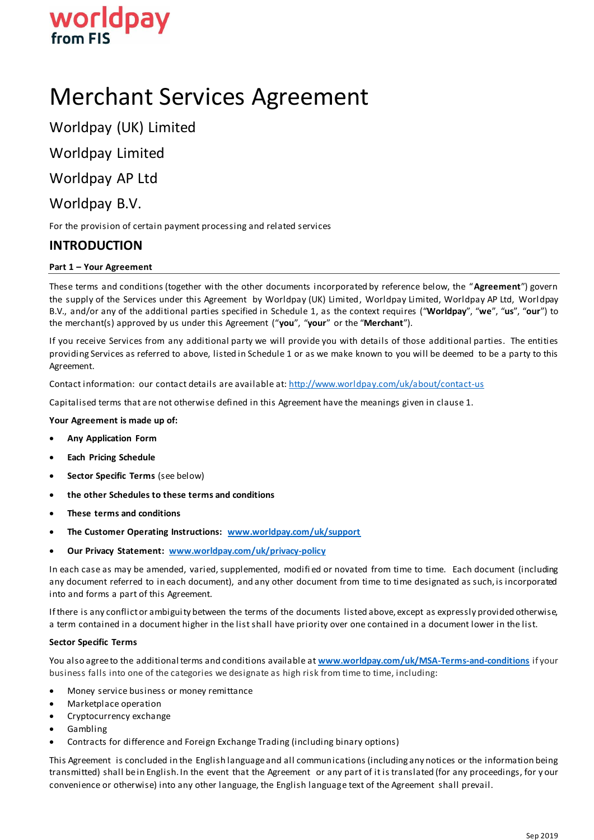

# Merchant Services Agreement

Worldpay (UK) Limited

Worldpay Limited

Worldpay AP Ltd

# Worldpay B.V.

For the provision of certain payment processing and related services

# **INTRODUCTION**

# **Part 1 – Your Agreement**

These terms and conditions (together with the other documents incorporated by reference below, the "**Agreement**") govern the supply of the Services under this Agreement by Worldpay (UK) Limited, Worldpay Limited, Worldpay AP Ltd, Worldpay B.V., and/or any of the additional parties specified in Schedule 1, as the context requires ("**Worldpay**", "**we**", "**us**", "**our**") to the merchant(s) approved by us under this Agreement ("**you**", "**your**" or the "**Merchant**").

If you receive Services from any additional party we will provide you with details of those additional parties. The entities providing Services as referred to above, listed in Schedule 1 or as we make known to you will be deemed to be a party to this Agreement.

Contact information: our contact details are available a[t: http://www.worldpay.com/uk/about/contact-us](http://www.worldpay.com/uk/about/contact-us)

Capitalised terms that are not otherwise defined in this Agreement have the meanings given in clause 1.

**Your Agreement is made up of:**

- **Any Application Form**
- **Each Pricing Schedule**
- **•** Sector Specific Terms (see below)
- **the other Schedules to these terms and conditions**
- **These terms and conditions**
- **The Customer Operating Instructions: [www.worldpay.com/uk/support](http://www.worldpay.com/uk/support)**
- **Our Privacy Statement: [www.worldpay.com/uk/privacy-policy](http://www.worldpay.com/uk/privacy-policy)**

In each case as may be amended, varied, supplemented, modifi ed or novated from time to time. Each document (including any document referred to in each document), and any other document from time to time designated as such, is incorporated into and forms a part of this Agreement.

If there is any conflict or ambiguity between the terms of the documents listed above, except as expressly provided otherwise, a term contained in a document higher in the list shall have priority over one contained in a document lower in the list.

#### **Sector Specific Terms**

You also agree to the additional terms and conditions available at **[www.worldpay.com/uk/MSA-Terms-and-conditions](http://www.worldpay.com/uk/MSA-Terms-and-conditions)** if your business falls into one of the categories we designate as high risk from time to time, including:

- Money service business or money remittance
- Marketplace operation
- Cryptocurrency exchange
- Gambling
- Contracts for difference and Foreign Exchange Trading (including binary options)

This Agreement is concluded in the English language and all communications (including any notices or the information being transmitted) shall be in English. In the event that the Agreement or any part of it is translated (for any proceedings, for y our convenience or otherwise) into any other language, the English language text of the Agreement shall prevail.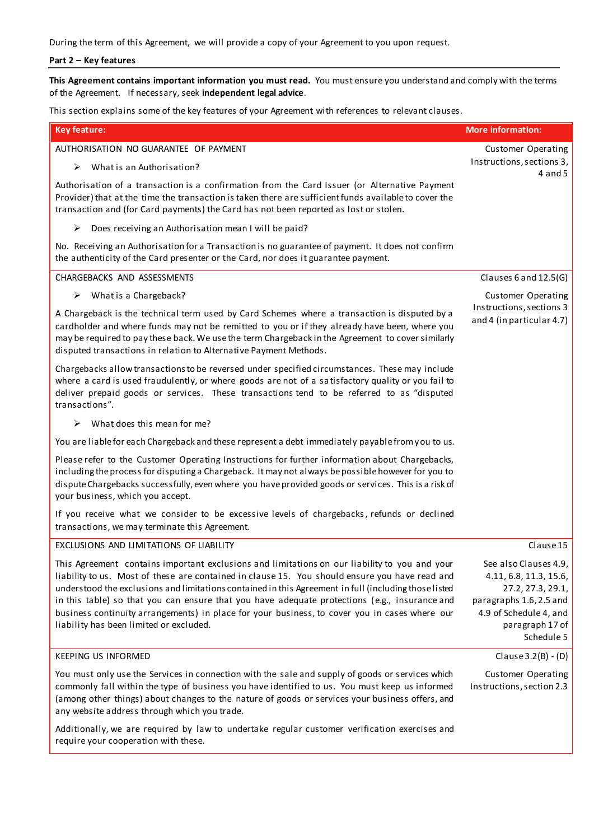During the term of this Agreement, we will provide a copy of your Agreement to you upon request.

# **Part 2 – Key features**

**This Agreement contains important information you must read.** You must ensure you understand and comply with the terms of the Agreement. If necessary, seek **independent legal advice**.

This section explains some of the key features of your Agreement with references to relevant clauses.

| <b>Key feature:</b>                                                                                                                                                                                                                                                                                                                                                                                                                                                                                                                                   | <b>More information:</b>                                                                                                                                   |
|-------------------------------------------------------------------------------------------------------------------------------------------------------------------------------------------------------------------------------------------------------------------------------------------------------------------------------------------------------------------------------------------------------------------------------------------------------------------------------------------------------------------------------------------------------|------------------------------------------------------------------------------------------------------------------------------------------------------------|
| AUTHORISATION NO GUARANTEE OF PAYMENT                                                                                                                                                                                                                                                                                                                                                                                                                                                                                                                 | <b>Customer Operating</b>                                                                                                                                  |
| What is an Authorisation?<br>➤                                                                                                                                                                                                                                                                                                                                                                                                                                                                                                                        | Instructions, sections 3,<br>$4$ and $5$                                                                                                                   |
| Authorisation of a transaction is a confirmation from the Card Issuer (or Alternative Payment<br>Provider) that at the time the transaction is taken there are sufficient funds available to cover the<br>transaction and (for Card payments) the Card has not been reported as lost or stolen.                                                                                                                                                                                                                                                       |                                                                                                                                                            |
| Does receiving an Authorisation mean I will be paid?<br>➤                                                                                                                                                                                                                                                                                                                                                                                                                                                                                             |                                                                                                                                                            |
| No. Receiving an Authorisation for a Transaction is no guarantee of payment. It does not confirm<br>the authenticity of the Card presenter or the Card, nor does it guarantee payment.                                                                                                                                                                                                                                                                                                                                                                |                                                                                                                                                            |
| CHARGEBACKS AND ASSESSMENTS                                                                                                                                                                                                                                                                                                                                                                                                                                                                                                                           | Clauses 6 and 12.5(G)                                                                                                                                      |
| What is a Chargeback?<br>➤                                                                                                                                                                                                                                                                                                                                                                                                                                                                                                                            | <b>Customer Operating</b>                                                                                                                                  |
| A Chargeback is the technical term used by Card Schemes where a transaction is disputed by a<br>cardholder and where funds may not be remitted to you or if they already have been, where you<br>may be required to pay these back. We use the term Chargeback in the Agreement to cover similarly<br>disputed transactions in relation to Alternative Payment Methods.                                                                                                                                                                               | Instructions, sections 3<br>and 4 (in particular 4.7)                                                                                                      |
| Chargebacks allow transactions to be reversed under specified circumstances. These may include<br>where a card is used fraudulently, or where goods are not of a satisfactory quality or you fail to<br>deliver prepaid goods or services. These transactions tend to be referred to as "disputed<br>transactions".                                                                                                                                                                                                                                   |                                                                                                                                                            |
| What does this mean for me?<br>⋗                                                                                                                                                                                                                                                                                                                                                                                                                                                                                                                      |                                                                                                                                                            |
| You are liable for each Chargeback and these represent a debt immediately payable from you to us.                                                                                                                                                                                                                                                                                                                                                                                                                                                     |                                                                                                                                                            |
| Please refer to the Customer Operating Instructions for further information about Chargebacks,<br>including the process for disputing a Chargeback. It may not always be possible however for you to<br>dispute Chargebacks successfully, even where you have provided goods or services. This is a risk of<br>your business, which you accept.                                                                                                                                                                                                       |                                                                                                                                                            |
| If you receive what we consider to be excessive levels of chargebacks, refunds or declined<br>transactions, we may terminate this Agreement.                                                                                                                                                                                                                                                                                                                                                                                                          |                                                                                                                                                            |
| EXCLUSIONS AND LIMITATIONS OF LIABILITY                                                                                                                                                                                                                                                                                                                                                                                                                                                                                                               | Clause 15                                                                                                                                                  |
| This Agreement contains important exclusions and limitations on our liability to you and your<br>liability to us. Most of these are contained in clause 15. You should ensure you have read and<br>understood the exclusions and limitations contained in this Agreement in full (including those listed<br>in this table) so that you can ensure that you have adequate protections (e.g., insurance and<br>business continuity arrangements) in place for your business, to cover you in cases where our<br>liability has been limited or excluded. | See also Clauses 4.9,<br>4.11, 6.8, 11.3, 15.6,<br>27.2, 27.3, 29.1,<br>paragraphs 1.6, 2.5 and<br>4.9 of Schedule 4, and<br>paragraph 17 of<br>Schedule 5 |
| <b>KEEPING US INFORMED</b>                                                                                                                                                                                                                                                                                                                                                                                                                                                                                                                            | Clause $3.2(B) - (D)$                                                                                                                                      |
| You must only use the Services in connection with the sale and supply of goods or services which<br>commonly fall within the type of business you have identified to us. You must keep us informed<br>(among other things) about changes to the nature of goods or services your business offers, and<br>any website address through which you trade.                                                                                                                                                                                                 | <b>Customer Operating</b><br>Instructions, section 2.3                                                                                                     |
| Additionally, we are required by law to undertake regular customer verification exercises and<br>require your cooperation with these.                                                                                                                                                                                                                                                                                                                                                                                                                 |                                                                                                                                                            |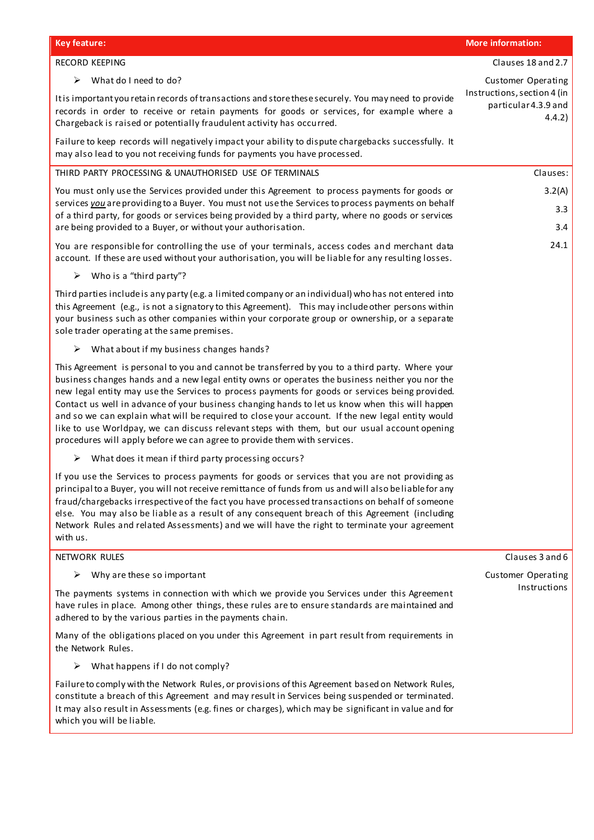| <b>Key feature:</b>                                                                                                                                                                                                                                                                                                                                                                                                                                                                                                                                                                                                                                                                      | <b>More information:</b>                                      |
|------------------------------------------------------------------------------------------------------------------------------------------------------------------------------------------------------------------------------------------------------------------------------------------------------------------------------------------------------------------------------------------------------------------------------------------------------------------------------------------------------------------------------------------------------------------------------------------------------------------------------------------------------------------------------------------|---------------------------------------------------------------|
| RECORD KEEPING                                                                                                                                                                                                                                                                                                                                                                                                                                                                                                                                                                                                                                                                           | Clauses 18 and 2.7                                            |
| What do I need to do?<br>➤                                                                                                                                                                                                                                                                                                                                                                                                                                                                                                                                                                                                                                                               | <b>Customer Operating</b>                                     |
| It is important you retain records of transactions and store these securely. You may need to provide<br>records in order to receive or retain payments for goods or services, for example where a<br>Chargeback is raised or potentially fraudulent activity has occurred.                                                                                                                                                                                                                                                                                                                                                                                                               | Instructions, section 4 (in<br>particular 4.3.9 and<br>4.4.2) |
| Failure to keep records will negatively impact your ability to dispute chargebacks successfully. It<br>may also lead to you not receiving funds for payments you have processed.                                                                                                                                                                                                                                                                                                                                                                                                                                                                                                         |                                                               |
| THIRD PARTY PROCESSING & UNAUTHORISED USE OF TERMINALS                                                                                                                                                                                                                                                                                                                                                                                                                                                                                                                                                                                                                                   | Clauses:                                                      |
| You must only use the Services provided under this Agreement to process payments for goods or<br>services you are providing to a Buyer. You must not use the Services to process payments on behalf<br>of a third party, for goods or services being provided by a third party, where no goods or services<br>are being provided to a Buyer, or without your authorisation.                                                                                                                                                                                                                                                                                                              | 3.2(A)<br>3.3<br>3.4                                          |
| You are responsible for controlling the use of your terminals, access codes and merchant data<br>account. If these are used without your authorisation, you will be liable for any resulting losses.                                                                                                                                                                                                                                                                                                                                                                                                                                                                                     | 24.1                                                          |
| Who is a "third party"?<br>➤                                                                                                                                                                                                                                                                                                                                                                                                                                                                                                                                                                                                                                                             |                                                               |
| Third parties include is any party (e.g. a limited company or an individual) who has not entered into<br>this Agreement (e.g., is not a signatory to this Agreement). This may include other persons within<br>your business such as other companies within your corporate group or ownership, or a separate<br>sole trader operating at the same premises.                                                                                                                                                                                                                                                                                                                              |                                                               |
| What about if my business changes hands?<br>➤                                                                                                                                                                                                                                                                                                                                                                                                                                                                                                                                                                                                                                            |                                                               |
| This Agreement is personal to you and cannot be transferred by you to a third party. Where your<br>business changes hands and a new legal entity owns or operates the business neither you nor the<br>new legal entity may use the Services to process payments for goods or services being provided.<br>Contact us well in advance of your business changing hands to let us know when this will happen<br>and so we can explain what will be required to close your account. If the new legal entity would<br>like to use Worldpay, we can discuss relevant steps with them, but our usual account opening<br>procedures will apply before we can agree to provide them with services. |                                                               |
| What does it mean if third party processing occurs?<br>➤                                                                                                                                                                                                                                                                                                                                                                                                                                                                                                                                                                                                                                 |                                                               |
| If you use the Services to process payments for goods or services that you are not providing as<br>principal to a Buyer, you will not receive remittance of funds from us and will also be liable for any<br>fraud/chargebacks irrespective of the fact you have processed transactions on behalf of someone<br>else. You may also be liable as a result of any consequent breach of this Agreement (including<br>Network Rules and related Assessments) and we will have the right to terminate your agreement<br>with us.                                                                                                                                                              |                                                               |
| NETWORK RULES                                                                                                                                                                                                                                                                                                                                                                                                                                                                                                                                                                                                                                                                            | Clauses 3 and 6                                               |
| Why are these so important<br>➤                                                                                                                                                                                                                                                                                                                                                                                                                                                                                                                                                                                                                                                          | <b>Customer Operating</b>                                     |
| The payments systems in connection with which we provide you Services under this Agreement<br>have rules in place. Among other things, these rules are to ensure standards are maintained and<br>adhered to by the various parties in the payments chain.                                                                                                                                                                                                                                                                                                                                                                                                                                | Instructions                                                  |
| Many of the obligations placed on you under this Agreement in part result from requirements in<br>the Network Rules.                                                                                                                                                                                                                                                                                                                                                                                                                                                                                                                                                                     |                                                               |
| What happens if I do not comply?<br>➤                                                                                                                                                                                                                                                                                                                                                                                                                                                                                                                                                                                                                                                    |                                                               |
| Failure to comply with the Network Rules, or provisions of this Agreement based on Network Rules,<br>constitute a breach of this Agreement and may result in Services being suspended or terminated.<br>It may also result in Assessments (e.g. fines or charges), which may be significant in value and for<br>which you will be liable.                                                                                                                                                                                                                                                                                                                                                |                                                               |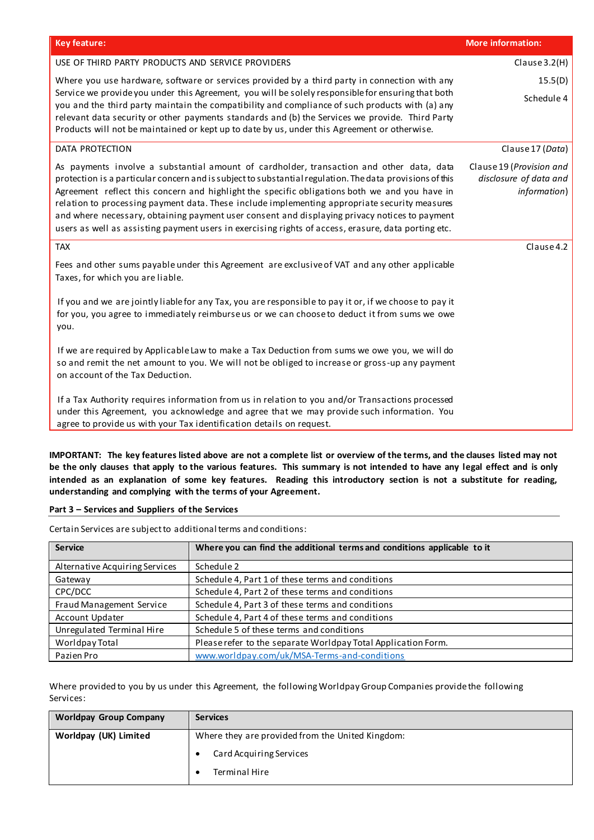| <b>Key feature:</b>                                                                                                                                                                                                                                                                                                                                                                                                                                                                                                                                                                                            | <b>More information:</b>                                           |
|----------------------------------------------------------------------------------------------------------------------------------------------------------------------------------------------------------------------------------------------------------------------------------------------------------------------------------------------------------------------------------------------------------------------------------------------------------------------------------------------------------------------------------------------------------------------------------------------------------------|--------------------------------------------------------------------|
| USE OF THIRD PARTY PRODUCTS AND SERVICE PROVIDERS                                                                                                                                                                                                                                                                                                                                                                                                                                                                                                                                                              | Clause 3.2(H)                                                      |
| Where you use hardware, software or services provided by a third party in connection with any<br>Service we provide you under this Agreement, you will be solely responsible for ensuring that both<br>you and the third party maintain the compatibility and compliance of such products with (a) any<br>relevant data security or other payments standards and (b) the Services we provide. Third Party<br>Products will not be maintained or kept up to date by us, under this Agreement or otherwise.                                                                                                      | 15.5(D)<br>Schedule 4                                              |
| DATA PROTECTION                                                                                                                                                                                                                                                                                                                                                                                                                                                                                                                                                                                                | Clause 17 (Data)                                                   |
| As payments involve a substantial amount of cardholder, transaction and other data, data<br>protection is a particular concern and is subject to substantial regulation. The data provisions of this<br>Agreement reflect this concern and highlight the specific obligations both we and you have in<br>relation to processing payment data. These include implementing appropriate security measures<br>and where necessary, obtaining payment user consent and displaying privacy notices to payment<br>users as well as assisting payment users in exercising rights of access, erasure, data porting etc. | Clause 19 (Provision and<br>disclosure of data and<br>information) |
| <b>TAX</b>                                                                                                                                                                                                                                                                                                                                                                                                                                                                                                                                                                                                     | Clause 4.2                                                         |
| Fees and other sums payable under this Agreement are exclusive of VAT and any other applicable<br>Taxes, for which you are liable.                                                                                                                                                                                                                                                                                                                                                                                                                                                                             |                                                                    |
| If you and we are jointly liable for any Tax, you are responsible to pay it or, if we choose to pay it<br>for you, you agree to immediately reimburse us or we can choose to deduct it from sums we owe<br>you.                                                                                                                                                                                                                                                                                                                                                                                                |                                                                    |
| If we are required by Applicable Law to make a Tax Deduction from sums we owe you, we will do<br>so and remit the net amount to you. We will not be obliged to increase or gross-up any payment<br>on account of the Tax Deduction.                                                                                                                                                                                                                                                                                                                                                                            |                                                                    |
| If a Tax Authority requires information from us in relation to you and/or Transactions processed<br>under this Agreement, you acknowledge and agree that we may provide such information. You<br>agree to provide us with your Tax identification details on request.                                                                                                                                                                                                                                                                                                                                          |                                                                    |

**IMPORTANT: The key features listed above are not a complete list or overview of the terms, and the clauses listed may not be the only clauses that apply to the various features. This summary is not intended to have any legal effect and is only intended as an explanation of some key features. Reading this introductory section is not a substitute for reading, understanding and complying with the terms of your Agreement.**

### **Part 3 – Services and Suppliers of the Services**

Certain Services are subject to additional terms and conditions:

| <b>Service</b>                 | Where you can find the additional terms and conditions applicable to it |
|--------------------------------|-------------------------------------------------------------------------|
| Alternative Acquiring Services | Schedule 2                                                              |
| Gateway                        | Schedule 4, Part 1 of these terms and conditions                        |
| CPC/DCC                        | Schedule 4, Part 2 of these terms and conditions                        |
| Fraud Management Service       | Schedule 4, Part 3 of these terms and conditions                        |
| Account Updater                | Schedule 4, Part 4 of these terms and conditions                        |
| Unregulated Terminal Hire      | Schedule 5 of these terms and conditions                                |
| Worldpay Total                 | Please refer to the separate Worldpay Total Application Form.           |
| Pazien Pro                     | www.worldpay.com/uk/MSA-Terms-and-conditions                            |

Where provided to you by us under this Agreement, the following Worldpay Group Companies provide the following Services:

| <b>Worldpay Group Company</b> | <b>Services</b>                                  |
|-------------------------------|--------------------------------------------------|
| Worldpay (UK) Limited         | Where they are provided from the United Kingdom: |
|                               | Card Acquiring Services                          |
|                               | Terminal Hire                                    |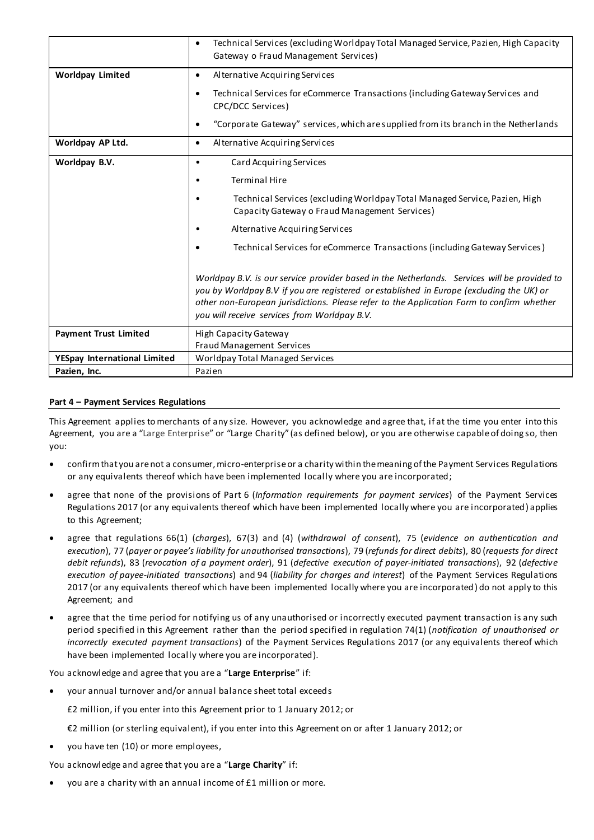|                              | Technical Services (excluding Worldpay Total Managed Service, Pazien, High Capacity<br>$\bullet$<br>Gateway o Fraud Management Services)                                                                                                                                                                                              |
|------------------------------|---------------------------------------------------------------------------------------------------------------------------------------------------------------------------------------------------------------------------------------------------------------------------------------------------------------------------------------|
| <b>Worldpay Limited</b>      | Alternative Acquiring Services<br>٠                                                                                                                                                                                                                                                                                                   |
|                              | Technical Services for eCommerce Transactions (including Gateway Services and<br>٠<br>CPC/DCC Services)                                                                                                                                                                                                                               |
|                              | "Corporate Gateway" services, which are supplied from its branch in the Netherlands<br>٠                                                                                                                                                                                                                                              |
| Worldpay AP Ltd.             | Alternative Acquiring Services<br>$\bullet$                                                                                                                                                                                                                                                                                           |
| Worldpay B.V.                | Card Acquiring Services<br>٠                                                                                                                                                                                                                                                                                                          |
|                              | <b>Terminal Hire</b>                                                                                                                                                                                                                                                                                                                  |
|                              | Technical Services (excluding Worldpay Total Managed Service, Pazien, High<br>Capacity Gateway o Fraud Management Services)                                                                                                                                                                                                           |
|                              | Alternative Acquiring Services                                                                                                                                                                                                                                                                                                        |
|                              | Technical Services for eCommerce Transactions (including Gateway Services)                                                                                                                                                                                                                                                            |
|                              | Worldpay B.V. is our service provider based in the Netherlands. Services will be provided to<br>you by Worldpay B.V if you are registered or established in Europe (excluding the UK) or<br>other non-European jurisdictions. Please refer to the Application Form to confirm whether<br>you will receive services from Worldpay B.V. |
| <b>Payment Trust Limited</b> | High Capacity Gateway                                                                                                                                                                                                                                                                                                                 |
| YESpay International Limited | Fraud Management Services<br>Worldpay Total Managed Services                                                                                                                                                                                                                                                                          |
| Pazien, Inc.                 | Pazien                                                                                                                                                                                                                                                                                                                                |
|                              |                                                                                                                                                                                                                                                                                                                                       |

#### **Part 4 – Payment Services Regulations**

This Agreement applies to merchants of any size. However, you acknowledge and agree that, if at the time you enter into this Agreement, you are a "Large Enterprise" or "Large Charity" (as defined below), or you are otherwise capable of doing so, then you:

- confirm that you are not a consumer, micro-enterprise or a charity within the meaning of the Payment Services Regulations or any equivalents thereof which have been implemented locally where you are incorporated;
- agree that none of the provisions of Part 6 (*Information requirements for payment services*) of the Payment Services Regulations 2017 (or any equivalents thereof which have been implemented locally where you are incorporated) applies to this Agreement;
- agree that regulations 66(1) (*charges*), 67(3) and (4) (*withdrawal of consent*), 75 (*evidence on authentication and execution*), 77 (*payer or payee's liability for unauthorised transactions*), 79 (*refunds for direct debits*), 80 (*requests for direct debit refunds*), 83 (*revocation of a payment order*), 91 (*defective execution of payer-initiated transactions*), 92 (*defective execution of payee-initiated transactions*) and 94 (*liability for charges and interest*) of the Payment Services Regulations 2017 (or any equivalents thereof which have been implemented locally where you are incorporated) do not apply to this Agreement; and
- agree that the time period for notifying us of any unauthorised or incorrectly executed payment transaction is any such period specified in this Agreement rather than the period specified in regulation 74(1) (*notification of unauthorised or incorrectly executed payment transactions*) of the Payment Services Regulations 2017 (or any equivalents thereof which have been implemented locally where you are incorporated).

You acknowledge and agree that you are a "**Large Enterprise**" if:

your annual turnover and/or annual balance sheet total exceeds

£2 million, if you enter into this Agreement prior to 1 January 2012; or

€2 million (or sterling equivalent), if you enter into this Agreement on or after 1 January 2012; or

you have ten (10) or more employees,

You acknowledge and agree that you are a "**Large Charity**" if:

you are a charity with an annual income of £1 million or more.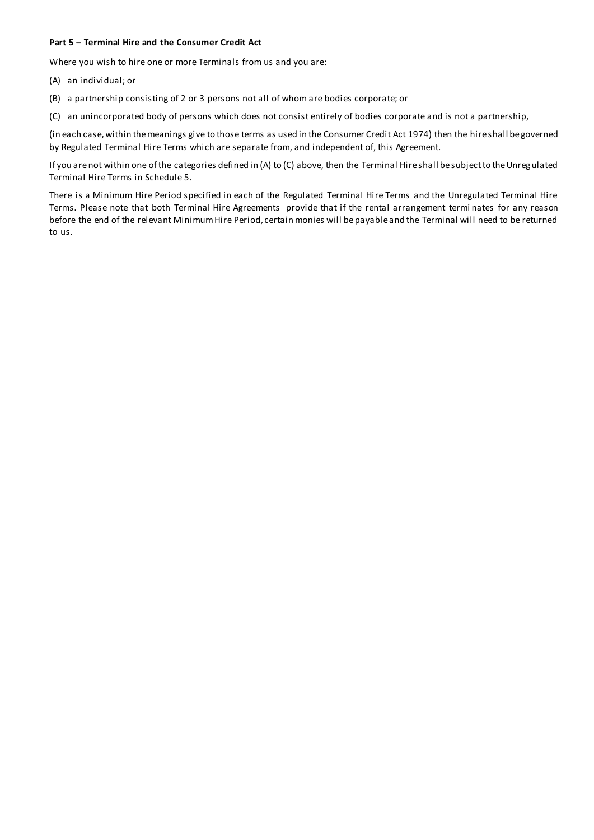#### **Part 5 – Terminal Hire and the Consumer Credit Act**

Where you wish to hire one or more Terminals from us and you are:

- (A) an individual; or
- (B) a partnership consisting of 2 or 3 persons not all of whom are bodies corporate; or
- (C) an unincorporated body of persons which does not consist entirely of bodies corporate and is not a partnership,

(in each case, within the meanings give to those terms as used in the Consumer Credit Act 1974) then the hire shall be governed by Regulated Terminal Hire Terms which are separate from, and independent of, this Agreement.

If you are not within one of the categories defined in (A) to (C) above, then the Terminal Hire shall be subject to the Unregulated Terminal Hire Terms in Schedule 5.

There is a Minimum Hire Period specified in each of the Regulated Terminal Hire Terms and the Unregulated Terminal Hire Terms. Please note that both Terminal Hire Agreements provide that if the rental arrangement termi nates for any reason before the end of the relevant Minimum Hire Period, certain monies will be payable and the Terminal will need to be returned to us.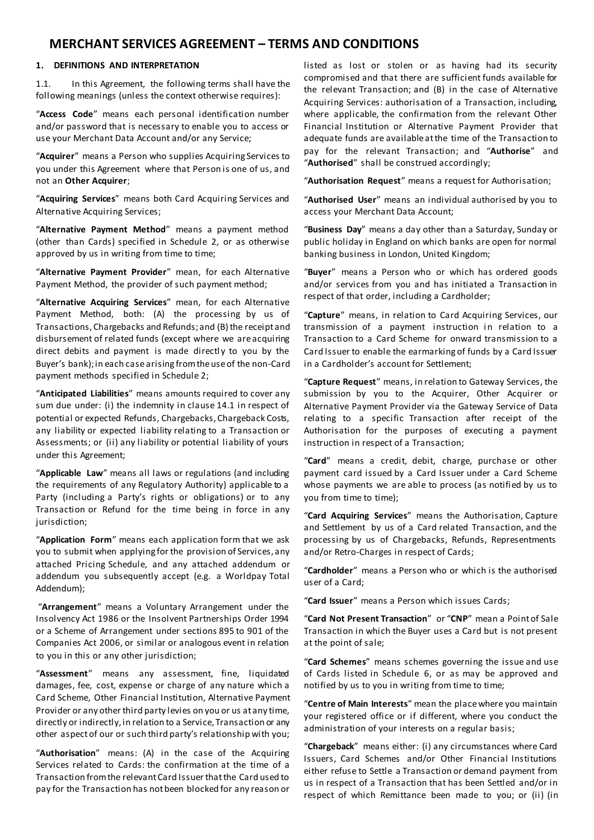# **MERCHANT SERVICES AGREEMENT – TERMS AND CONDITIONS**

#### **1. DEFINITIONS AND INTERPRETATION**

1.1. In this Agreement, the following terms shall have the following meanings (unless the context otherwise requires):

"**Access Code**" means each personal identification number and/or password that is necessary to enable you to access or use your Merchant Data Account and/or any Service;

"**Acquirer**" means a Person who supplies Acquiring Services to you under this Agreement where that Person is one of us, and not an **Other Acquirer**;

"**Acquiring Services**" means both Card Acquiring Services and Alternative Acquiring Services;

"**Alternative Payment Method**" means a payment method (other than Cards) specified in Schedule 2, or as otherwise approved by us in writing from time to time;

"**Alternative Payment Provider**" mean, for each Alternative Payment Method, the provider of such payment method;

"**Alternative Acquiring Services**" mean, for each Alternative Payment Method, both: (A) the processing by us of Transactions, Chargebacks and Refunds; and (B) the receipt and disbursement of related funds (except where we are acquiring direct debits and payment is made directly to you by the Buyer's bank); in each case arising from the use of the non-Card payment methods specified in Schedule 2;

"**Anticipated Liabilities**" means amounts required to cover any sum due under: (i) the indemnity in clause 14.1 in respect of potential or expected Refunds, Chargebacks, Chargeback Costs, any liability or expected liability relating to a Transaction or Assessments; or (ii) any liability or potential liability of yours under this Agreement;

"**Applicable Law**" means all laws or regulations (and including the requirements of any Regulatory Authority) applicable to a Party (including a Party's rights or obligations) or to any Transaction or Refund for the time being in force in any jurisdiction;

"**Application Form**" means each application form that we ask you to submit when applying for the provision of Services, any attached Pricing Schedule, and any attached addendum or addendum you subsequently accept (e.g. a Worldpay Total Addendum);

"**Arrangement**" means a Voluntary Arrangement under the Insolvency Act 1986 or the Insolvent Partnerships Order 1994 or a Scheme of Arrangement under sections 895 to 901 of the Companies Act 2006, or similar or analogous event in relation to you in this or any other jurisdiction;

"**Assessment**" means any assessment, fine, liquidated damages, fee, cost, expense or charge of any nature which a Card Scheme, Other Financial Institution, Alternative Payment Provider or any other third party levies on you or us at any time, directly or indirectly, in relation to a Service, Transaction or any other aspect of our or such third party's relationship with you;

"**Authorisation**" means: (A) in the case of the Acquiring Services related to Cards: the confirmation at the time of a Transaction from the relevant Card Issuer that the Card used to pay for the Transaction has not been blocked for any reason or listed as lost or stolen or as having had its security compromised and that there are sufficient funds available for the relevant Transaction; and (B) in the case of Alternative Acquiring Services: authorisation of a Transaction, including, where applicable, the confirmation from the relevant Other Financial Institution or Alternative Payment Provider that adequate funds are available at the time of the Transaction to pay for the relevant Transaction; and "**Authorise**" and "**Authorised**" shall be construed accordingly;

"**Authorisation Request**" means a request for Authorisation;

"**Authorised User**" means an individual authorised by you to access your Merchant Data Account;

"**Business Day**" means a day other than a Saturday, Sunday or public holiday in England on which banks are open for normal banking business in London, United Kingdom;

"**Buyer**" means a Person who or which has ordered goods and/or services from you and has initiated a Transaction in respect of that order, including a Cardholder;

"**Capture**" means, in relation to Card Acquiring Services, our transmission of a payment instruction in relation to a Transaction to a Card Scheme for onward transmission to a Card Issuer to enable the earmarking of funds by a Card Issuer in a Cardholder's account for Settlement;

"**Capture Request**" means, in relation to Gateway Services, the submission by you to the Acquirer, Other Acquirer or Alternative Payment Provider via the Gateway Service of Data relating to a specific Transaction after receipt of the Authorisation for the purposes of executing a payment instruction in respect of a Transaction;

"**Card**" means a credit, debit, charge, purchase or other payment card issued by a Card Issuer under a Card Scheme whose payments we are able to process (as notified by us to you from time to time);

"**Card Acquiring Services**" means the Authorisation, Capture and Settlement by us of a Card related Transaction, and the processing by us of Chargebacks, Refunds, Representments and/or Retro-Charges in respect of Cards;

"**Cardholder**" means a Person who or which is the authorised user of a Card;

"**Card Issuer**" means a Person which issues Cards;

"**Card Not Present Transaction**" or "**CNP**" mean a Point of Sale Transaction in which the Buyer uses a Card but is not present at the point of sale;

"**Card Schemes**" means schemes governing the issue and use of Cards listed in Schedule 6, or as may be approved and notified by us to you in writing from time to time;

"**Centre of Main Interests**" mean the place where you maintain your registered office or if different, where you conduct the administration of your interests on a regular basis;

"**Chargeback**" means either: (i) any circumstances where Card Issuers, Card Schemes and/or Other Financial Institutions either refuse to Settle a Transaction or demand payment from us in respect of a Transaction that has been Settled and/or in respect of which Remittance been made to you; or (ii) (in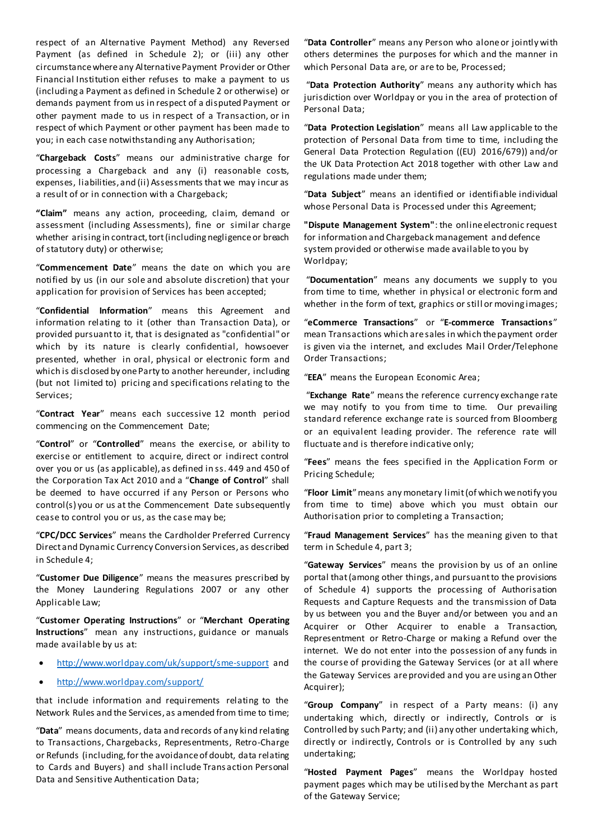respect of an Alternative Payment Method) any Reversed Payment (as defined in Schedule 2); or (iii) any other circumstance where any Alternative Payment Provider or Other Financial Institution either refuses to make a payment to us (including a Payment as defined in Schedule 2 or otherwise) or demands payment from us in respect of a disputed Payment or other payment made to us in respect of a Transaction, or in respect of which Payment or other payment has been made to you; in each case notwithstanding any Authorisation;

"**Chargeback Costs**" means our administrative charge for processing a Chargeback and any (i) reasonable costs, expenses, liabilities, and (ii) Assessments that we may incur as a result of or in connection with a Chargeback;

**"Claim"** means any action, proceeding, claim, demand or assessment (including Assessments), fine or similar charge whether arising in contract, tort (including negligence or breach of statutory duty) or otherwise;

"**Commencement Date**" means the date on which you are notified by us (in our sole and absolute discretion) that your application for provision of Services has been accepted;

"**Confidential Information**" means this Agreement and information relating to it (other than Transaction Data), or provided pursuant to it, that is designated as "confidential" or which by its nature is clearly confidential, howsoever presented, whether in oral, physical or electronic form and which is disclosed by one Party to another hereunder, including (but not limited to) pricing and specifications relating to the Services;

"**Contract Year**" means each successive 12 month period commencing on the Commencement Date;

"**Control**" or "**Controlled**" means the exercise, or ability to exercise or entitlement to acquire, direct or indirect control over you or us (as applicable), as defined in ss. 449 and 450 of the Corporation Tax Act 2010 and a "**Change of Control**" shall be deemed to have occurred if any Person or Persons who control(s) you or us at the Commencement Date subsequently cease to control you or us, as the case may be;

"**CPC/DCC Services**" means the Cardholder Preferred Currency Direct and Dynamic Currency Conversion Services, as described in Schedule 4;

"**Customer Due Diligence**" means the measures prescribed by the Money Laundering Regulations 2007 or any other Applicable Law;

"**Customer Operating Instructions**" or "**Merchant Operating Instructions**" mean any instructions, guidance or manuals made available by us at:

- <http://www.worldpay.com/uk/support/sme-support> and
- <http://www.worldpay.com/support/>

that include information and requirements relating to the Network Rules and the Services, as amended from time to time;

"**Data**" means documents, data and records of any kind relating to Transactions, Chargebacks, Representments, Retro-Charge or Refunds (including, for the avoidance of doubt, data relating to Cards and Buyers) and shall include Trans action Personal Data and Sensitive Authentication Data;

"**Data Controller**" means any Person who alone or jointly with others determines the purposes for which and the manner in which Personal Data are, or are to be, Processed;

"**Data Protection Authority**" means any authority which has jurisdiction over Worldpay or you in the area of protection of Personal Data;

"**Data Protection Legislation**" means all Law applicable to the protection of Personal Data from time to time, including the General Data Protection Regulation ((EU) 2016/679)) and/or the UK Data Protection Act 2018 together with other Law and regulations made under them;

"**Data Subject**" means an identified or identifiable individual whose Personal Data is Processed under this Agreement;

**"Dispute Management System"**: the online electronic request for information and Chargeback management and defence system provided or otherwise made available to you by Worldpay;

"**Documentation**" means any documents we supply to you from time to time, whether in physical or electronic form and whether in the form of text, graphics or still or moving images;

"**eCommerce Transactions**" or "**E-commerce Transactions**" mean Transactions which are sales in which the payment order is given via the internet, and excludes Mail Order/Telephone Order Transactions;

"**EEA**" means the European Economic Area;

"**Exchange Rate**" means the reference currency exchange rate we may notify to you from time to time. Our prevailing standard reference exchange rate is sourced from Bloomberg or an equivalent leading provider. The reference rate will fluctuate and is therefore indicative only;

"**Fees**" means the fees specified in the Application Form or Pricing Schedule;

"**Floor Limit**" means any monetary limit (of which we notify you from time to time) above which you must obtain our Authorisation prior to completing a Transaction;

"**Fraud Management Services**" has the meaning given to that term in Schedule 4, part 3;

"**Gateway Services**" means the provision by us of an online portal that (among other things, and pursuant to the provisions of Schedule 4) supports the processing of Authorisation Requests and Capture Requests and the transmission of Data by us between you and the Buyer and/or between you and an Acquirer or Other Acquirer to enable a Transaction, Representment or Retro-Charge or making a Refund over the internet. We do not enter into the possession of any funds in the course of providing the Gateway Services (or at all where the Gateway Services are provided and you are using an Other Acquirer);

"**Group Company**" in respect of a Party means: (i) any undertaking which, directly or indirectly, Controls or is Controlled by such Party; and (ii) any other undertaking which, directly or indirectly, Controls or is Controlled by any such undertaking;

"**Hosted Payment Pages**" means the Worldpay hosted payment pages which may be utilised by the Merchant as part of the Gateway Service;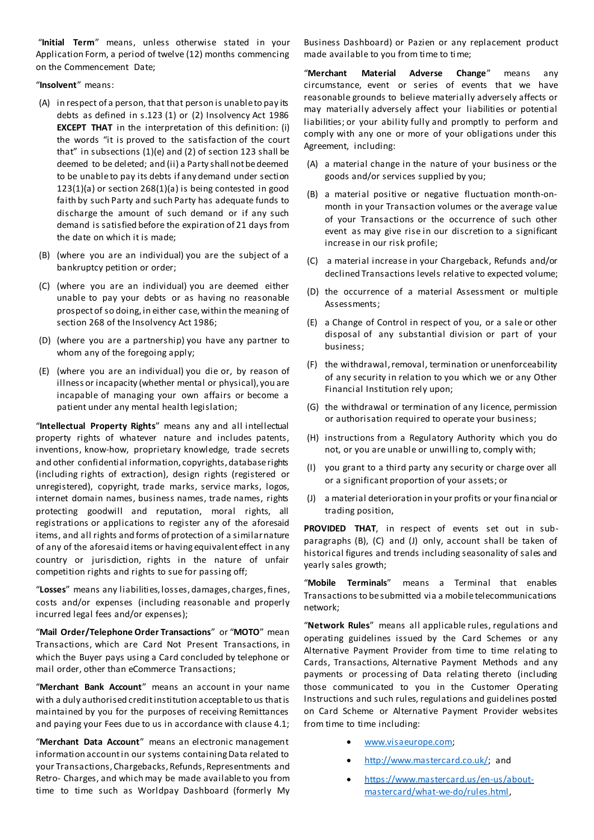"**Initial Term**" means, unless otherwise stated in your Application Form, a period of twelve (12) months commencing on the Commencement Date;

"**Insolvent**" means:

- (A) in respect of a person, that that person is unable to pay its debts as defined in s.123 (1) or (2) Insolvency Act 1986 **EXCEPT THAT** in the interpretation of this definition: (i) the words "it is proved to the satisfaction of the court that" in subsections (1)(e) and (2) of section 123 shall be deemed to be deleted; and (ii) a Party shall not be deemed to be unable to pay its debts if any demand under section 123(1)(a) or section 268(1)(a) is being contested in good faith by such Party and such Party has adequate funds to discharge the amount of such demand or if any such demand is satisfied before the expiration of 21 days from the date on which it is made;
- (B) (where you are an individual) you are the subject of a bankruptcy petition or order;
- (C) (where you are an individual) you are deemed either unable to pay your debts or as having no reasonable prospect of so doing, in either case, within the meaning of section 268 of the Insolvency Act 1986;
- (D) (where you are a partnership) you have any partner to whom any of the foregoing apply;
- (E) (where you are an individual) you die or, by reason of illness or incapacity (whether mental or physical), you are incapable of managing your own affairs or become a patient under any mental health legislation;

"**Intellectual Property Rights**" means any and all intellectual property rights of whatever nature and includes patents, inventions, know-how, proprietary knowledge, trade secrets and other confidential information, copyrights, database rights (including rights of extraction), design rights (registered or unregistered), copyright, trade marks, service marks, logos, internet domain names, business names, trade names, rights protecting goodwill and reputation, moral rights, all registrations or applications to register any of the aforesaid items, and all rights and forms of protection of a similar nature of any of the aforesaid items or having equivalent effect in any country or jurisdiction, rights in the nature of unfair competition rights and rights to sue for passing off;

"**Losses**" means any liabilities, losses, damages, charges, fines, costs and/or expenses (including reasonable and properly incurred legal fees and/or expenses);

"**Mail Order/Telephone Order Transactions**" or "**MOTO**" mean Transactions, which are Card Not Present Transactions, in which the Buyer pays using a Card concluded by telephone or mail order, other than eCommerce Transactions;

"**Merchant Bank Account**" means an account in your name with a duly authorised credit institution acceptable to us that is maintained by you for the purposes of receiving Remittances and paying your Fees due to us in accordance with clause 4.1;

"**Merchant Data Account**" means an electronic management information account in our systems containing Data related to your Transactions, Chargebacks, Refunds, Representments and Retro- Charges, and which may be made available to you from time to time such as Worldpay Dashboard (formerly My

Business Dashboard) or Pazien or any replacement product made available to you from time to time;

"**Merchant Material Adverse Change**" means any circumstance, event or series of events that we have reasonable grounds to believe materially adversely affects or may materially adversely affect your liabilities or potential liabilities; or your ability fully and promptly to perform and comply with any one or more of your obligations under this Agreement, including:

- (A) a material change in the nature of your business or the goods and/or services supplied by you;
- (B) a material positive or negative fluctuation month-onmonth in your Transaction volumes or the average value of your Transactions or the occurrence of such other event as may give rise in our discretion to a significant increase in our risk profile;
- (C) a material increase in your Chargeback, Refunds and/or declined Transactions levels relative to expected volume;
- (D) the occurrence of a material Assessment or multiple Assessments;
- (E) a Change of Control in respect of you, or a sale or other disposal of any substantial division or part of your business;
- (F) the withdrawal, removal, termination or unenforceability of any security in relation to you which we or any Other Financial Institution rely upon;
- (G) the withdrawal or termination of any licence, permission or authorisation required to operate your business;
- (H) instructions from a Regulatory Authority which you do not, or you are unable or unwilling to, comply with;
- (I) you grant to a third party any security or charge over all or a significant proportion of your assets; or
- (J) a material deterioration in your profits or your financial or trading position,

**PROVIDED THAT**, in respect of events set out in subparagraphs (B), (C) and (J) only, account shall be taken of historical figures and trends including seasonality of sales and yearly sales growth;

"**Mobile Terminals**" means a Terminal that enables Transactions to be submitted via a mobile telecommunications network;

"**Network Rules**" means all applicable rules, regulations and operating guidelines issued by the Card Schemes or any Alternative Payment Provider from time to time relating to Cards, Transactions, Alternative Payment Methods and any payments or processing of Data relating thereto (including those communicated to you in the Customer Operating Instructions and such rules, regulations and guidelines posted on Card Scheme or Alternative Payment Provider websites from time to time including:

- [www.visaeurope.com;](http://www.visaeurope.com/)
- [http://www.mastercard.co.uk/;](http://www.mastercard.co.uk/) and
- [https://www.mastercard.us/en-us/about](https://www.mastercard.us/en-us/about-mastercard/what-we-do/rules.html)[mastercard/what-we-do/rules.html,](https://www.mastercard.us/en-us/about-mastercard/what-we-do/rules.html)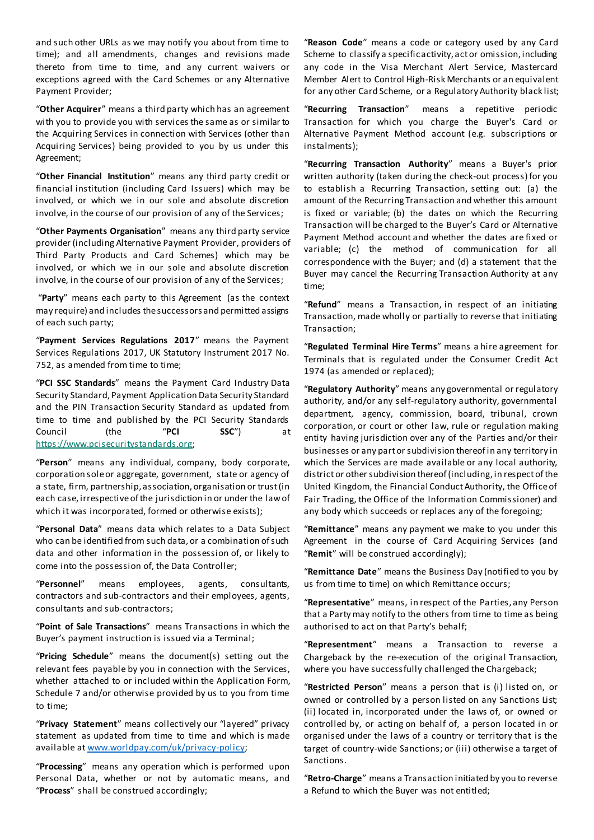and such other URLs as we may notify you about from time to time); and all amendments, changes and revisions made thereto from time to time, and any current waivers or exceptions agreed with the Card Schemes or any Alternative Payment Provider;

"**Other Acquirer**" means a third party which has an agreement with you to provide you with services the same as or similar to the Acquiring Services in connection with Services (other than Acquiring Services) being provided to you by us under this Agreement;

"**Other Financial Institution**" means any third party credit or financial institution (including Card Issuers) which may be involved, or which we in our sole and absolute discretion involve, in the course of our provision of any of the Services;

"**Other Payments Organisation**" means any third party service provider (including Alternative Payment Provider, providers of Third Party Products and Card Schemes) which may be involved, or which we in our sole and absolute discretion involve, in the course of our provision of any of the Services;

"**Party**" means each party to this Agreement (as the context may require) and includes the successors and permitted assigns of each such party;

"**Payment Services Regulations 2017**" means the Payment Services Regulations 2017, UK Statutory Instrument 2017 No. 752, as amended from time to time;

"**PCI SSC Standards**" means the Payment Card Industry Data Security Standard, Payment Application Data Security Standard and the PIN Transaction Security Standard as updated from time to time and published by the PCI Security Standards Council (the "**PCI SSC**") at [https://www.pcisecuritystandards.org;](https://www.pcisecuritystandards.org/)

"**Person**" means any individual, company, body corporate, corporation sole or aggregate, government, state or agency of a state, firm, partnership, association, organisation or trust (in each case, irrespective of the jurisdiction in or under the law of which it was incorporated, formed or otherwise exists);

"**Personal Data**" means data which relates to a Data Subject who can be identified from such data, or a combination of such data and other information in the possession of, or likely to come into the possession of, the Data Controller;

"**Personnel**" means employees, agents, consultants, contractors and sub-contractors and their employees, agents, consultants and sub-contractors;

"**Point of Sale Transactions**" means Transactions in which the Buyer's payment instruction is issued via a Terminal;

"**Pricing Schedule**" means the document(s) setting out the relevant fees payable by you in connection with the Services, whether attached to or included within the Application Form, Schedule 7 and/or otherwise provided by us to you from time to time;

"**Privacy Statement**" means collectively our "layered" privacy statement as updated from time to time and which is made available at [www.worldpay.com/uk/privacy-policy](http://www.worldpay.com/uk/privacy-policy);

"**Processing**" means any operation which is performed upon Personal Data, whether or not by automatic means, and "**Process**" shall be construed accordingly;

"**Reason Code**" means a code or category used by any Card Scheme to classify a specific activity, act or omission, including any code in the Visa Merchant Alert Service, Mastercard Member Alert to Control High-Risk Merchants or an equivalent for any other Card Scheme, or a Regulatory Authority black list;

"**Recurring Transaction**" means a repetitive periodic Transaction for which you charge the Buyer's Card or Alternative Payment Method account (e.g. subscriptions or instalments);

"**Recurring Transaction Authority**" means a Buyer's prior written authority (taken during the check-out process) for you to establish a Recurring Transaction, setting out: (a) the amount of the Recurring Transaction and whether this amount is fixed or variable; (b) the dates on which the Recurring Transaction will be charged to the Buyer's Card or Alternative Payment Method account and whether the dates are fixed or variable; (c) the method of communication for all correspondence with the Buyer; and (d) a statement that the Buyer may cancel the Recurring Transaction Authority at any time;

"**Refund**" means a Transaction, in respect of an initiating Transaction, made wholly or partially to reverse that initiating Transaction;

"**Regulated Terminal Hire Terms**" means a hire agreement for Terminals that is regulated under the Consumer Credit Act 1974 (as amended or replaced);

"**Regulatory Authority**" means any governmental or regulatory authority, and/or any self-regulatory authority, governmental department, agency, commission, board, tribunal, crown corporation, or court or other law, rule or regulation making entity having jurisdiction over any of the Parties and/or their businesses or any part or subdivision thereof in any territory in which the Services are made available or any local authority, district or other subdivision thereof (including, in respect of the United Kingdom, the Financial Conduct Authority, the Office of Fair Trading, the Office of the Information Commissioner) and any body which succeeds or replaces any of the foregoing;

"**Remittance**" means any payment we make to you under this Agreement in the course of Card Acquiring Services (and "**Remit**" will be construed accordingly);

"**Remittance Date**" means the Business Day (notified to you by us from time to time) on which Remittance occurs;

"**Representative**" means, in respect of the Parties, any Person that a Party may notify to the others from time to time as being authorised to act on that Party's behalf;

"**Representment**" means a Transaction to reverse a Chargeback by the re-execution of the original Transaction, where you have successfully challenged the Chargeback;

"**Restricted Person**" means a person that is (i) listed on, or owned or controlled by a person listed on any Sanctions List; (ii) located in, incorporated under the laws of, or owned or controlled by, or acting on behalf of, a person located in or organised under the laws of a country or territory that is the target of country-wide Sanctions; or (iii) otherwise a target of Sanctions.

"**Retro-Charge**" means a Transaction initiated by you to reverse a Refund to which the Buyer was not entitled;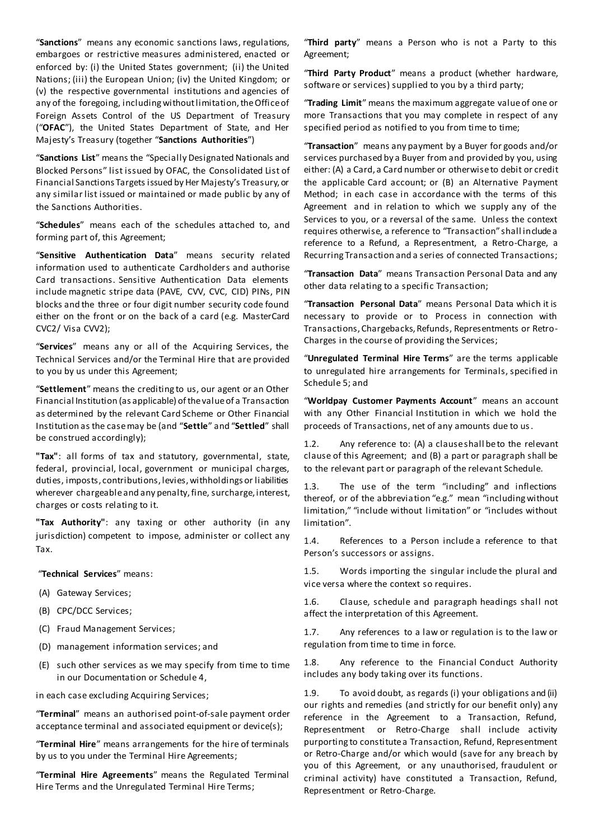"**Sanctions**" means any economic sanctions laws, regulations, embargoes or restrictive measures administered, enacted or enforced by: (i) the United States government; (ii) the United Nations; (iii) the European Union; (iv) the United Kingdom; or (v) the respective governmental institutions and agencies of any of the foregoing, including without limitation, the Office of Foreign Assets Control of the US Department of Treasury ("**OFAC**"), the United States Department of State, and Her Majesty's Treasury (together "**Sanctions Authorities**")

"**Sanctions List**" means the "Specially Designated Nationals and Blocked Persons" list issued by OFAC, the Consolidated List of Financial Sanctions Targets issued by Her Majesty's Treasury, or any similar list issued or maintained or made public by any of the Sanctions Authorities.

"**Schedules**" means each of the schedules attached to, and forming part of, this Agreement;

"**Sensitive Authentication Data**" means security related information used to authenticate Cardholders and authorise Card transactions. Sensitive Authentication Data elements include magnetic stripe data (PAVE, CVV, CVC, CID) PINs, PIN blocks and the three or four digit number security code found either on the front or on the back of a card (e.g. MasterCard CVC2/ Visa CVV2);

"**Services**" means any or all of the Acquiring Services, the Technical Services and/or the Terminal Hire that are provided to you by us under this Agreement;

"**Settlement**" means the crediting to us, our agent or an Other Financial Institution (as applicable) of the value of a Transaction as determined by the relevant Card Scheme or Other Financial Institution as the case may be (and "**Settle**" and "**Settled**" shall be construed accordingly);

**"Tax"**: all forms of tax and statutory, governmental, state, federal, provincial, local, government or municipal charges, duties, imposts, contributions, levies, withholdings or liabilities wherever chargeable and any penalty, fine, surcharge, interest, charges or costs relating to it.

**"Tax Authority"**: any taxing or other authority (in any jurisdiction) competent to impose, administer or collect any Tax.

"**Technical Services**" means:

- (A) Gateway Services;
- (B) CPC/DCC Services;
- (C) Fraud Management Services;
- (D) management information services; and
- (E) such other services as we may specify from time to time in our Documentation or Schedule 4,

in each case excluding Acquiring Services;

"**Terminal**" means an authorised point-of-sale payment order acceptance terminal and associated equipment or device(s);

"**Terminal Hire**" means arrangements for the hire of terminals by us to you under the Terminal Hire Agreements;

"**Terminal Hire Agreements**" means the Regulated Terminal Hire Terms and the Unregulated Terminal Hire Terms;

"**Third party**" means a Person who is not a Party to this Agreement;

"**Third Party Product**" means a product (whether hardware, software or services) supplied to you by a third party;

"**Trading Limit**" means the maximum aggregate value of one or more Transactions that you may complete in respect of any specified period as notified to you from time to time;

"**Transaction**" means any payment by a Buyer for goods and/or services purchased by a Buyer from and provided by you, using either: (A) a Card, a Card number or otherwise to debit or credit the applicable Card account; or (B) an Alternative Payment Method; in each case in accordance with the terms of this Agreement and in relation to which we supply any of the Services to you, or a reversal of the same. Unless the context requires otherwise, a reference to "Transaction" shall include a reference to a Refund, a Representment, a Retro-Charge, a Recurring Transaction and a series of connected Transactions;

"**Transaction Data**" means Transaction Personal Data and any other data relating to a specific Transaction;

"**Transaction Personal Data**" means Personal Data which it is necessary to provide or to Process in connection with Transactions, Chargebacks, Refunds, Representments or Retro-Charges in the course of providing the Services;

"**Unregulated Terminal Hire Terms**" are the terms applicable to unregulated hire arrangements for Terminals, specified in Schedule 5; and

"**Worldpay Customer Payments Account**" means an account with any Other Financial Institution in which we hold the proceeds of Transactions, net of any amounts due to us.

1.2. Any reference to: (A) a clause shall be to the relevant clause of this Agreement; and (B) a part or paragraph shall be to the relevant part or paragraph of the relevant Schedule.

1.3. The use of the term "including" and inflections thereof, or of the abbreviation "e.g." mean "including without limitation," "include without limitation" or "includes without limitation".

1.4. References to a Person include a reference to that Person's successors or assigns.

1.5. Words importing the singular include the plural and vice versa where the context so requires.

1.6. Clause, schedule and paragraph headings shall not affect the interpretation of this Agreement.

1.7. Any references to a law or regulation is to the law or regulation from time to time in force.

1.8. Any reference to the Financial Conduct Authority includes any body taking over its functions.

1.9. To avoid doubt, as regards (i) your obligations and (ii) our rights and remedies (and strictly for our benefit only) any reference in the Agreement to a Transaction, Refund, Representment or Retro-Charge shall include activity purporting to constitute a Transaction, Refund, Representment or Retro-Charge and/or which would (save for any breach by you of this Agreement, or any unauthorised, fraudulent or criminal activity) have constituted a Transaction, Refund, Representment or Retro-Charge.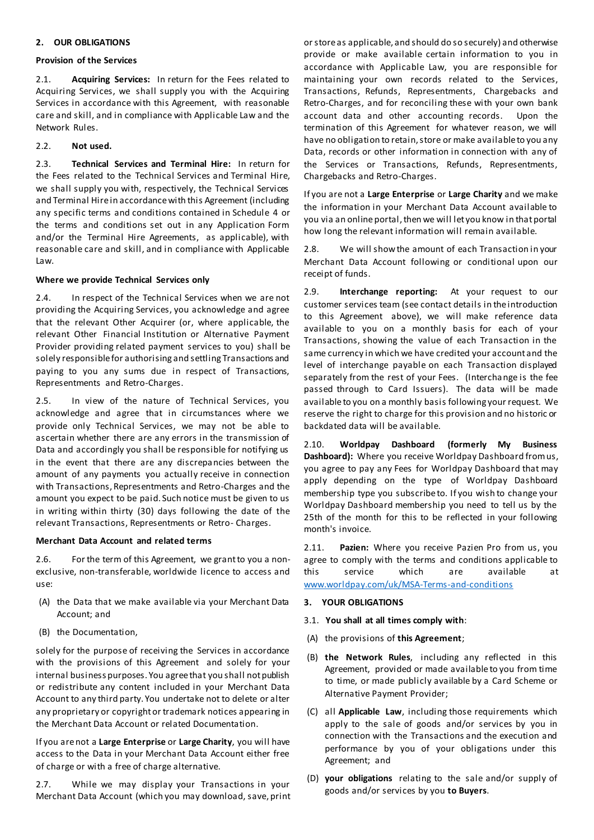#### **2. OUR OBLIGATIONS**

#### **Provision of the Services**

2.1. **Acquiring Services:** In return for the Fees related to Acquiring Services, we shall supply you with the Acquiring Services in accordance with this Agreement, with reasonable care and skill, and in compliance with Applicable Law and the Network Rules.

#### 2.2. **Not used.**

2.3. **Technical Services and Terminal Hire:** In return for the Fees related to the Technical Services and Terminal Hire, we shall supply you with, respectively, the Technical Services and Terminal Hire in accordance with this Agreement (including any specific terms and conditions contained in Schedule 4 or the terms and conditions set out in any Application Form and/or the Terminal Hire Agreements, as applicable), with reasonable care and skill, and in compliance with Applicable Law.

#### **Where we provide Technical Services only**

2.4. In respect of the Technical Services when we are not providing the Acquiring Services, you acknowledge and agree that the relevant Other Acquirer (or, where applicable, the relevant Other Financial Institution or Alternative Payment Provider providing related payment services to you) shall be solely responsible for authorising and settling Transactions and paying to you any sums due in respect of Transactions, Representments and Retro-Charges.

2.5. In view of the nature of Technical Services, you acknowledge and agree that in circumstances where we provide only Technical Services, we may not be able to ascertain whether there are any errors in the transmission of Data and accordingly you shall be responsible for notifying us in the event that there are any discrepancies between the amount of any payments you actually receive in connection with Transactions, Representments and Retro-Charges and the amount you expect to be paid. Such notice must be given to us in writing within thirty (30) days following the date of the relevant Transactions, Representments or Retro- Charges.

#### **Merchant Data Account and related terms**

2.6. For the term of this Agreement, we grant to you a nonexclusive, non-transferable, worldwide licence to access and use:

- (A) the Data that we make available via your Merchant Data Account; and
- (B) the Documentation,

solely for the purpose of receiving the Services in accordance with the provisions of this Agreement and solely for your internal business purposes. You agree that you shall not publish or redistribute any content included in your Merchant Data Account to any third party. You undertake not to delete or alter any proprietary or copyright or trademark notices appearing in the Merchant Data Account or related Documentation.

If you are not a **Large Enterprise** or **Large Charity**, you will have access to the Data in your Merchant Data Account either free of charge or with a free of charge alternative.

2.7. While we may display your Transactions in your Merchant Data Account (which you may download, save, print or store as applicable, and should do so securely) and otherwise provide or make available certain information to you in accordance with Applicable Law, you are responsible for maintaining your own records related to the Services, Transactions, Refunds, Representments, Chargebacks and Retro-Charges, and for reconciling these with your own bank account data and other accounting records. Upon the termination of this Agreement for whatever reason, we will have no obligation to retain, store or make available to you any Data, records or other information in connection with any of the Services or Transactions, Refunds, Representments, Chargebacks and Retro-Charges.

If you are not a **Large Enterprise** or **Large Charity** and we make the information in your Merchant Data Account available to you via an online portal, then we will let you know in that portal how long the relevant information will remain available.

2.8. We will show the amount of each Transaction in your Merchant Data Account following or conditional upon our receipt of funds.

2.9. **Interchange reporting:** At your request to our customer services team (see contact details in the introduction to this Agreement above), we will make reference data available to you on a monthly basis for each of your Transactions, showing the value of each Transaction in the same currency in which we have credited your account and the level of interchange payable on each Transaction displayed separately from the rest of your Fees. (Interchange is the fee passed through to Card Issuers). The data will be made available to you on a monthly basis following your request. We reserve the right to charge for this provision and no historic or backdated data will be available.

2.10. **Worldpay Dashboard (formerly My Business Dashboard):** Where you receive Worldpay Dashboard from us, you agree to pay any Fees for Worldpay Dashboard that may apply depending on the type of Worldpay Dashboard membership type you subscribe to. If you wish to change your Worldpay Dashboard membership you need to tell us by the 25th of the month for this to be reflected in your following month's invoice.

2.11. **Pazien:** Where you receive Pazien Pro from us, you agree to comply with the terms and conditions applicable to this service which are available at [www.worldpay.com/uk/MSA-Terms-and-conditions](http://www.worldpay.com/uk/MSA-Terms-and-conditions)

- **3. YOUR OBLIGATIONS**
- 3.1. **You shall at all times comply with**:
- (A) the provisions of **this Agreement**;
- (B) **the Network Rules**, including any reflected in this Agreement, provided or made available to you from time to time, or made publicly available by a Card Scheme or Alternative Payment Provider;
- (C) all **Applicable Law**, including those requirements which apply to the sale of goods and/or services by you in connection with the Transactions and the execution and performance by you of your obligations under this Agreement; and
- (D) **your obligations** relating to the sale and/or supply of goods and/or services by you **to Buyers**.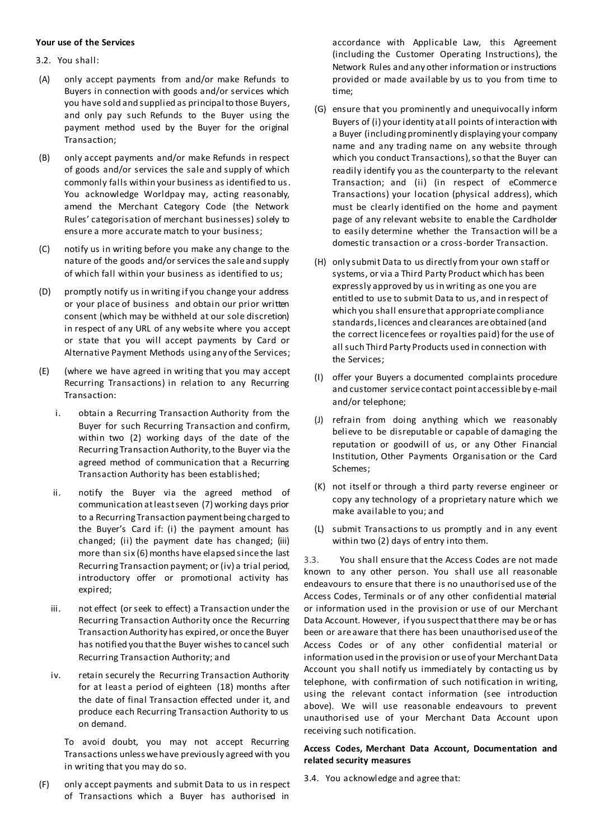#### **Your use of the Services**

- 3.2. You shall:
- (A) only accept payments from and/or make Refunds to Buyers in connection with goods and/or services which you have sold and supplied as principal to those Buyers, and only pay such Refunds to the Buyer using the payment method used by the Buyer for the original Transaction;
- (B) only accept payments and/or make Refunds in respect of goods and/or services the sale and supply of which commonly falls within your business as identified to us. You acknowledge Worldpay may, acting reasonably, amend the Merchant Category Code (the Network Rules' categorisation of merchant businesses) solely to ensure a more accurate match to your business;
- (C) notify us in writing before you make any change to the nature of the goods and/or services the sale and supply of which fall within your business as identified to us;
- (D) promptly notify us in writing if you change your address or your place of business and obtain our prior written consent (which may be withheld at our sole discretion) in respect of any URL of any website where you accept or state that you will accept payments by Card or Alternative Payment Methods using any of the Services;
- (E) (where we have agreed in writing that you may accept Recurring Transactions) in relation to any Recurring Transaction:
	- i. obtain a Recurring Transaction Authority from the Buyer for such Recurring Transaction and confirm, within two (2) working days of the date of the Recurring Transaction Authority, to the Buyer via the agreed method of communication that a Recurring Transaction Authority has been established;
	- ii. notify the Buyer via the agreed method of communication at least seven (7) working days prior to a Recurring Transaction payment being charged to the Buyer's Card if: (i) the payment amount has changed; (ii) the payment date has changed; (iii) more than six (6) months have elapsed since the last Recurring Transaction payment; or (iv) a trial period, introductory offer or promotional activity has expired;
	- iii. not effect (or seek to effect) a Transaction under the Recurring Transaction Authority once the Recurring Transaction Authority has expired, or once the Buyer has notified you that the Buyer wishes to cancel such Recurring Transaction Authority; and
	- iv. retain securely the Recurring Transaction Authority for at least a period of eighteen (18) months after the date of final Transaction effected under it, and produce each Recurring Transaction Authority to us on demand.

To avoid doubt, you may not accept Recurring Transactions unless we have previously agreed with you in writing that you may do so.

(F) only accept payments and submit Data to us in respect of Transactions which a Buyer has authorised in

accordance with Applicable Law, this Agreement (including the Customer Operating Instructions), the Network Rules and any other information or instructions provided or made available by us to you from time to time;

- (G) ensure that you prominently and unequivocally inform Buyers of (i) your identity at all points of interaction with a Buyer (including prominently displaying your company name and any trading name on any website through which you conduct Transactions), so that the Buyer can readily identify you as the counterparty to the relevant Transaction; and (ii) (in respect of eCommerce Transactions) your location (physical address), which must be clearly identified on the home and payment page of any relevant website to enable the Cardholder to easily determine whether the Transaction will be a domestic transaction or a cross-border Transaction.
- (H) only submit Data to us directly from your own staff or systems, or via a Third Party Product which has been expressly approved by us in writing as one you are entitled to use to submit Data to us, and in respect of which you shall ensure that appropriate compliance standards, licences and clearances are obtained (and the correct licence fees or royalties paid) for the use of all such Third Party Products used in connection with the Services;
- (I) offer your Buyers a documented complaints procedure and customer service contact point accessible by e-mail and/or telephone;
- (J) refrain from doing anything which we reasonably believe to be disreputable or capable of damaging the reputation or goodwill of us, or any Other Financial Institution, Other Payments Organisation or the Card Schemes;
- (K) not itself or through a third party reverse engineer or copy any technology of a proprietary nature which we make available to you; and
- (L) submit Transactions to us promptly and in any event within two (2) days of entry into them.

3.3. You shall ensure that the Access Codes are not made known to any other person. You shall use all reasonable endeavours to ensure that there is no unauthorised use of the Access Codes, Terminals or of any other confidential material or information used in the provision or use of our Merchant Data Account. However, if you suspect that there may be or has been or are aware that there has been unauthorised use of the Access Codes or of any other confidential material or information used in the provision or use of your Merchant Data Account you shall notify us immediately by contacting us by telephone, with confirmation of such notification in writing, using the relevant contact information (see introduction above). We will use reasonable endeavours to prevent unauthorised use of your Merchant Data Account upon receiving such notification.

#### **Access Codes, Merchant Data Account, Documentation and related security measures**

3.4. You acknowledge and agree that: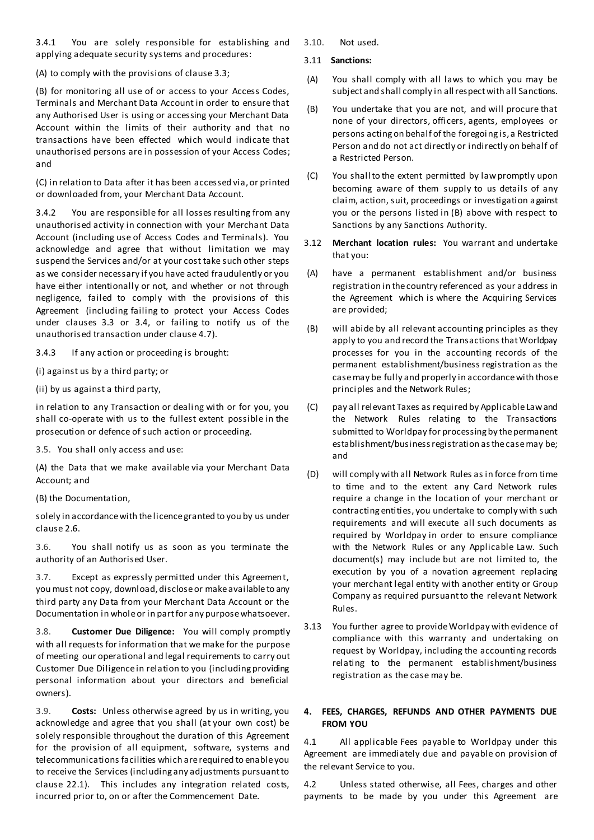3.4.1 You are solely responsible for establishing and applying adequate security systems and procedures:

(A) to comply with the provisions of clause 3.3;

(B) for monitoring all use of or access to your Access Codes, Terminals and Merchant Data Account in order to ensure that any Authorised User is using or accessing your Merchant Data Account within the limits of their authority and that no transactions have been effected which would indicate that unauthorised persons are in possession of your Access Codes; and

(C) in relation to Data after it has been accessed via, or printed or downloaded from, your Merchant Data Account.

3.4.2 You are responsible for all losses resulting from any unauthorised activity in connection with your Merchant Data Account (including use of Access Codes and Terminals). You acknowledge and agree that without limitation we may suspend the Services and/or at your cost take such other steps as we consider necessary if you have acted fraudulently or you have either intentionally or not, and whether or not through negligence, failed to comply with the provisions of this Agreement (including failing to protect your Access Codes under clauses 3.3 or 3.4, or failing to notify us of the unauthorised transaction under clause 4.7).

3.4.3 If any action or proceeding is brought:

(i) against us by a third party; or

(ii) by us against a third party,

in relation to any Transaction or dealing with or for you, you shall co-operate with us to the fullest extent possible in the prosecution or defence of such action or proceeding.

3.5. You shall only access and use:

(A) the Data that we make available via your Merchant Data Account; and

(B) the Documentation,

solely in accordance with the licence granted to you by us under clause 2.6.

3.6. You shall notify us as soon as you terminate the authority of an Authorised User.

3.7. Except as expressly permitted under this Agreement, you must not copy, download, disclose or make available to any third party any Data from your Merchant Data Account or the Documentation in whole or in part for any purpose whatsoever.

3.8. **Customer Due Diligence:** You will comply promptly with all requests for information that we make for the purpose of meeting our operational and legal requirements to carry out Customer Due Diligence in relation to you (including providing personal information about your directors and beneficial owners).

3.9. **Costs:** Unless otherwise agreed by us in writing, you acknowledge and agree that you shall (at your own cost) be solely responsible throughout the duration of this Agreement for the provision of all equipment, software, systems and telecommunications facilities which are required to enable you to receive the Services (including any adjustments pursuant to clause 22.1). This includes any integration related costs, incurred prior to, on or after the Commencement Date.

3.10. Not used.

#### 3.11 **Sanctions:**

- (A) You shall comply with all laws to which you may be subject and shall comply in all respect with all Sanctions.
- (B) You undertake that you are not, and will procure that none of your directors, officers, agents, employees or persons acting on behalf of the foregoing is, a Restricted Person and do not act directly or indirectly on behalf of a Restricted Person.
- (C) You shall to the extent permitted by law promptly upon becoming aware of them supply to us details of any claim, action, suit, proceedings or investigation against you or the persons listed in (B) above with respect to Sanctions by any Sanctions Authority.
- 3.12 **Merchant location rules:** You warrant and undertake that you:
- (A) have a permanent establishment and/or business registration in the country referenced as your address in the Agreement which is where the Acquiring Services are provided;
- (B) will abide by all relevant accounting principles as they apply to you and record the Transactions that Worldpay processes for you in the accounting records of the permanent establishment/business registration as the case may be fully and properly in accordance with those principles and the Network Rules;
- (C) pay all relevant Taxes as required by Applicable Law and the Network Rules relating to the Transactions submitted to Worldpay for processing by the permanent establishment/business registration as the case may be; and
- (D) will comply with all Network Rules as in force from time to time and to the extent any Card Network rules require a change in the location of your merchant or contracting entities, you undertake to comply with such requirements and will execute all such documents as required by Worldpay in order to ensure compliance with the Network Rules or any Applicable Law. Such document(s) may include but are not limited to, the execution by you of a novation agreement replacing your merchant legal entity with another entity or Group Company as required pursuant to the relevant Network Rules.
- 3.13 You further agree to provide Worldpay with evidence of compliance with this warranty and undertaking on request by Worldpay, including the accounting records relating to the permanent establishment/business registration as the case may be.

# **4. FEES, CHARGES, REFUNDS AND OTHER PAYMENTS DUE FROM YOU**

4.1 All applicable Fees payable to Worldpay under this Agreement are immediately due and payable on provision of the relevant Service to you.

4.2 Unless stated otherwise, all Fees, charges and other payments to be made by you under this Agreement are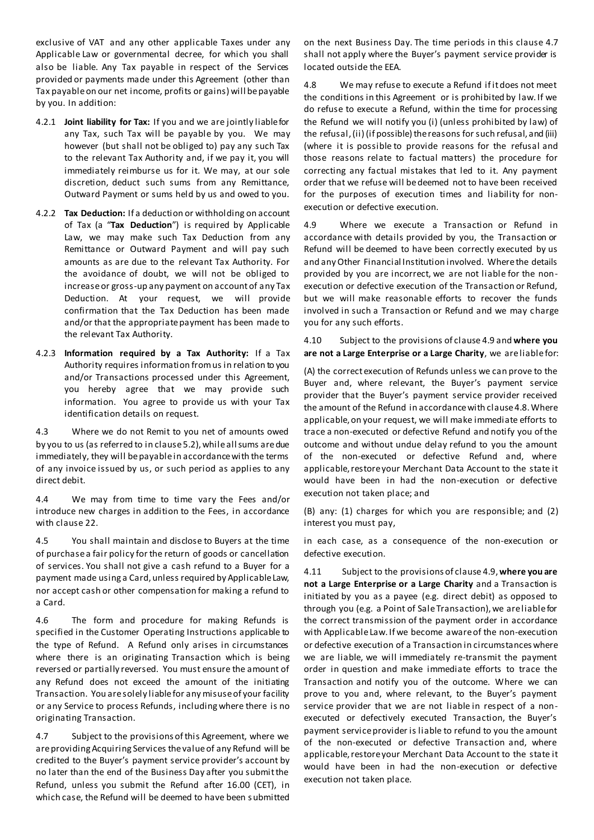exclusive of VAT and any other applicable Taxes under any Applicable Law or governmental decree, for which you shall also be liable. Any Tax payable in respect of the Services provided or payments made under this Agreement (other than Tax payable on our net income, profits or gains) will be payable by you. In addition:

- 4.2.1 **Joint liability for Tax:** If you and we are jointly liable for any Tax, such Tax will be payable by you. We may however (but shall not be obliged to) pay any such Tax to the relevant Tax Authority and, if we pay it, you will immediately reimburse us for it. We may, at our sole discretion, deduct such sums from any Remittance, Outward Payment or sums held by us and owed to you.
- 4.2.2 **Tax Deduction:** If a deduction or withholding on account of Tax (a "**Tax Deduction**") is required by Applicable Law, we may make such Tax Deduction from any Remittance or Outward Payment and will pay such amounts as are due to the relevant Tax Authority. For the avoidance of doubt, we will not be obliged to increase or gross-up any payment on account of any Tax Deduction. At your request, we will provide confirmation that the Tax Deduction has been made and/or that the appropriate payment has been made to the relevant Tax Authority.
- 4.2.3 **Information required by a Tax Authority:** If a Tax Authority requires information from us in relation to you and/or Transactions processed under this Agreement, you hereby agree that we may provide such information. You agree to provide us with your Tax identification details on request.

4.3 Where we do not Remit to you net of amounts owed by you to us (as referred to in clause 5.2), while all sums are due immediately, they will be payable in accordance with the terms of any invoice issued by us, or such period as applies to any direct debit.

4.4 We may from time to time vary the Fees and/or introduce new charges in addition to the Fees, in accordance with clause 22.

4.5 You shall maintain and disclose to Buyers at the time of purchase a fair policy for the return of goods or cancellation of services. You shall not give a cash refund to a Buyer for a payment made using a Card, unless required by Applicable Law, nor accept cash or other compensation for making a refund to a Card.

4.6 The form and procedure for making Refunds is specified in the Customer Operating Instructions applicable to the type of Refund. A Refund only arises in circumstances where there is an originating Transaction which is being reversed or partially reversed. You must ensure the amount of any Refund does not exceed the amount of the initiating Transaction. You are solely liable for any misuse of your facility or any Service to process Refunds, including where there is no originating Transaction.

4.7 Subject to the provisions of this Agreement, where we are providing Acquiring Services the value of any Refund will be credited to the Buyer's payment service provider's account by no later than the end of the Business Day after you submit the Refund, unless you submit the Refund after 16.00 (CET), in which case, the Refund will be deemed to have been submitted

on the next Business Day. The time periods in this clause 4.7 shall not apply where the Buyer's payment service provider is located outside the EEA.

4.8 We may refuse to execute a Refund if it does not meet the conditions in this Agreement or is prohibited by law. If we do refuse to execute a Refund, within the time for processing the Refund we will notify you (i) (unless prohibited by law) of the refusal, (ii) (if possible) the reasons for such refusal, and (iii) (where it is possible to provide reasons for the refusal and those reasons relate to factual matters) the procedure for correcting any factual mistakes that led to it. Any payment order that we refuse will be deemed not to have been received for the purposes of execution times and liability for nonexecution or defective execution.

4.9 Where we execute a Transaction or Refund in accordance with details provided by you, the Transaction or Refund will be deemed to have been correctly executed by us and any Other Financial Institution involved. Where the details provided by you are incorrect, we are not liable for the nonexecution or defective execution of the Transaction or Refund, but we will make reasonable efforts to recover the funds involved in such a Transaction or Refund and we may charge you for any such efforts.

4.10 Subject to the provisions of clause 4.9 and **where you are not a Large Enterprise or a Large Charity**, we are liable for:

(A) the correct execution of Refunds unless we can prove to the Buyer and, where relevant, the Buyer's payment service provider that the Buyer's payment service provider received the amount of the Refund in accordance with clause 4.8. Where applicable, on your request, we will make immediate efforts to trace a non-executed or defective Refund and notify you of the outcome and without undue delay refund to you the amount of the non-executed or defective Refund and, where applicable, restore your Merchant Data Account to the state it would have been in had the non-execution or defective execution not taken place; and

(B) any: (1) charges for which you are responsible; and (2) interest you must pay,

in each case, as a consequence of the non-execution or defective execution.

4.11 Subject to the provisions of clause 4.9,**where you are not a Large Enterprise or a Large Charity** and a Transaction is initiated by you as a payee (e.g. direct debit) as opposed to through you (e.g. a Point of Sale Transaction), we are liable for the correct transmission of the payment order in accordance with Applicable Law. If we become aware of the non-execution or defective execution of a Transaction in circumstances where we are liable, we will immediately re-transmit the payment order in question and make immediate efforts to trace the Transaction and notify you of the outcome. Where we can prove to you and, where relevant, to the Buyer's payment service provider that we are not liable in respect of a nonexecuted or defectively executed Transaction, the Buyer's payment service provider is liable to refund to you the amount of the non-executed or defective Transaction and, where applicable, restore your Merchant Data Account to the state it would have been in had the non-execution or defective execution not taken place.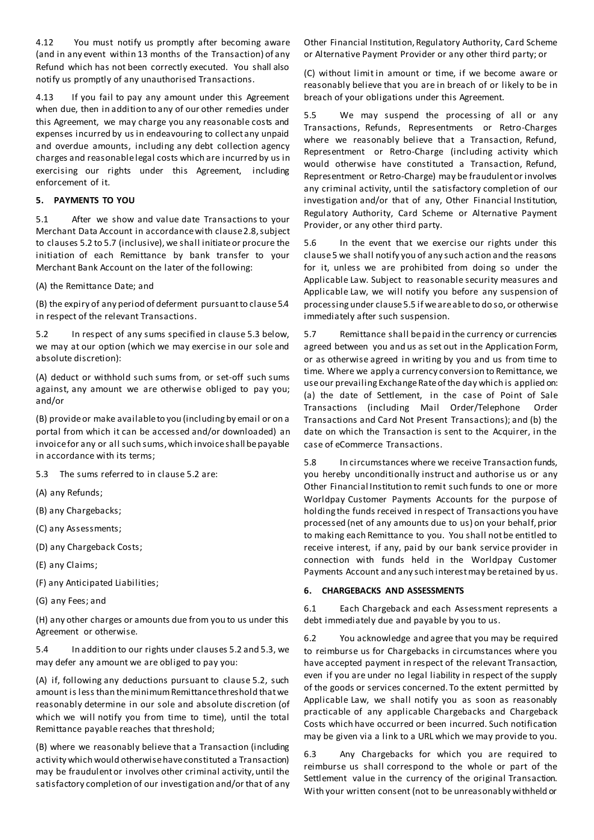4.12 You must notify us promptly after becoming aware (and in any event within 13 months of the Transaction) of any Refund which has not been correctly executed. You shall also notify us promptly of any unauthorised Transactions.

4.13 If you fail to pay any amount under this Agreement when due, then in addition to any of our other remedies under this Agreement, we may charge you any reasonable costs and expenses incurred by us in endeavouring to collect any unpaid and overdue amounts, including any debt collection agency charges and reasonable legal costs which are incurred by us in exercising our rights under this Agreement, including enforcement of it.

### **5. PAYMENTS TO YOU**

5.1 After we show and value date Transactions to your Merchant Data Account in accordance with clause 2.8, subject to clauses 5.2 to 5.7 (inclusive), we shall initiate or procure the initiation of each Remittance by bank transfer to your Merchant Bank Account on the later of the following:

(A) the Remittance Date; and

(B) the expiry of any period of deferment pursuant to clause 5.4 in respect of the relevant Transactions.

5.2 In respect of any sums specified in clause 5.3 below, we may at our option (which we may exercise in our sole and absolute discretion):

(A) deduct or withhold such sums from, or set-off such sums against, any amount we are otherwise obliged to pay you; and/or

(B) provide or make available to you (including by email or on a portal from which it can be accessed and/or downloaded) an invoice for any or all such sums, which invoice shall be payable in accordance with its terms;

5.3 The sums referred to in clause 5.2 are:

- (A) any Refunds;
- (B) any Chargebacks;
- (C) any Assessments;
- (D) any Chargeback Costs;
- (E) any Claims;
- (F) any Anticipated Liabilities;
- (G) any Fees; and

(H) any other charges or amounts due from you to us under this Agreement or otherwise.

5.4 In addition to our rights under clauses 5.2 and 5.3, we may defer any amount we are obliged to pay you:

(A) if, following any deductions pursuant to clause 5.2, such amount is less than the minimum Remittance threshold that we reasonably determine in our sole and absolute discretion (of which we will notify you from time to time), until the total Remittance payable reaches that threshold;

(B) where we reasonably believe that a Transaction (including activity which would otherwise have constituted a Transaction) may be fraudulent or involves other criminal activity, until the satisfactory completion of our investigation and/or that of any Other Financial Institution, Regulatory Authority, Card Scheme or Alternative Payment Provider or any other third party; or

(C) without limit in amount or time, if we become aware or reasonably believe that you are in breach of or likely to be in breach of your obligations under this Agreement.

5.5 We may suspend the processing of all or any Transactions, Refunds, Representments or Retro-Charges where we reasonably believe that a Transaction, Refund, Representment or Retro-Charge (including activity which would otherwise have constituted a Transaction, Refund, Representment or Retro-Charge) may be fraudulent or involves any criminal activity, until the satisfactory completion of our investigation and/or that of any, Other Financial Institution, Regulatory Authority, Card Scheme or Alternative Payment Provider, or any other third party.

5.6 In the event that we exercise our rights under this clause 5 we shall notify you of any such action and the reasons for it, unless we are prohibited from doing so under the Applicable Law. Subject to reasonable security measures and Applicable Law, we will notify you before any suspension of processing under clause 5.5 if we are able to do so, or otherwise immediately after such suspension.

5.7 Remittance shall be paid in the currency or currencies agreed between you and us as set out in the Application Form, or as otherwise agreed in writing by you and us from time to time. Where we apply a currency conversion to Remittance, we use our prevailing Exchange Rate of the day which is applied on: (a) the date of Settlement, in the case of Point of Sale Transactions (including Mail Order/Telephone Order Transactions and Card Not Present Transactions); and (b) the date on which the Transaction is sent to the Acquirer, in the case of eCommerce Transactions.

5.8 In circumstances where we receive Transaction funds, you hereby unconditionally instruct and authorise us or any Other Financial Institution to remit such funds to one or more Worldpay Customer Payments Accounts for the purpose of holding the funds received in respect of Transactions you have processed (net of any amounts due to us) on your behalf, prior to making each Remittance to you. You shall not be entitled to receive interest, if any, paid by our bank service provider in connection with funds held in the Worldpay Customer Payments Account and any such interest may be retained by us.

#### **6. CHARGEBACKS AND ASSESSMENTS**

6.1 Each Chargeback and each Assessment represents a debt immediately due and payable by you to us.

6.2 You acknowledge and agree that you may be required to reimburse us for Chargebacks in circumstances where you have accepted payment in respect of the relevant Transaction, even if you are under no legal liability in respect of the supply of the goods or services concerned. To the extent permitted by Applicable Law, we shall notify you as soon as reasonably practicable of any applicable Chargebacks and Chargeback Costs which have occurred or been incurred. Such notification may be given via a link to a URL which we may provide to you.

6.3 Any Chargebacks for which you are required to reimburse us shall correspond to the whole or part of the Settlement value in the currency of the original Transaction. With your written consent (not to be unreasonably withheld or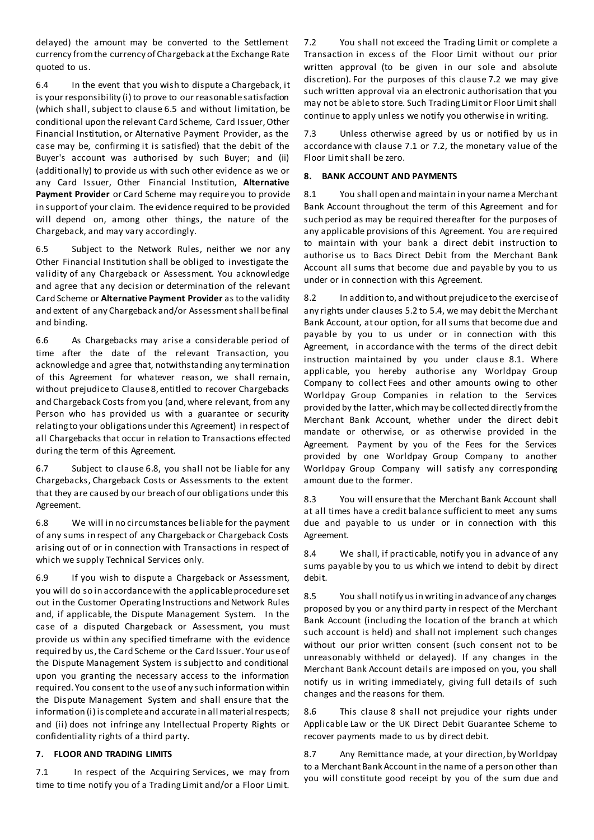delayed) the amount may be converted to the Settlement currency from the currency of Chargeback at the Exchange Rate quoted to us.

6.4 In the event that you wish to dispute a Chargeback, it is your responsibility (i) to prove to our reasonable satisfaction (which shall, subject to clause 6.5 and without limitation, be conditional upon the relevant Card Scheme, Card Issuer, Other Financial Institution, or Alternative Payment Provider, as the case may be, confirming it is satisfied) that the debit of the Buyer's account was authorised by such Buyer; and (ii) (additionally) to provide us with such other evidence as we or any Card Issuer, Other Financial Institution, **Alternative Payment Provider** or Card Scheme may require you to provide in support of your claim. The evidence required to be provided will depend on, among other things, the nature of the Chargeback, and may vary accordingly.

6.5 Subject to the Network Rules, neither we nor any Other Financial Institution shall be obliged to investigate the validity of any Chargeback or Assessment. You acknowledge and agree that any decision or determination of the relevant Card Scheme or **Alternative Payment Provider** as to the validity and extent of any Chargeback and/or Assessment shall be final and binding.

6.6 As Chargebacks may arise a considerable period of time after the date of the relevant Transaction, you acknowledge and agree that, notwithstanding any termination of this Agreement for whatever reason, we shall remain, without prejudice to Clause 8, entitled to recover Chargebacks and Chargeback Costs from you (and, where relevant, from any Person who has provided us with a guarantee or security relating to your obligations under this Agreement) in respect of all Chargebacks that occur in relation to Transactions effec ted during the term of this Agreement.

6.7 Subject to clause 6.8, you shall not be liable for any Chargebacks, Chargeback Costs or Assessments to the extent that they are caused by our breach of our obligations under this Agreement.

6.8 We will in no circumstances be liable for the payment of any sums in respect of any Chargeback or Chargeback Costs arising out of or in connection with Transactions in respect of which we supply Technical Services only.

6.9 If you wish to dispute a Chargeback or Assessment, you will do so in accordance with the applicable procedure set out in the Customer Operating Instructions and Network Rules and, if applicable, the Dispute Management System. In the case of a disputed Chargeback or Assessment, you must provide us within any specified timeframe with the evidence required by us, the Card Scheme or the Card Issuer. Your use of the Dispute Management System is subject to and conditional upon you granting the necessary access to the information required. You consent to the useof any such information within the Dispute Management System and shall ensure that the information (i) is complete and accurate in all material respects; and (ii) does not infringe any Intellectual Property Rights or confidentiality rights of a third party.

# **7. FLOOR AND TRADING LIMITS**

7.1 In respect of the Acquiring Services, we may from time to time notify you of a Trading Limit and/or a Floor Limit. 7.2 You shall not exceed the Trading Limit or complete a Transaction in excess of the Floor Limit without our prior written approval (to be given in our sole and absolute discretion). For the purposes of this clause 7.2 we may give such written approval via an electronic authorisation that you may not be able to store. Such Trading Limit or Floor Limit shall continue to apply unless we notify you otherwise in writing.

Unless otherwise agreed by us or notified by us in accordance with clause 7.1 or 7.2, the monetary value of the Floor Limit shall be zero.

#### **8. BANK ACCOUNT AND PAYMENTS**

8.1 You shall open and maintain in your name a Merchant Bank Account throughout the term of this Agreement and for such period as may be required thereafter for the purposes of any applicable provisions of this Agreement. You are required to maintain with your bank a direct debit instruction to authorise us to Bacs Direct Debit from the Merchant Bank Account all sums that become due and payable by you to us under or in connection with this Agreement.

8.2 In addition to, and without prejudice to the exercise of any rights under clauses 5.2 to 5.4, we may debit the Merchant Bank Account, at our option, for all sums that become due and payable by you to us under or in connection with this Agreement, in accordance with the terms of the direct debit instruction maintained by you under clause 8.1. Where applicable, you hereby authorise any Worldpay Group Company to collect Fees and other amounts owing to other Worldpay Group Companies in relation to the Services provided by the latter, which may be collected directly from the Merchant Bank Account, whether under the direct debit mandate or otherwise, or as otherwise provided in the Agreement. Payment by you of the Fees for the Services provided by one Worldpay Group Company to another Worldpay Group Company will satisfy any corresponding amount due to the former.

8.3 You will ensure that the Merchant Bank Account shall at all times have a credit balance sufficient to meet any sums due and payable to us under or in connection with this Agreement.

8.4 We shall, if practicable, notify you in advance of any sums payable by you to us which we intend to debit by direct debit.

8.5 You shall notify us in writing in advance of any changes proposed by you or any third party in respect of the Merchant Bank Account (including the location of the branch at which such account is held) and shall not implement such changes without our prior written consent (such consent not to be unreasonably withheld or delayed). If any changes in the Merchant Bank Account details are imposed on you, you shall notify us in writing immediately, giving full details of such changes and the reasons for them.

8.6 This clause 8 shall not prejudice your rights under Applicable Law or the UK Direct Debit Guarantee Scheme to recover payments made to us by direct debit.

8.7 Any Remittance made, at your direction, by Worldpay to a Merchant Bank Account in the name of a person other than you will constitute good receipt by you of the sum due and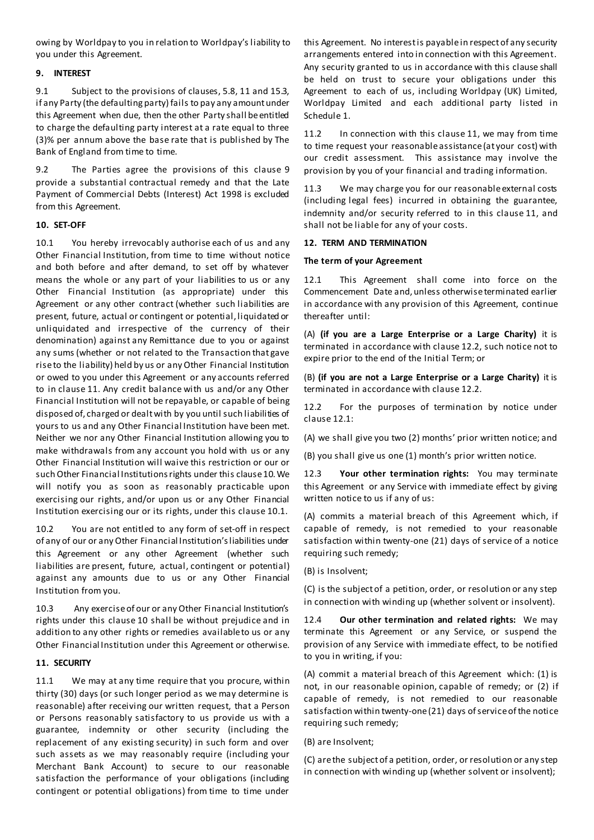owing by Worldpay to you in relation to Worldpay's liability to you under this Agreement.

## **9. INTEREST**

9.1 Subject to the provisions of clauses, 5.8, 11 and 15.3, if any Party (the defaulting party) fails to pay any amount under this Agreement when due, then the other Party shall be entitled to charge the defaulting party interest at a rate equal to three (3)% per annum above the base rate that is published by The Bank of England from time to time.

9.2 The Parties agree the provisions of this clause 9 provide a substantial contractual remedy and that the Late Payment of Commercial Debts (Interest) Act 1998 is excluded from this Agreement.

## **10. SET-OFF**

10.1 You hereby irrevocably authorise each of us and any Other Financial Institution, from time to time without notice and both before and after demand, to set off by whatever means the whole or any part of your liabilities to us or any Other Financial Institution (as appropriate) under this Agreement or any other contract (whether such liabilities are present, future, actual or contingent or potential, liquidated or unliquidated and irrespective of the currency of their denomination) against any Remittance due to you or against any sums (whether or not related to the Transaction that gave rise to the liability) held by us or any Other Financial Institution or owed to you under this Agreement or any accounts referred to in clause 11. Any credit balance with us and/or any Other Financial Institution will not be repayable, or capable of being disposed of, charged or dealt with by you until such liabilities of yours to us and any Other Financial Institution have been met. Neither we nor any Other Financial Institution allowing you to make withdrawals from any account you hold with us or any Other Financial Institution will waive this restriction or our or such Other Financial Institutions rights under this clause 10. We will notify you as soon as reasonably practicable upon exercising our rights, and/or upon us or any Other Financial Institution exercising our or its rights, under this clause 10.1.

10.2 You are not entitled to any form of set-off in respect of any of our or any Other Financial Institution's liabilities under this Agreement or any other Agreement (whether such liabilities are present, future, actual, contingent or potential) against any amounts due to us or any Other Financial Institution from you.

10.3 Any exercise of our or any Other Financial Institution's rights under this clause 10 shall be without prejudice and in addition to any other rights or remedies available to us or any Other Financial Institution under this Agreement or otherwise.

#### **11. SECURITY**

11.1 We may at any time require that you procure, within thirty (30) days (or such longer period as we may determine is reasonable) after receiving our written request, that a Person or Persons reasonably satisfactory to us provide us with a guarantee, indemnity or other security (including the replacement of any existing security) in such form and over such assets as we may reasonably require (including your Merchant Bank Account) to secure to our reasonable satisfaction the performance of your obligations (including contingent or potential obligations) from time to time under this Agreement. No interest is payable in respect of any security arrangements entered into in connection with this Agreement. Any security granted to us in accordance with this clause shall be held on trust to secure your obligations under this Agreement to each of us, including Worldpay (UK) Limited, Worldpay Limited and each additional party listed in Schedule 1.

11.2 In connection with this clause 11, we may from time to time request your reasonable assistance (at your cost) with our credit assessment. This assistance may involve the provision by you of your financial and trading information.

11.3 We may charge you for our reasonable external costs (including legal fees) incurred in obtaining the guarantee, indemnity and/or security referred to in this clause 11, and shall not be liable for any of your costs.

#### **12. TERM AND TERMINATION**

#### **The term of your Agreement**

12.1 This Agreement shall come into force on the Commencement Date and, unless otherwise terminated earlier in accordance with any provision of this Agreement, continue thereafter until:

(A) **(if you are a Large Enterprise or a Large Charity)** it is terminated in accordance with clause 12.2, such notice not to expire prior to the end of the Initial Term; or

(B) **(if you are not a Large Enterprise or a Large Charity)** it is terminated in accordance with clause 12.2.

12.2 For the purposes of termination by notice under clause 12.1:

(A) we shall give you two (2) months' prior written notice; and

(B) you shall give us one (1) month's prior written notice.

12.3 **Your other termination rights:** You may terminate this Agreement or any Service with immediate effect by giving written notice to us if any of us:

(A) commits a material breach of this Agreement which, if capable of remedy, is not remedied to your reasonable satisfaction within twenty-one (21) days of service of a notice requiring such remedy;

(B) is Insolvent;

(C) is the subject of a petition, order, or resolution or any step in connection with winding up (whether solvent or insolvent).

12.4 **Our other termination and related rights:** We may terminate this Agreement or any Service, or suspend the provision of any Service with immediate effect, to be notified to you in writing, if you:

(A) commit a material breach of this Agreement which: (1) is not, in our reasonable opinion, capable of remedy; or (2) if capable of remedy, is not remedied to our reasonable satisfaction within twenty-one (21) days of service of the notice requiring such remedy;

#### (B) are Insolvent;

(C) are the subject of a petition, order, or resolution or any step in connection with winding up (whether solvent or insolvent);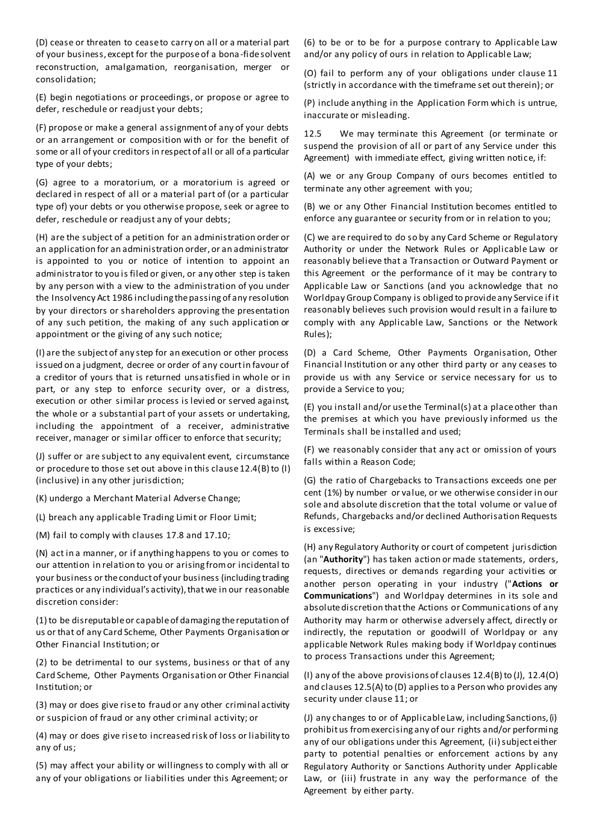(D) cease or threaten to cease to carry on all or a material part of your business, except for the purpose of a bona -fide solvent reconstruction, amalgamation, reorganisation, merger or consolidation;

(E) begin negotiations or proceedings, or propose or agree to defer, reschedule or readjust your debts;

(F) propose or make a general assignment of any of your debts or an arrangement or composition with or for the benefit of some or all of your creditors in respect of all or all of a particular type of your debts;

(G) agree to a moratorium, or a moratorium is agreed or declared in respect of all or a material part of (or a particular type of) your debts or you otherwise propose, seek or agree to defer, reschedule or readjust any of your debts;

(H) are the subject of a petition for an administration order or an application for an administration order, or an administrator is appointed to you or notice of intention to appoint an administrator to you is filed or given, or any other step is taken by any person with a view to the administration of you under the Insolvency Act 1986 including the passing of any resolution by your directors or shareholders approving the presentation of any such petition, the making of any such application or appointment or the giving of any such notice;

(I) are the subject of any step for an execution or other process issued on a judgment, decree or order of any court in favour of a creditor of yours that is returned unsatisfied in whole or in part, or any step to enforce security over, or a distress, execution or other similar process is levied or served against, the whole or a substantial part of your assets or undertaking, including the appointment of a receiver, administrative receiver, manager or similar officer to enforce that security;

(J) suffer or are subject to any equivalent event, circumstance or procedure to those set out above in this clause 12.4(B) to (I) (inclusive) in any other jurisdiction;

(K) undergo a Merchant Material Adverse Change;

(L) breach any applicable Trading Limit or Floor Limit;

(M) fail to comply with clauses 17.8 and 17.10;

(N) act in a manner, or if anything happens to you or comes to our attention in relation to you or arising from or incidental to your business or the conduct of your business (including trading practices or any individual's activity), that we in our reasonable discretion consider:

(1) to be disreputable or capable of damaging the reputation of us or that of any Card Scheme, Other Payments Organisation or Other Financial Institution; or

(2) to be detrimental to our systems, business or that of any Card Scheme, Other Payments Organisation or Other Financial Institution; or

(3) may or does give rise to fraud or any other criminal activity or suspicion of fraud or any other criminal activity; or

(4) may or does give rise to increased risk of loss or liability to any of us;

(5) may affect your ability or willingness to comply with all or any of your obligations or liabilities under this Agreement; or

(6) to be or to be for a purpose contrary to Applicable Law and/or any policy of ours in relation to Applicable Law;

(O) fail to perform any of your obligations under clause 11 (strictly in accordance with the timeframe set out therein); or

(P) include anything in the Application Form which is untrue, inaccurate or misleading.

12.5 We may terminate this Agreement (or terminate or suspend the provision of all or part of any Service under this Agreement) with immediate effect, giving written notice, if:

(A) we or any Group Company of ours becomes entitled to terminate any other agreement with you;

(B) we or any Other Financial Institution becomes entitled to enforce any guarantee or security from or in relation to you;

(C) we are required to do so by any Card Scheme or Regulatory Authority or under the Network Rules or Applicable Law or reasonably believe that a Transaction or Outward Payment or this Agreement or the performance of it may be contrary to Applicable Law or Sanctions (and you acknowledge that no Worldpay Group Company is obliged to provide any Service if it reasonably believes such provision would result in a failure to comply with any Applicable Law, Sanctions or the Network Rules);

(D) a Card Scheme, Other Payments Organisation, Other Financial Institution or any other third party or any ceases to provide us with any Service or service necessary for us to provide a Service to you;

(E) you install and/or use the Terminal(s) at a place other than the premises at which you have previously informed us the Terminals shall be installed and used;

(F) we reasonably consider that any act or omission of yours falls within a Reason Code;

(G) the ratio of Chargebacks to Transactions exceeds one per cent (1%) by number or value, or we otherwise consider in our sole and absolute discretion that the total volume or value of Refunds, Chargebacks and/or declined Authorisation Requests is excessive;

(H) any Regulatory Authority or court of competent jurisdiction (an "**Authority**") has taken action or made statements, orders, requests, directives or demands regarding your activities or another person operating in your industry ("**Actions or Communications**") and Worldpay determines in its sole and absolute discretion that the Actions or Communications of any Authority may harm or otherwise adversely affect, directly or indirectly, the reputation or goodwill of Worldpay or any applicable Network Rules making body if Worldpay continues to process Transactions under this Agreement;

(I) any of the above provisions of clauses 12.4(B) to (J), 12.4(O) and clauses 12.5(A) to (D) applies to a Person who provides any security under clause 11; or

(J) any changes to or of Applicable Law, including Sanctions, (i) prohibit us from exercising any of our rights and/or performing any of our obligations under this Agreement, (ii) subject either party to potential penalties or enforcement actions by any Regulatory Authority or Sanctions Authority under Applicable Law, or (iii) frustrate in any way the performance of the Agreement by either party.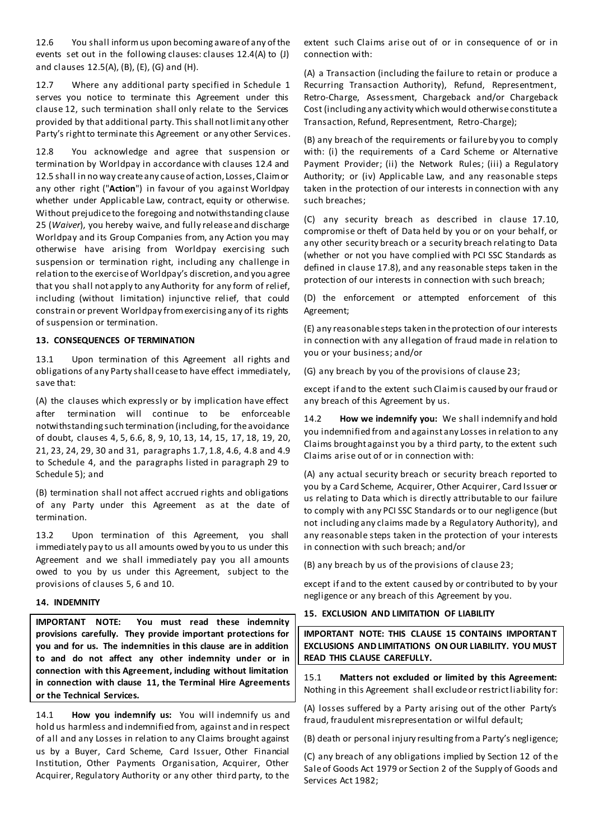12.6 You shall inform us upon becoming aware of any of the events set out in the following clauses: clauses 12.4(A) to (J) and clauses 12.5(A), (B), (E), (G) and (H).

12.7 Where any additional party specified in Schedule 1 serves you notice to terminate this Agreement under this clause 12, such termination shall only relate to the Services provided by that additional party. This shall not limit any other Party's right to terminate this Agreement or any other Services.

12.8 You acknowledge and agree that suspension or termination by Worldpay in accordance with clauses 12.4 and 12.5 shall in no way create any cause of action, Losses, Claim or any other right ("**Action**") in favour of you against Worldpay whether under Applicable Law, contract, equity or otherwise. Without prejudice to the foregoing and notwithstanding clause 25 (*Waiver*), you hereby waive, and fully release and discharge Worldpay and its Group Companies from, any Action you may otherwise have arising from Worldpay exercising such suspension or termination right, including any challenge in relation to the exercise of Worldpay's discretion, and you agree that you shall not apply to any Authority for any form of relief, including (without limitation) injunctive relief, that could constrain or prevent Worldpay from exercising any of its rights of suspension or termination.

#### **13. CONSEQUENCES OF TERMINATION**

13.1 Upon termination of this Agreement all rights and obligations of any Party shall cease to have effect immediately, save that:

(A) the clauses which expressly or by implication have effect after termination will continue to be enforceable notwithstanding such termination (including, for the avoidance of doubt, clauses 4, 5, 6.6, 8, 9, 10, 13, 14, 15, 17, 18, 19, 20, 21, 23, 24, 29, 30 and 31, paragraphs 1.7, 1.8, 4.6, 4.8 and 4.9 to Schedule 4, and the paragraphs listed in paragraph 29 to Schedule 5); and

(B) termination shall not affect accrued rights and obligations of any Party under this Agreement as at the date of termination.

13.2 Upon termination of this Agreement, you shall immediately pay to us all amounts owed by you to us under this Agreement and we shall immediately pay you all amounts owed to you by us under this Agreement, subject to the provisions of clauses 5, 6 and 10.

#### **14. INDEMNITY**

**IMPORTANT NOTE: You must read these indemnity provisions carefully. They provide important protections for you and for us. The indemnities in this clause are in addition to and do not affect any other indemnity under or in connection with this Agreement, including without limitation in connection with clause 11, the Terminal Hire Agreements or the Technical Services.**

14.1 **How you indemnify us:** You will indemnify us and hold us harmless and indemnified from, against and in respect of all and any Losses in relation to any Claims brought against us by a Buyer, Card Scheme, Card Issuer, Other Financial Institution, Other Payments Organisation, Acquirer, Other Acquirer, Regulatory Authority or any other third party, to the

extent such Claims arise out of or in consequence of or in connection with:

(A) a Transaction (including the failure to retain or produce a Recurring Transaction Authority), Refund, Representment, Retro-Charge, Assessment, Chargeback and/or Chargeback Cost (including any activity which would otherwise constitute a Transaction, Refund, Representment, Retro-Charge);

(B) any breach of the requirements or failure by you to comply with: (i) the requirements of a Card Scheme or Alternative Payment Provider; (ii) the Network Rules; (iii) a Regulatory Authority; or (iv) Applicable Law, and any reasonable steps taken in the protection of our interests in connection with any such breaches;

(C) any security breach as described in clause 17.10, compromise or theft of Data held by you or on your behalf, or any other security breach or a security breach relating to Data (whether or not you have complied with PCI SSC Standards as defined in clause 17.8), and any reasonable steps taken in the protection of our interests in connection with such breach;

(D) the enforcement or attempted enforcement of this Agreement;

(E) any reasonable steps taken in the protection of our interests in connection with any allegation of fraud made in relation to you or your business; and/or

(G) any breach by you of the provisions of clause 23;

except if and to the extent such Claim is caused by our fraud or any breach of this Agreement by us.

14.2 **How we indemnify you:** We shall indemnify and hold you indemnified from and against any Losses in relation to any Claims brought against you by a third party, to the extent such Claims arise out of or in connection with:

(A) any actual security breach or security breach reported to you by a Card Scheme, Acquirer, Other Acquirer, Card Issuer or us relating to Data which is directly attributable to our failure to comply with any PCI SSC Standards or to our negligence (but not including any claims made by a Regulatory Authority), and any reasonable steps taken in the protection of your interests in connection with such breach; and/or

(B) any breach by us of the provisions of clause 23;

except if and to the extent caused by or contributed to by your negligence or any breach of this Agreement by you.

#### **15. EXCLUSION AND LIMITATION OF LIABILITY**

**IMPORTANT NOTE: THIS CLAUSE 15 CONTAINS IMPORTANT EXCLUSIONS AND LIMITATIONS ON OUR LIABILITY. YOU MUST READ THIS CLAUSE CAREFULLY.**

15.1 **Matters not excluded or limited by this Agreement:** Nothing in this Agreement shall exclude or restrict liability for:

(A) losses suffered by a Party arising out of the other Party's fraud, fraudulent misrepresentation or wilful default;

(B) death or personal injury resulting from a Party's negligence;

(C) any breach of any obligations implied by Section 12 of the Sale of Goods Act 1979 or Section 2 of the Supply of Goods and Services Act 1982;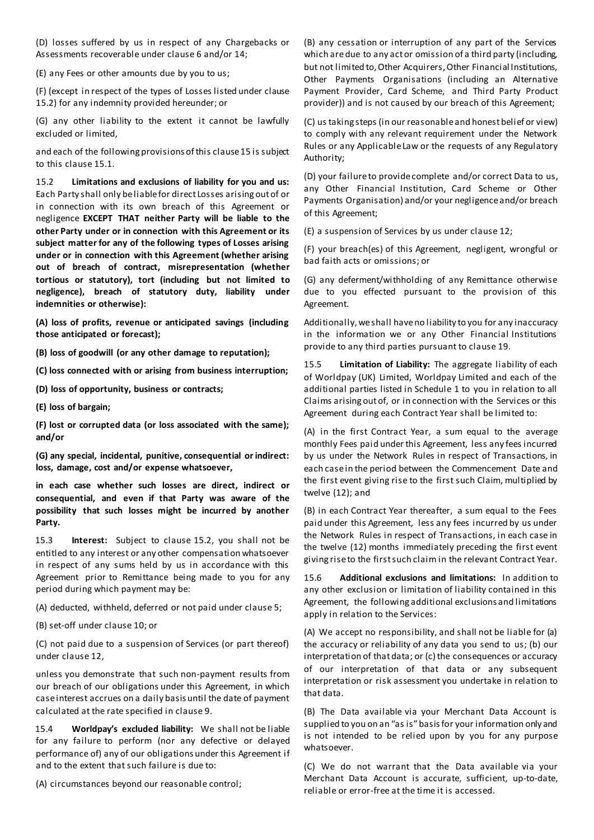(D) losses suffered by us in respect of any Chargebacks or Assessments recoverable under clause 6 and/or 14;

(E) any Fees or other amounts due by you to us;

(F) (except in respect of the types of Losses listed under clause 15.2) for any indemnity provided hereunder; or

(G) any other liability to the extent it cannot be lawfully excluded or limited,

and each of the following provisions of this clause 15 is subject to this clause 15.1.

15.2 **Limitations and exclusions of liability for you and us:** Each Party shall only be liable for direct Losses arising out of or in connection with its own breach of this Agreement or negligence **EXCEPT THAT neither Party will be liable to the other Party under or in connection with this Agreement or its subject matter for any of the following types of Losses arising under or in connection with this Agreement (whether arising out of breach of contract, misrepresentation (whether tortious or statutory), tort (including but not limited to negligence), breach of statutory duty, liability under indemnities or otherwise):**

**(A) loss of profits, revenue or anticipated savings (including those anticipated or forecast);** 

**(B) loss of goodwill (or any other damage to reputation);**

**(C) loss connected with or arising from business interruption;**

**(D) loss of opportunity, business or contracts;**

**(E) loss of bargain;** 

**(F) lost or corrupted data (or loss associated with the same); and/or** 

**(G) any special, incidental, punitive, consequential or indirect: loss, damage, cost and/or expense whatsoever,**

**in each case whether such losses are direct, indirect or consequential, and even if that Party was aware of the possibility that such losses might be incurred by another Party.**

15.3 **Interest:** Subject to clause 15.2, you shall not be entitled to any interest or any other compensation whatsoever in respect of any sums held by us in accordance with this Agreement prior to Remittance being made to you for any period during which payment may be:

(A) deducted, withheld, deferred or not paid under clause 5;

(B) set-off under clause 10; or

(C) not paid due to a suspension of Services (or part thereof) under clause 12,

unless you demonstrate that such non-payment results from our breach of our obligations under this Agreement, in which case interest accrues on a daily basis until the date of payment calculated at the rate specified in clause 9.

15.4 **Worldpay's excluded liability:** We shall not be liable for any failure to perform (nor any defective or delayed performance of) any of our obligations under this Agreement if and to the extent that such failure is due to:

(A) circumstances beyond our reasonable control;

(B) any cessation or interruption of any part of the Services which are due to any act or omission of a third party (including, but not limited to, Other Acquirers, Other Financial Institutions, Other Payments Organisations (including an Alternative Payment Provider, Card Scheme, and Third Party Product provider)) and is not caused by our breach of this Agreement;

(C) us taking steps (in our reasonable and honest belief or view) to comply with any relevant requirement under the Network Rules or any Applicable Law or the requests of any Regulatory Authority;

(D) your failure to provide complete and/or correct Data to us, any Other Financial Institution, Card Scheme or Other Payments Organisation) and/or your negligence and/or breach of this Agreement;

(E) a suspension of Services by us under clause 12;

(F) your breach(es) of this Agreement, negligent, wrongful or bad faith acts or omissions; or

(G) any deferment/withholding of any Remittance otherwise due to you effected pursuant to the provision of this Agreement.

Additionally, we shall have no liability to you for any inaccuracy in the information we or any Other Financial Institutions provide to any third parties pursuant to clause 19.

15.5 **Limitation of Liability:** The aggregate liability of each of Worldpay (UK) Limited, Worldpay Limited and each of the additional parties listed in Schedule 1 to you in relation to all Claims arising out of, or in connection with the Services or this Agreement during each Contract Year shall be limited to:

(A) in the first Contract Year, a sum equal to the average monthly Fees paid under this Agreement, less any fees incurred by us under the Network Rules in respect of Transactions, in each case in the period between the Commencement Date and the first event giving rise to the first such Claim, multiplied by twelve (12); and

(B) in each Contract Year thereafter, a sum equal to the Fees paid under this Agreement, less any fees incurred by us under the Network Rules in respect of Transactions, in each case in the twelve (12) months immediately preceding the first event giving rise to the first such claim in the relevant Contract Year.

15.6 **Additional exclusions and limitations:** In addition to any other exclusion or limitation of liability contained in this Agreement, the following additional exclusions and limitations apply in relation to the Services:

(A) We accept no responsibility, and shall not be liable for (a) the accuracy or reliability of any data you send to us; (b) our interpretation of that data; or (c) the consequences or accuracy of our interpretation of that data or any subsequent interpretation or risk assessment you undertake in relation to that data.

(B) The Data available via your Merchant Data Account is supplied to you on an "as is" basis for your information only and is not intended to be relied upon by you for any purpose whatsoever.

(C) We do not warrant that the Data available via your Merchant Data Account is accurate, sufficient, up-to-date, reliable or error-free at the time it is accessed.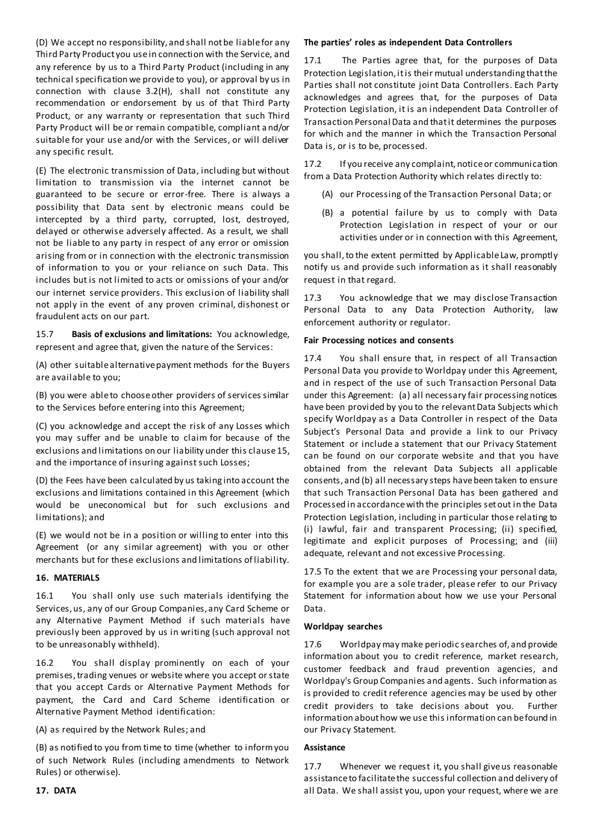(D) We accept no responsibility, and shall not be liable for any Third Party Product you use in connection with the Service, and any reference by us to a Third Party Product (including in any technical specification we provide to you), or approval by us in connection with clause 3.2(H), shall not constitute any recommendation or endorsement by us of that Third Party Product, or any warranty or representation that such Third Party Product will be or remain compatible, compliant and/or suitable for your use and/or with the Services, or will deliver any specific result.

(E) The electronic transmission of Data, including but without limitation to transmission via the internet cannot be guaranteed to be secure or error-free. There is always a possibility that Data sent by electronic means could be intercepted by a third party, corrupted, lost, destroyed, delayed or otherwise adversely affected. As a result, we shall not be liable to any party in respect of any error or omission arising from or in connection with the electronic transmission of information to you or your reliance on such Data. This includes but is not limited to acts or omissions of your and/or our internet service providers. This exclusion of liability shall not apply in the event of any proven criminal, dishonest or fraudulent acts on our part.

15.7 **Basis of exclusions and limitations:** You acknowledge, represent and agree that, given the nature of the Services:

(A) other suitable alternative payment methods for the Buyers are available to you;

(B) you were able to choose other providers of services similar to the Services before entering into this Agreement;

(C) you acknowledge and accept the risk of any Losses which you may suffer and be unable to claim for because of the exclusions and limitations on our liability under this clause 15, and the importance of insuring against such Losses;

(D) the Fees have been calculated by us taking into account the exclusions and limitations contained in this Agreement (which would be uneconomical but for such exclusions and limitations); and

(E) we would not be in a position or willing to enter into this Agreement (or any similar agreement) with you or other merchants but for these exclusions and limitations of liability.

#### **16. MATERIALS**

16.1 You shall only use such materials identifying the Services, us, any of our Group Companies, any Card Scheme or any Alternative Payment Method if such materials have previously been approved by us in writing (such approval not to be unreasonably withheld).

16.2 You shall display prominently on each of your premises, trading venues or website where you accept or state that you accept Cards or Alternative Payment Methods for payment, the Card and Card Scheme identification or Alternative Payment Method identification:

(A) as required by the Network Rules; and

(B) as notified to you from time to time (whether to inform you of such Network Rules (including amendments to Network Rules) or otherwise).

#### **The parties' roles as independent Data Controllers**

17.1 The Parties agree that, for the purposes of Data Protection Legislation, it is their mutual understanding that the Parties shall not constitute joint Data Controllers. Each Party acknowledges and agrees that, for the purposes of Data Protection Legislation, it is an independent Data Controller of Transaction Personal Data and that it determines the purposes for which and the manner in which the Transaction Personal Data is, or is to be, processed.

17.2 If you receive any complaint, notice or communication from a Data Protection Authority which relates directly to:

- (A) our Processing of the Transaction Personal Data; or
- (B) a potential failure by us to comply with Data Protection Legislation in respect of your or our activities under or in connection with this Agreement,

you shall, to the extent permitted by Applicable Law, promptly notify us and provide such information as it shall reasonably request in that regard.

17.3 You acknowledge that we may disclose Transaction Personal Data to any Data Protection Authority, law enforcement authority or regulator.

#### **Fair Processing notices and consents**

17.4 You shall ensure that, in respect of all Transaction Personal Data you provide to Worldpay under this Agreement, and in respect of the use of such Transaction Personal Data under this Agreement: (a) all necessary fair processing notices have been provided by you to the relevant Data Subjects which specify Worldpay as a Data Controller in respect of the Data Subject's Personal Data and provide a link to our Privacy Statement or include a statement that our Privacy Statement can be found on our corporate website and that you have obtained from the relevant Data Subjects all applicable consents, and (b) all necessary steps have been taken to ensure that such Transaction Personal Data has been gathered and Processed in accordance with the principles set out in the Data Protection Legislation, including in particular those relating to (i) lawful, fair and transparent Processing; (ii) specified, legitimate and explicit purposes of Processing; and (iii) adequate, relevant and not excessive Processing.

17.5 To the extent that we are Processing your personal data, for example you are a sole trader, please refer to our Privacy Statement for information about how we use your Personal Data.

#### **Worldpay searches**

17.6 Worldpay may make periodic searches of, and provide information about you to credit reference, market research, customer feedback and fraud prevention agencies, and Worldpay's Group Companies and agents. Such information as is provided to credit reference agencies may be used by other credit providers to take decisions about you. Further information about how we use this information can be found in our Privacy Statement.

#### **Assistance**

17.7 Whenever we request it, you shall give us reasonable assistance to facilitate the successful collection and delivery of all Data. We shall assist you, upon your request, where we are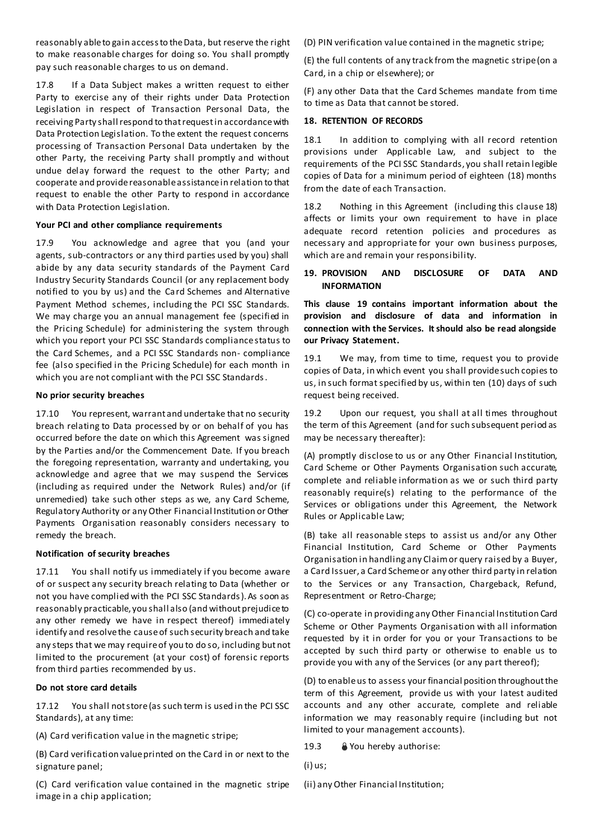reasonably able to gain access to the Data, but reserve the right to make reasonable charges for doing so. You shall promptly pay such reasonable charges to us on demand.

17.8 If a Data Subject makes a written request to either Party to exercise any of their rights under Data Protection Legislation in respect of Transaction Personal Data, the receiving Party shall respond to that request in accordance with Data Protection Legislation. To the extent the request concerns processing of Transaction Personal Data undertaken by the other Party, the receiving Party shall promptly and without undue delay forward the request to the other Party; and cooperate and provide reasonable assistance in relation to that request to enable the other Party to respond in accordance with Data Protection Legislation.

#### **Your PCI and other compliance requirements**

17.9 You acknowledge and agree that you (and your agents, sub-contractors or any third parties used by you) shall abide by any data security standards of the Payment Card Industry Security Standards Council (or any replacement body notified to you by us) and the Card Schemes and Alternative Payment Method schemes, including the PCI SSC Standards. We may charge you an annual management fee (specified in the Pricing Schedule) for administering the system through which you report your PCI SSC Standards compliance status to the Card Schemes, and a PCI SSC Standards non- compliance fee (also specified in the Pricing Schedule) for each month in which you are not compliant with the PCI SSC Standards.

#### **No prior security breaches**

17.10 You represent, warrant and undertake that no security breach relating to Data processed by or on behalf of you has occurred before the date on which this Agreement was signed by the Parties and/or the Commencement Date. If you breach the foregoing representation, warranty and undertaking, you acknowledge and agree that we may suspend the Services (including as required under the Network Rules) and/or (if unremedied) take such other steps as we, any Card Scheme, Regulatory Authority or any Other Financial Institution or Other Payments Organisation reasonably considers necessary to remedy the breach.

#### **Notification of security breaches**

17.11 You shall notify us immediately if you become aware of or suspect any security breach relating to Data (whether or not you have complied with the PCI SSC Standards). As soon as reasonably practicable, you shall also (and without prejudice to any other remedy we have in respect thereof) immediately identify and resolve the cause of such security breach and take any steps that we may require of you to do so, including but not limited to the procurement (at your cost) of forensic reports from third parties recommended by us.

#### **Do not store card details**

17.12 You shall not store (as such term is used in the PCI SSC Standards), at any time:

(A) Card verification value in the magnetic stripe;

(B) Card verification value printed on the Card in or next to the signature panel;

(C) Card verification value contained in the magnetic stripe image in a chip application;

(D) PIN verification value contained in the magnetic stripe;

(E) the full contents of any track from the magnetic stripe (on a Card, in a chip or elsewhere); or

(F) any other Data that the Card Schemes mandate from time to time as Data that cannot be stored.

#### **18. RETENTION OF RECORDS**

18.1 In addition to complying with all record retention provisions under Applicable Law, and subject to the requirements of the PCI SSC Standards, you shall retain legible copies of Data for a minimum period of eighteen (18) months from the date of each Transaction.

18.2 Nothing in this Agreement (including this clause 18) affects or limits your own requirement to have in place adequate record retention policies and procedures as necessary and appropriate for your own business purposes, which are and remain your responsibility.

#### **19. PROVISION AND DISCLOSURE OF DATA AND INFORMATION**

**This clause 19 contains important information about the provision and disclosure of data and information in connection with the Services. It should also be read alongside our Privacy Statement.**

19.1 We may, from time to time, request you to provide copies of Data, in which event you shall provide such copies to us, in such format specified by us, within ten (10) days of such request being received.

19.2 Upon our request, you shall at all times throughout the term of this Agreement (and for such subsequent period as may be necessary thereafter):

(A) promptly disclose to us or any Other Financial Institution, Card Scheme or Other Payments Organisation such accurate, complete and reliable information as we or such third party reasonably require(s) relating to the performance of the Services or obligations under this Agreement, the Network Rules or Applicable Law;

(B) take all reasonable steps to assist us and/or any Other Financial Institution, Card Scheme or Other Payments Organisation in handling any Claim or query raised by a Buyer, a Card Issuer, a Card Scheme or any other third party in relation to the Services or any Transaction, Chargeback, Refund, Representment or Retro-Charge;

(C) co-operate in providing any Other Financial Institution Card Scheme or Other Payments Organisation with all information requested by it in order for you or your Transactions to be accepted by such third party or otherwise to enable us to provide you with any of the Services (or any part thereof);

(D) to enable us to assess your financial position throughout the term of this Agreement, provide us with your latest audited accounts and any other accurate, complete and reliable information we may reasonably require (including but not limited to your management accounts).

19.3 **& You hereby authorise:** 

(i) us;

(ii) any Other Financial Institution;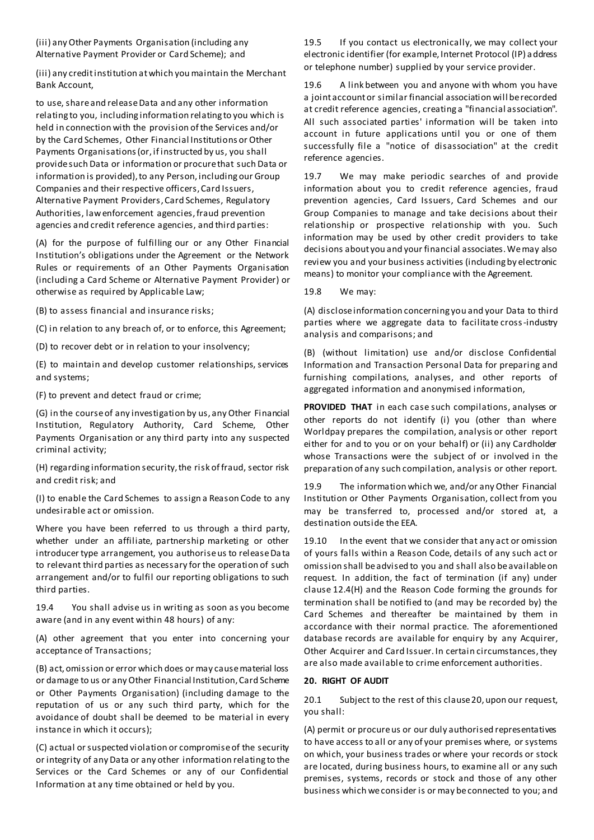(iii) any Other Payments Organisation (including any Alternative Payment Provider or Card Scheme); and

(iii) any credit institution at which you maintain the Merchant Bank Account,

to use, share and release Data and any other information relating to you, including information relating to you which is held in connection with the provision of the Services and/or by the Card Schemes, Other Financial Institutions or Other Payments Organisations (or, if instructed by us, you shall provide such Data or information or procure that such Data or information is provided), to any Person, including our Group Companies and their respective officers, Card Issuers, Alternative Payment Providers, Card Schemes, Regulatory Authorities, law enforcement agencies, fraud prevention agencies and credit reference agencies, and third parties:

(A) for the purpose of fulfilling our or any Other Financial Institution's obligations under the Agreement or the Network Rules or requirements of an Other Payments Organisation (including a Card Scheme or Alternative Payment Provider) or otherwise as required by Applicable Law;

(B) to assess financial and insurance risks;

(C) in relation to any breach of, or to enforce, this Agreement;

(D) to recover debt or in relation to your insolvency;

(E) to maintain and develop customer relationships, services and systems;

(F) to prevent and detect fraud or crime;

(G) in the course of any investigation by us, any Other Financial Institution, Regulatory Authority, Card Scheme, Other Payments Organisation or any third party into any suspected criminal activity;

(H) regarding information security, the risk of fraud, sector risk and credit risk; and

(I) to enable the Card Schemes to assign a Reason Code to any undesirable act or omission.

Where you have been referred to us through a third party, whether under an affiliate, partnership marketing or other introducer type arrangement, you authorise us to release Da ta to relevant third parties as necessary for the operation of such arrangement and/or to fulfil our reporting obligations to such third parties.

19.4 You shall advise us in writing as soon as you become aware (and in any event within 48 hours) of any:

(A) other agreement that you enter into concerning your acceptance of Transactions;

(B) act, omission or error which does or may cause material loss or damage to us or any Other Financial Institution, Card Scheme or Other Payments Organisation) (including damage to the reputation of us or any such third party, which for the avoidance of doubt shall be deemed to be material in every instance in which it occurs);

(C) actual or suspected violation or compromise of the security or integrity of any Data or any other information relating to the Services or the Card Schemes or any of our Confidential Information at any time obtained or held by you.

19.5 If you contact us electronically, we may collect your electronic identifier (for example, Internet Protocol (IP) address or telephone number) supplied by your service provider.

19.6 A link between you and anyone with whom you have a joint account or similar financial association will be recorded at credit reference agencies, creating a "financial association". All such associated parties' information will be taken into account in future applications until you or one of them successfully file a "notice of disassociation" at the credit reference agencies.

19.7 We may make periodic searches of and provide information about you to credit reference agencies, fraud prevention agencies, Card Issuers, Card Schemes and our Group Companies to manage and take decisions about their relationship or prospective relationship with you. Such information may be used by other credit providers to take decisions about you and your financial associates. We may also review you and your business activities (including by electronic means) to monitor your compliance with the Agreement.

19.8 We may:

(A) disclose information concerning you and your Data to third parties where we aggregate data to facilitate cross-industry analysis and comparisons; and

(B) (without limitation) use and/or disclose Confidential Information and Transaction Personal Data for preparing and furnishing compilations, analyses, and other reports of aggregated information and anonymised information,

**PROVIDED THAT** in each case such compilations, analyses or other reports do not identify (i) you (other than where Worldpay prepares the compilation, analysis or other report either for and to you or on your behalf) or (ii) any Cardholder whose Transactions were the subject of or involved in the preparation of any such compilation, analysis or other report.

19.9 The information which we, and/or any Other Financial Institution or Other Payments Organisation, collect from you may be transferred to, processed and/or stored at, a destination outside the EEA.

19.10 In the event that we consider that any act or omission of yours falls within a Reason Code, details of any such act or omission shall be advised to you and shall also be available on request. In addition, the fact of termination (if any) under clause 12.4(H) and the Reason Code forming the grounds for termination shall be notified to (and may be recorded by) the Card Schemes and thereafter be maintained by them in accordance with their normal practice. The aforementioned database records are available for enquiry by any Acquirer, Other Acquirer and Card Issuer. In certain circumstances, they are also made available to crime enforcement authorities.

#### **20. RIGHT OF AUDIT**

20.1 Subject to the rest of this clause 20, upon our request, you shall:

(A) permit or procure us or our duly authorised representatives to have access to all or any of your premises where, or systems on which, your business trades or where your records or stock are located, during business hours, to examine all or any such premises, systems, records or stock and those of any other business which we consider is or may be connected to you; and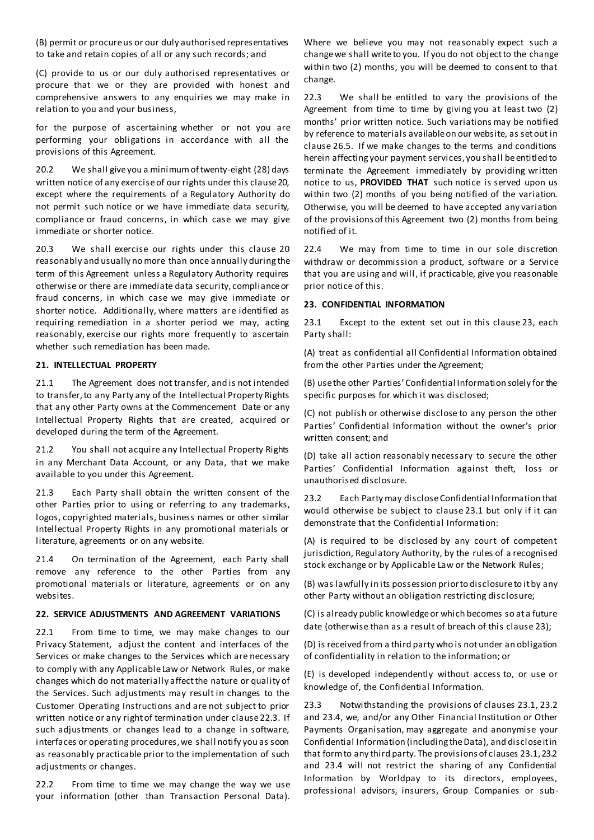(B) permit or procure us or our duly authorised representatives to take and retain copies of all or any such records; and

(C) provide to us or our duly authorised representatives or procure that we or they are provided with honest and comprehensive answers to any enquiries we may make in relation to you and your business,

for the purpose of ascertaining whether or not you are performing your obligations in accordance with all the provisions of this Agreement.

20.2 We shall give you a minimum of twenty-eight (28) days written notice of any exercise of our rights under this clause 20, except where the requirements of a Regulatory Authority do not permit such notice or we have immediate data security, compliance or fraud concerns, in which case we may give immediate or shorter notice.

20.3 We shall exercise our rights under this clause 20 reasonably and usually no more than once annually during the term of this Agreement unless a Regulatory Authority requires otherwise or there are immediate data security, compliance or fraud concerns, in which case we may give immediate or shorter notice. Additionally, where matters are identified as requiring remediation in a shorter period we may, acting reasonably, exercise our rights more frequently to ascertain whether such remediation has been made.

#### **21. INTELLECTUAL PROPERTY**

21.1 The Agreement does not transfer, and is not intended to transfer, to any Party any of the Intellectual Property Rights that any other Party owns at the Commencement Date or any Intellectual Property Rights that are created, acquired or developed during the term of the Agreement.

21.2 You shall not acquire any Intellectual Property Rights in any Merchant Data Account, or any Data, that we make available to you under this Agreement.

21.3 Each Party shall obtain the written consent of the other Parties prior to using or referring to any trademarks, logos, copyrighted materials, business names or other similar Intellectual Property Rights in any promotional materials or literature, agreements or on any website.

21.4 On termination of the Agreement, each Party shall remove any reference to the other Parties from any promotional materials or literature, agreements or on any websites.

### **22. SERVICE ADJUSTMENTS AND AGREEMENT VARIATIONS**

22.1 From time to time, we may make changes to our Privacy Statement, adjust the content and interfaces of the Services or make changes to the Services which are necessary to comply with any Applicable Law or Network Rules, or make changes which do not materially affect the nature or quality of the Services. Such adjustments may result in changes to the Customer Operating Instructions and are not subject to prior written notice or any right of termination under clause 22.3. If such adjustments or changes lead to a change in software, interfaces or operating procedures, we shall notify you as soon as reasonably practicable prior to the implementation of such adjustments or changes.

22.2 From time to time we may change the way we use your information (other than Transaction Personal Data).

Where we believe you may not reasonably expect such a change we shall write to you. If you do not object to the change within two (2) months, you will be deemed to consent to that change.

22.3 We shall be entitled to vary the provisions of the Agreement from time to time by giving you at least two (2) months' prior written notice. Such variations may be notified by reference to materials available on our website, as set out in clause 26.5. If we make changes to the terms and conditions herein affecting your payment services, you shall be entitled to terminate the Agreement immediately by providing written notice to us, **PROVIDED THAT** such notice is served upon us within two (2) months of you being notified of the variation. Otherwise, you will be deemed to have accepted any variation of the provisions of this Agreement two (2) months from being notified of it.

22.4 We may from time to time in our sole discretion withdraw or decommission a product, software or a Service that you are using and will, if practicable, give you reasonable prior notice of this.

#### **23. CONFIDENTIAL INFORMATION**

23.1 Except to the extent set out in this clause 23, each Party shall:

(A) treat as confidential all Confidential Information obtained from the other Parties under the Agreement;

(B) use the other Parties' Confidential Information solely for the specific purposes for which it was disclosed;

(C) not publish or otherwise disclose to any person the other Parties' Confidential Information without the owner's prior written consent; and

(D) take all action reasonably necessary to secure the other Parties' Confidential Information against theft, loss or unauthorised disclosure.

23.2 Each Party may disclose Confidential Information that would otherwise be subject to clause 23.1 but only if it can demonstrate that the Confidential Information:

(A) is required to be disclosed by any court of competent jurisdiction, Regulatory Authority, by the rules of a recognised stock exchange or by Applicable Law or the Network Rules;

(B) was lawfully in its possession prior to disclosure to it by any other Party without an obligation restricting disclosure;

(C) is already public knowledge or which becomes so at a future date (otherwise than as a result of breach of this clause 23);

(D) is received from a third party who is not under an obligation of confidentiality in relation to the information; or

(E) is developed independently without access to, or use or knowledge of, the Confidential Information.

23.3 Notwithstanding the provisions of clauses 23.1, 23.2 and 23.4, we, and/or any Other Financial Institution or Other Payments Organisation, may aggregate and anonymise your Confidential Information (including the Data), and disclose it in that form to any third party. The provisions of clauses 23.1, 23.2 and 23.4 will not restrict the sharing of any Confidential Information by Worldpay to its directors, employees, professional advisors, insurers, Group Companies or sub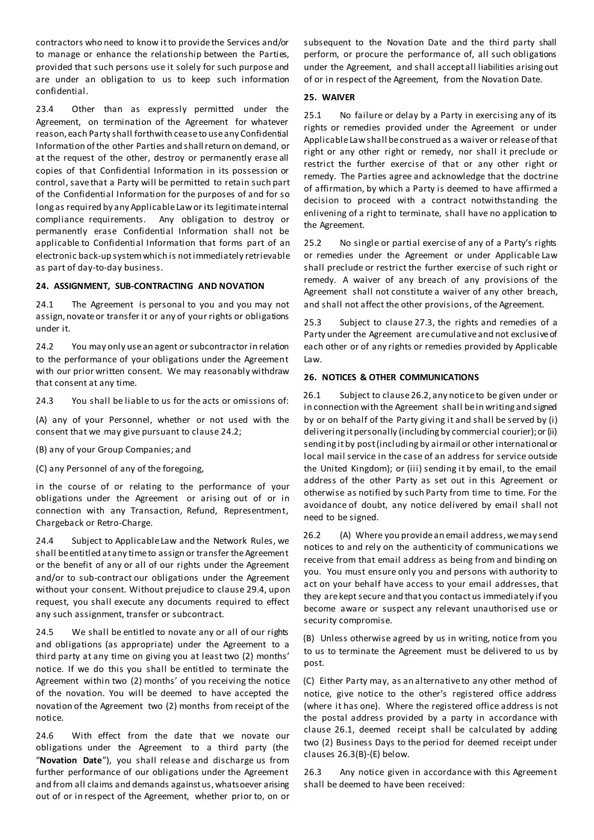contractors who need to know it to provide the Services and/or to manage or enhance the relationship between the Parties, provided that such persons use it solely for such purpose and are under an obligation to us to keep such information confidential.

23.4 Other than as expressly permitted under the Agreement, on termination of the Agreement for whatever reason, each Party shall forthwith cease to use any Confidential Information of the other Parties and shall return on demand, or at the request of the other, destroy or permanently erase all copies of that Confidential Information in its possession or control, save that a Party will be permitted to retain such part of the Confidential Information for the purposes of and for so long as required by any Applicable Law or its legitimate internal compliance requirements. Any obligation to destroy or permanently erase Confidential Information shall not be applicable to Confidential Information that forms part of an electronic back-up system which is not immediately retrievable as part of day-to-day business.

#### **24. ASSIGNMENT, SUB-CONTRACTING AND NOVATION**

24.1 The Agreement is personal to you and you may not assign, novate or transfer it or any of your rights or obligations under it.

24.2 You may only use an agent or subcontractor in relation to the performance of your obligations under the Agreement with our prior written consent. We may reasonably withdraw that consent at any time.

24.3 You shall be liable to us for the acts or omissions of:

(A) any of your Personnel, whether or not used with the consent that we may give pursuant to clause 24.2;

(B) any of your Group Companies; and

(C) any Personnel of any of the foregoing,

in the course of or relating to the performance of your obligations under the Agreement or arising out of or in connection with any Transaction, Refund, Representment, Chargeback or Retro-Charge.

24.4 Subject to Applicable Law and the Network Rules, we shall be entitled at any time to assign or transfer the Agreement or the benefit of any or all of our rights under the Agreement and/or to sub-contract our obligations under the Agreement without your consent. Without prejudice to clause 29.4, upon request, you shall execute any documents required to effect any such assignment, transfer or subcontract.

24.5 We shall be entitled to novate any or all of our rights and obligations (as appropriate) under the Agreement to a third party at any time on giving you at least two (2) months' notice. If we do this you shall be entitled to terminate the Agreement within two (2) months' of you receiving the notice of the novation. You will be deemed to have accepted the novation of the Agreement two (2) months from receipt of the notice.

24.6 With effect from the date that we novate our obligations under the Agreement to a third party (the "**Novation Date**"), you shall release and discharge us from further performance of our obligations under the Agreement and from all claims and demands against us, whatsoever arising out of or in respect of the Agreement, whether prior to, on or subsequent to the Novation Date and the third party shall perform, or procure the performance of, all such obligations under the Agreement, and shall accept all liabilities arising out of or in respect of the Agreement, from the Novation Date.

#### **25. WAIVER**

25.1 No failure or delay by a Party in exercising any of its rights or remedies provided under the Agreement or under Applicable Law shall be construed as a waiver or release of that right or any other right or remedy, nor shall it preclude or restrict the further exercise of that or any other right or remedy. The Parties agree and acknowledge that the doctrine of affirmation, by which a Party is deemed to have affirmed a decision to proceed with a contract notwithstanding the enlivening of a right to terminate, shall have no application to the Agreement.

25.2 No single or partial exercise of any of a Party's rights or remedies under the Agreement or under Applicable Law shall preclude or restrict the further exercise of such right or remedy. A waiver of any breach of any provisions of the Agreement shall not constitute a waiver of any other breach, and shall not affect the other provisions, of the Agreement.

25.3 Subject to clause 27.3, the rights and remedies of a Party under the Agreement are cumulative and not exclusive of each other or of any rights or remedies provided by Applicable Law.

#### **26. NOTICES & OTHER COMMUNICATIONS**

26.1 Subject to clause 26.2, any notice to be given under or in connection with the Agreement shall be in writing and signed by or on behalf of the Party giving it and shall be served by (i) delivering it personally (including by commercial courier); or (ii) sending it by post (including by airmail or other international or local mail service in the case of an address for service outside the United Kingdom); or (iii) sending it by email, to the email address of the other Party as set out in this Agreement or otherwise as notified by such Party from time to time. For the avoidance of doubt, any notice delivered by email shall not need to be signed.

26.2 (A) Where you provide an email address, we may send notices to and rely on the authenticity of communications we receive from that email address as being from and binding on you. You must ensure only you and persons with authority to act on your behalf have access to your email addresses, that they are kept secure and that you contact us immediately if you become aware or suspect any relevant unauthorised use or security compromise.

(B) Unless otherwise agreed by us in writing, notice from you to us to terminate the Agreement must be delivered to us by post.

(C) Either Party may, as an alternative to any other method of notice, give notice to the other's registered office address (where it has one). Where the registered office address is not the postal address provided by a party in accordance with clause 26.1, deemed receipt shall be calculated by adding two (2) Business Days to the period for deemed receipt under clauses 26.3(B)-(E) below.

26.3 Any notice given in accordance with this Agreement shall be deemed to have been received: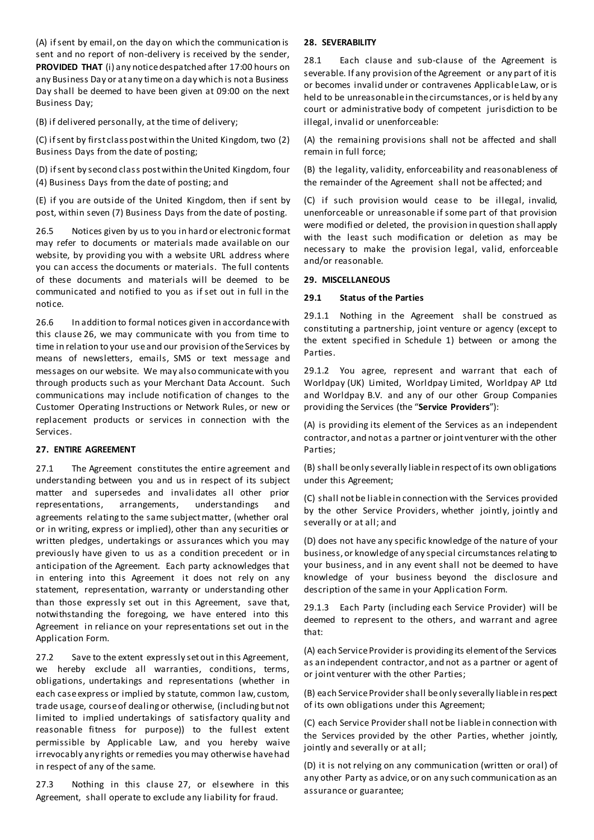(A) if sent by email, on the day on which the communication is sent and no report of non-delivery is received by the sender, **PROVIDED THAT** (i) any notice despatched after 17:00 hours on any Business Day or at any time on a day which is not a Business Day shall be deemed to have been given at 09:00 on the next Business Day;

(B) if delivered personally, at the time of delivery;

(C) if sent by first class post within the United Kingdom, two (2) Business Days from the date of posting;

(D) if sent by second class post within the United Kingdom, four (4) Business Days from the date of posting; and

(E) if you are outside of the United Kingdom, then if sent by post, within seven (7) Business Days from the date of posting.

26.5 Notices given by us to you in hard or electronic format may refer to documents or materials made available on our website, by providing you with a website URL address where you can access the documents or materials. The full contents of these documents and materials will be deemed to be communicated and notified to you as if set out in full in the notice.

26.6 In addition to formal notices given in accordance with this clause 26, we may communicate with you from time to time in relation to your use and our provision of the Services by means of newsletters, emails, SMS or text message and messages on our website. We may also communicate with you through products such as your Merchant Data Account. Such communications may include notification of changes to the Customer Operating Instructions or Network Rules, or new or replacement products or services in connection with the Services.

#### **27. ENTIRE AGREEMENT**

27.1 The Agreement constitutes the entire agreement and understanding between you and us in respect of its subject matter and supersedes and invalidates all other prior representations, arrangements, understandings and agreements relating to the same subject matter, (whether oral or in writing, express or implied), other than any securities or written pledges, undertakings or assurances which you may previously have given to us as a condition precedent or in anticipation of the Agreement. Each party acknowledges that in entering into this Agreement it does not rely on any statement, representation, warranty or understanding other than those expressly set out in this Agreement, save that, notwithstanding the foregoing, we have entered into this Agreement in reliance on your representations set out in the Application Form.

27.2 Save to the extent expressly set out in this Agreement, we hereby exclude all warranties, conditions, terms, obligations, undertakings and representations (whether in each case express or implied by statute, common law, custom, trade usage, course of dealing or otherwise, (including but not limited to implied undertakings of satisfactory quality and reasonable fitness for purpose)) to the fullest extent permissible by Applicable Law, and you hereby waive irrevocably any rights or remedies you may otherwise have had in respect of any of the same.

27.3 Nothing in this clause 27, or elsewhere in this Agreement, shall operate to exclude any liability for fraud.

#### **28. SEVERABILITY**

28.1 Each clause and sub-clause of the Agreement is severable. If any provision of the Agreement or any part of it is or becomes invalid under or contravenes Applicable Law, or is held to be unreasonable in the circumstances, or is held by any court or administrative body of competent jurisdiction to be illegal, invalid or unenforceable:

(A) the remaining provisions shall not be affected and shall remain in full force;

(B) the legality, validity, enforceability and reasonableness of the remainder of the Agreement shall not be affected; and

(C) if such provision would cease to be illegal, invalid, unenforceable or unreasonable if some part of that provision were modified or deleted, the provision in question shall apply with the least such modification or deletion as may be necessary to make the provision legal, valid, enforceable and/or reasonable.

#### **29. MISCELLANEOUS**

#### **29.1 Status of the Parties**

29.1.1 Nothing in the Agreement shall be construed as constituting a partnership, joint venture or agency (except to the extent specified in Schedule 1) between or among the Parties.

29.1.2 You agree, represent and warrant that each of Worldpay (UK) Limited, Worldpay Limited, Worldpay AP Ltd and Worldpay B.V. and any of our other Group Companies providing the Services (the "**Service Providers**"):

(A) is providing its element of the Services as an independent contractor, and not as a partner or joint venturer with the other Parties;

(B) shall be only severally liable in respect of its own obligations under this Agreement;

(C) shall not be liable in connection with the Services provided by the other Service Providers, whether jointly, jointly and severally or at all; and

(D) does not have any specific knowledge of the nature of your business, or knowledge of any special circumstances relating to your business, and in any event shall not be deemed to have knowledge of your business beyond the disclosure and description of the same in your Appli cation Form.

29.1.3 Each Party (including each Service Provider) will be deemed to represent to the others, and warrant and agree that:

(A) each Service Provider is providing its element of the Services as an independent contractor, and not as a partner or agent of or joint venturer with the other Parties;

(B) each Service Provider shall be only severally liable in respect of its own obligations under this Agreement;

(C) each Service Provider shall not be liable in connection with the Services provided by the other Parties, whether jointly, jointly and severally or at all;

(D) it is not relying on any communication (written or oral) of any other Party as advice, or on any such communication as an assurance or guarantee;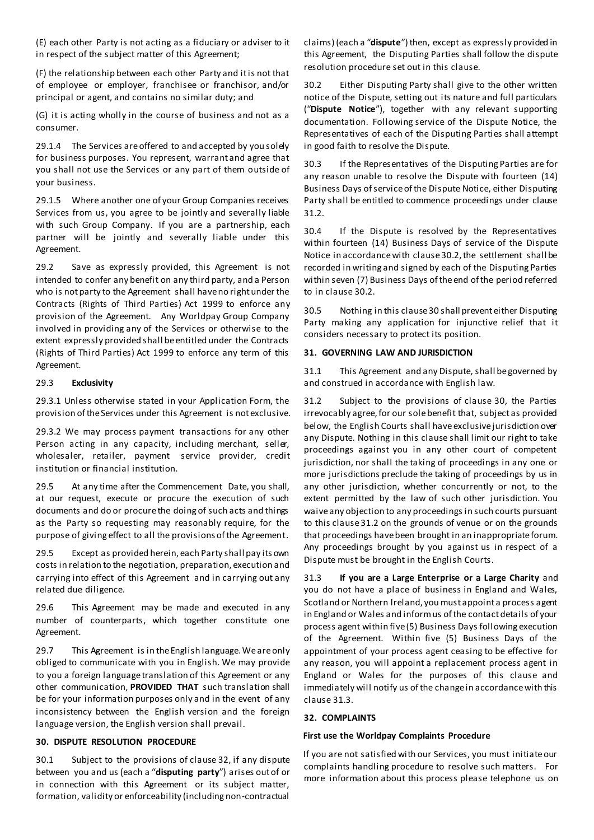(E) each other Party is not acting as a fiduciary or adviser to it in respect of the subject matter of this Agreement;

(F) the relationship between each other Party and it is not that of employee or employer, franchisee or franchisor, and/or principal or agent, and contains no similar duty; and

(G) it is acting wholly in the course of business and not as a consumer.

29.1.4 The Services are offered to and accepted by you solely for business purposes. You represent, warrant and agree that you shall not use the Services or any part of them outside of your business.

29.1.5 Where another one of your Group Companies receives Services from us, you agree to be jointly and severally liable with such Group Company. If you are a partnership, each partner will be jointly and severally liable under this Agreement.

29.2 Save as expressly provided, this Agreement is not intended to confer any benefit on any third party, and a Person who is not party to the Agreement shall have no right under the Contracts (Rights of Third Parties) Act 1999 to enforce any provision of the Agreement. Any Worldpay Group Company involved in providing any of the Services or otherwise to the extent expressly provided shall be entitled under the Contracts (Rights of Third Parties) Act 1999 to enforce any term of this Agreement.

#### 29.3 **Exclusivity**

29.3.1 Unless otherwise stated in your Application Form, the provision of the Services under this Agreement is not exclusive.

29.3.2 We may process payment transactions for any other Person acting in any capacity, including merchant, seller, wholesaler, retailer, payment service provider, credit institution or financial institution.

29.5 At any time after the Commencement Date, you shall, at our request, execute or procure the execution of such documents and do or procure the doing of such acts and things as the Party so requesting may reasonably require, for the purpose of giving effect to all the provisions of the Agreement.

29.5 Except as provided herein, each Party shall pay its own costs in relation to the negotiation, preparation, execution and carrying into effect of this Agreement and in carrying out any related due diligence.

29.6 This Agreement may be made and executed in any number of counterparts, which together constitute one Agreement.

29.7 This Agreement is in the English language. We are only obliged to communicate with you in English. We may provide to you a foreign language translation of this Agreement or any other communication, **PROVIDED THAT** such translation shall be for your information purposes only and in the event of any inconsistency between the English version and the foreign language version, the English version shall prevail.

#### **30. DISPUTE RESOLUTION PROCEDURE**

30.1 Subject to the provisions of clause 32, if any dispute between you and us (each a "**disputing party**") arises out of or in connection with this Agreement or its subject matter, formation, validity or enforceability (including non-contractual claims) (each a "**dispute**") then, except as expressly provided in this Agreement, the Disputing Parties shall follow the dispute resolution procedure set out in this clause.

30.2 Either Disputing Party shall give to the other written notice of the Dispute, setting out its nature and full particulars ("**Dispute Notice**"), together with any relevant supporting documentation. Following service of the Dispute Notice, the Representatives of each of the Disputing Parties shall attempt in good faith to resolve the Dispute.

30.3 If the Representatives of the Disputing Parties are for any reason unable to resolve the Dispute with fourteen (14) Business Days of service of the Dispute Notice, either Disputing Party shall be entitled to commence proceedings under clause 31.2.

30.4 If the Dispute is resolved by the Representatives within fourteen (14) Business Days of service of the Dispute Notice in accordance with clause 30.2, the settlement shall be recorded in writing and signed by each of the Disputing Parties within seven (7) Business Days of the end of the period referred to in clause 30.2.

30.5 Nothing in this clause 30 shall prevent either Disputing Party making any application for injunctive relief that it considers necessary to protect its position.

#### **31. GOVERNING LAW AND JURISDICTION**

31.1 This Agreement and any Dispute, shall be governed by and construed in accordance with English law.

31.2 Subject to the provisions of clause 30, the Parties irrevocably agree, for our sole benefit that, subject as provided below, the English Courts shall have exclusive jurisdiction over any Dispute. Nothing in this clause shall limit our right to take proceedings against you in any other court of competent jurisdiction, nor shall the taking of proceedings in any one or more jurisdictions preclude the taking of proceedings by us in any other jurisdiction, whether concurrently or not, to the extent permitted by the law of such other jurisdiction. You waive any objection to any proceedings in such courts pursuant to this clause 31.2 on the grounds of venue or on the grounds that proceedings have been brought in an inappropriate forum. Any proceedings brought by you against us in respect of a Dispute must be brought in the English Courts.

31.3 **If you are a Large Enterprise or a Large Charity** and you do not have a place of business in England and Wales, Scotland or Northern Ireland, you must appoint a process agent in England or Wales and inform us of the contact details of your process agent within five (5) Business Days following execution of the Agreement. Within five (5) Business Days of the appointment of your process agent ceasing to be effective for any reason, you will appoint a replacement process agent in England or Wales for the purposes of this clause and immediately will notify us of the change in accordance with this clause 31.3.

#### **32. COMPLAINTS**

#### **First use the Worldpay Complaints Procedure**

If you are not satisfied with our Services, you must initiate our complaints handling procedure to resolve such matters. For more information about this process please telephone us on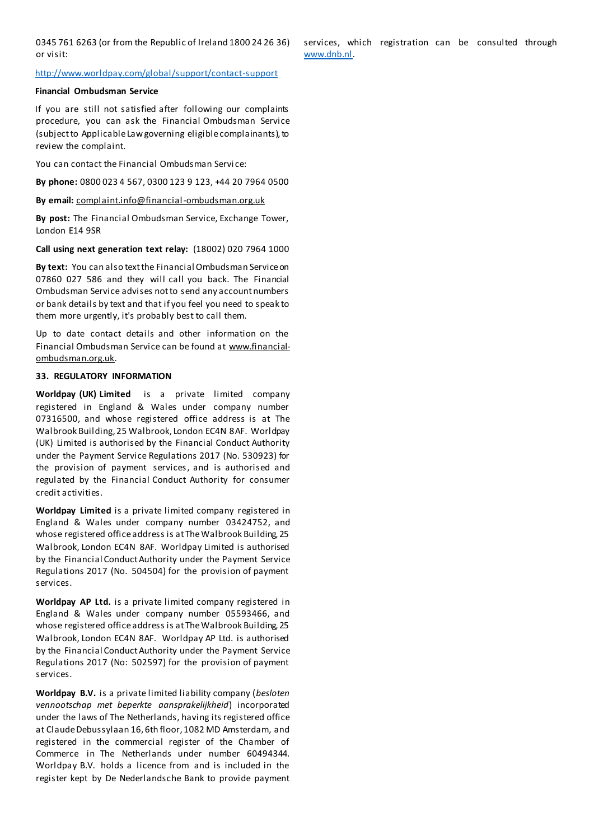0345 761 6263 (or from the Republic of Ireland 1800 24 26 36) or visit:

#### <http://www.worldpay.com/global/support/contact-support>

#### **Financial Ombudsman Service**

If you are still not satisfied after following our complaints procedure, you can ask the Financial Ombudsman Service (subject to Applicable Law governing eligible complainants), to review the complaint.

You can contact the Financial Ombudsman Servi ce:

**By phone:** 0800 023 4 567, 0300 123 9 123, +44 20 7964 0500

**By email:** [complaint.info@financial-ombudsman.org.uk](mailto:complaint.info@financial-ombudsman.org.uk)

**By post:** The Financial Ombudsman Service, Exchange Tower, London E14 9SR

**Call using next generation text relay:** (18002) 020 7964 1000

**By text:** You can also text the Financial Ombudsman Service on 07860 027 586 and they will call you back. The Financial Ombudsman Service advises not to send any account numbers or bank details by text and that if you feel you need to speak to them more urgently, it's probably best to call them.

Up to date contact details and other information on the Financial Ombudsman Service can be found at [www.financial](http://www.financial-ombudsman.org.uk/)[ombudsman.org.uk.](http://www.financial-ombudsman.org.uk/)

#### **33. REGULATORY INFORMATION**

**Worldpay (UK) Limited** is a private limited company registered in England & Wales under company number 07316500, and whose registered office address is at The Walbrook Building, 25 Walbrook, London EC4N 8AF. Worldpay (UK) Limited is authorised by the Financial Conduct Authority under the Payment Service Regulations 2017 (No. 530923) for the provision of payment services, and is authorised and regulated by the Financial Conduct Authority for consumer credit activities.

**Worldpay Limited** is a private limited company registered in England & Wales under company number 03424752, and whose registered office address is at The Walbrook Building, 25 Walbrook, London EC4N 8AF. Worldpay Limited is authorised by the Financial Conduct Authority under the Payment Service Regulations 2017 (No. 504504) for the provision of payment services.

**Worldpay AP Ltd.** is a private limited company registered in England & Wales under company number 05593466, and whose registered office address is at The Walbrook Building, 25 Walbrook, London EC4N 8AF. Worldpay AP Ltd. is authorised by the Financial Conduct Authority under the Payment Service Regulations 2017 (No: 502597) for the provision of payment services.

**Worldpay B.V.** is a private limited liability company (*besloten vennootschap met beperkte aansprakelijkheid*) incorporated under the laws of The Netherlands, having its registered office at Claude Debussylaan 16, 6th floor, 1082 MD Amsterdam, and registered in the commercial register of the Chamber of Commerce in The Netherlands under number 60494344. Worldpay B.V. holds a licence from and is included in the register kept by De Nederlandsche Bank to provide payment services, which registration can be consulted through [www.dnb.nl.](http://www.dnb.nl/)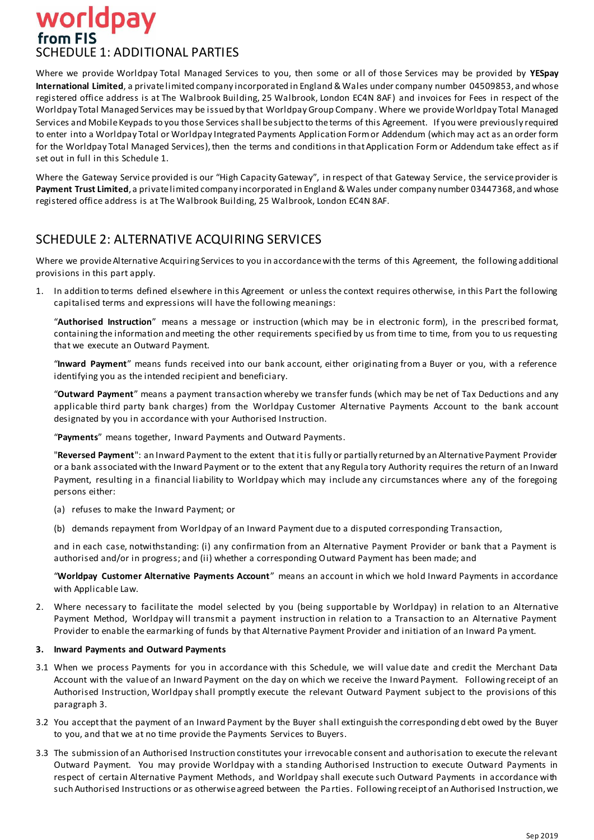# worldpay from FIS SCHEDULE 1: ADDITIONAL PARTIES

Where we provide Worldpay Total Managed Services to you, then some or all of those Services may be provided by **YESpay International Limited**, a private limited company incorporated in England & Wales under company number 04509853, and whose registered office address is at The Walbrook Building, 25 Walbrook, London EC4N 8AF) and invoices for Fees in respect of the Worldpay Total Managed Services may be issued by that Worldpay Group Company. Where we provide Worldpay Total Managed Services and Mobile Keypads to you those Services shall be subject to the terms of this Agreement. If you were previously required to enter into a Worldpay Total or Worldpay Integrated Payments Application Form or Addendum (which may act as an order form for the Worldpay Total Managed Services), then the terms and conditions in that Application Form or Addendum take effect as if set out in full in this Schedule 1.

Where the Gateway Service provided is our "High Capacity Gateway", in respect of that Gateway Service, the service provider is **Payment Trust Limited**, a private limited company incorporated in England & Wales under company number 03447368, and whose registered office address is at The Walbrook Building, 25 Walbrook, London EC4N 8AF.

# SCHEDULE 2: ALTERNATIVE ACQUIRING SERVICES

Where we provide Alternative Acquiring Services to you in accordance with the terms of this Agreement, the following additional provisions in this part apply.

1. In addition to terms defined elsewhere in this Agreement or unless the context requires otherwise, in this Part the following capitalised terms and expressions will have the following meanings:

"**Authorised Instruction**" means a message or instruction (which may be in electronic form), in the prescribed format, containing the information and meeting the other requirements specified by us from time to time, from you to us requesting that we execute an Outward Payment.

"**Inward Payment**" means funds received into our bank account, either originating from a Buyer or you, with a reference identifying you as the intended recipient and beneficiary.

"**Outward Payment**" means a payment transaction whereby we transfer funds (which may be net of Tax Deductions and any applicable third party bank charges) from the Worldpay Customer Alternative Payments Account to the bank account designated by you in accordance with your Authorised Instruction.

"**Payments**" means together, Inward Payments and Outward Payments.

"**Reversed Payment**": an Inward Payment to the extent that it is fully or partially returned by an Alternative Payment Provider or a bank associated with the Inward Payment or to the extent that any Regula tory Authority requires the return of an Inward Payment, resulting in a financial liability to Worldpay which may include any circumstances where any of the foregoing persons either:

- (a) refuses to make the Inward Payment; or
- (b) demands repayment from Worldpay of an Inward Payment due to a disputed corresponding Transaction,

and in each case, notwithstanding: (i) any confirmation from an Alternative Payment Provider or bank that a Payment is authorised and/or in progress; and (ii) whether a corresponding Outward Payment has been made; and

"**Worldpay Customer Alternative Payments Account**" means an account in which we hold Inward Payments in accordance with Applicable Law.

2. Where necessary to facilitate the model selected by you (being supportable by Worldpay) in relation to an Alternative Payment Method, Worldpay will transmit a payment instruction in relation to a Transaction to an Alternative Payment Provider to enable the earmarking of funds by that Alternative Payment Provider and initiation of an Inward Pa yment.

# **3. Inward Payments and Outward Payments**

- 3.1 When we process Payments for you in accordance with this Schedule, we will value date and credit the Merchant Data Account with the value of an Inward Payment on the day on which we receive the Inward Payment. Following receipt of an Authorised Instruction, Worldpay shall promptly execute the relevant Outward Payment subject to the provisions of this paragraph 3.
- 3.2 You accept that the payment of an Inward Payment by the Buyer shall extinguish the corresponding debt owed by the Buyer to you, and that we at no time provide the Payments Services to Buyers.
- 3.3 The submission of an Authorised Instruction constitutes your irrevocable consent and authorisation to execute the relevant Outward Payment. You may provide Worldpay with a standing Authorised Instruction to execute Outward Payments in respect of certain Alternative Payment Methods, and Worldpay shall execute such Outward Payments in accordance with such Authorised Instructions or as otherwise agreed between the Pa rties. Following receipt of an Authorised Instruction, we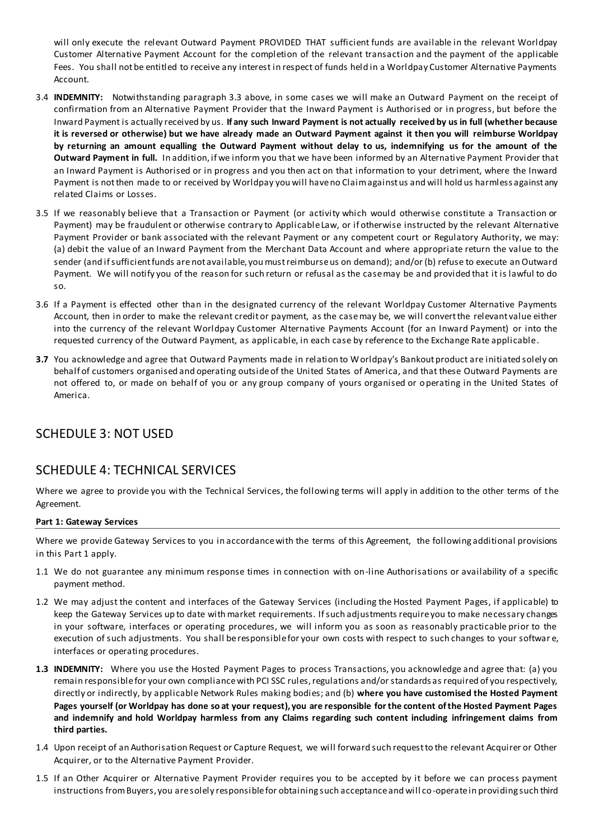will only execute the relevant Outward Payment PROVIDED THAT sufficient funds are available in the relevant Worldpay Customer Alternative Payment Account for the completion of the relevant transaction and the payment of the applicable Fees. You shall not be entitled to receive any interest in respect of funds held in a Worldpay Customer Alternative Payments Account.

- 3.4 **INDEMNITY:** Notwithstanding paragraph 3.3 above, in some cases we will make an Outward Payment on the receipt of confirmation from an Alternative Payment Provider that the Inward Payment is Authorised or in progress, but before the Inward Payment is actually received by us. **If any such Inward Payment is not actually received by us in full (whether because it is reversed or otherwise) but we have already made an Outward Payment against it then you will reimburse Worldpay by returning an amount equalling the Outward Payment without delay to us, indemnifying us for the amount of the Outward Payment in full.** In addition, if we inform you that we have been informed by an Alternative Payment Provider that an Inward Payment is Authorised or in progress and you then act on that information to your detriment, where the Inward Payment is not then made to or received by Worldpay you will have no Claim against us and will hold us harmless against any related Claims or Losses.
- 3.5 If we reasonably believe that a Transaction or Payment (or activity which would otherwise constitute a Transaction or Payment) may be fraudulent or otherwise contrary to Applicable Law, or if otherwise instructed by the relevant Alternative Payment Provider or bank associated with the relevant Payment or any competent court or Regulatory Authority, we may: (a) debit the value of an Inward Payment from the Merchant Data Account and where appropriate return the value to the sender (and if sufficient funds are not available, you must reimburse us on demand); and/or (b) refuse to execute an Outward Payment. We will notify you of the reason for such return or refusal as the case may be and provided that it is lawful to do so.
- 3.6 If a Payment is effected other than in the designated currency of the relevant Worldpay Customer Alternative Payments Account, then in order to make the relevant credit or payment, as the case may be, we will convert the relevant value either into the currency of the relevant Worldpay Customer Alternative Payments Account (for an Inward Payment) or into the requested currency of the Outward Payment, as applicable, in each case by reference to the Exchange Rate applicable.
- **3.7** You acknowledge and agree that Outward Payments made in relation to Worldpay's Bankout product are initiated solely on behalf of customers organised and operating outside of the United States of America, and that these Outward Payments are not offered to, or made on behalf of you or any group company of yours organised or operating in the United States of America.

# SCHEDULE 3: NOT USED

# SCHEDULE 4: TECHNICAL SERVICES

Where we agree to provide you with the Technical Services, the following terms will apply in addition to the other terms of the Agreement.

#### **Part 1: Gateway Services**

Where we provide Gateway Services to you in accordance with the terms of this Agreement, the following additional provisions in this Part 1 apply.

- 1.1 We do not guarantee any minimum response times in connection with on-line Authorisations or availability of a specific payment method.
- 1.2 We may adjust the content and interfaces of the Gateway Services (including the Hosted Payment Pages, if applicable) to keep the Gateway Services up to date with market requirements. If such adjustments require you to make necessary changes in your software, interfaces or operating procedures, we will inform you as soon as reasonably practicable prior to the execution of such adjustments. You shall be responsible for your own costs with respect to such changes to your softwar e, interfaces or operating procedures.
- **1.3 INDEMNITY:** Where you use the Hosted Payment Pages to process Transactions, you acknowledge and agree that: (a) you remain responsible for your own compliance with PCI SSC rules, regulations and/or standards as required of you respectively, directly or indirectly, by applicable Network Rules making bodies; and (b) **where you have customised the Hosted Payment Pages yourself (or Worldpay has done so at your request), you are responsible for the content of the Hosted Payment Pages and indemnify and hold Worldpay harmless from any Claims regarding such content including infringement claims from third parties.**
- 1.4 Upon receipt of an Authorisation Request or Capture Request, we will forward such request to the relevant Acquirer or Other Acquirer, or to the Alternative Payment Provider.
- 1.5 If an Other Acquirer or Alternative Payment Provider requires you to be accepted by it before we can process payment instructions from Buyers, you are solely responsible for obtaining such acceptance and will co-operate in providing such third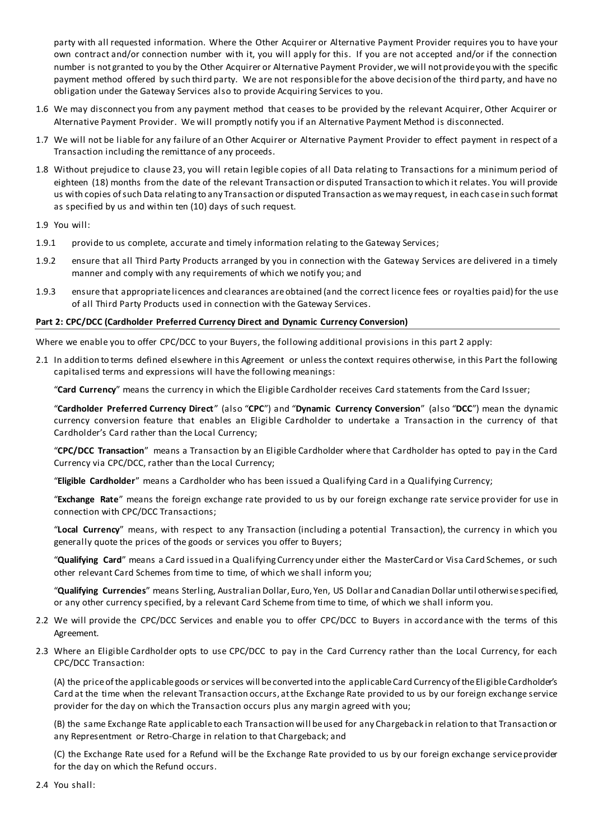party with all requested information. Where the Other Acquirer or Alternative Payment Provider requires you to have your own contract and/or connection number with it, you will apply for this. If you are not accepted and/or if the connection number is not granted to you by the Other Acquirer or Alternative Payment Provider, we will not provide you with the specific payment method offered by such third party. We are not responsible for the above decision of the third party, and have no obligation under the Gateway Services also to provide Acquiring Services to you.

- 1.6 We may disconnect you from any payment method that ceases to be provided by the relevant Acquirer, Other Acquirer or Alternative Payment Provider. We will promptly notify you if an Alternative Payment Method is disconnected.
- 1.7 We will not be liable for any failure of an Other Acquirer or Alternative Payment Provider to effect payment in respect of a Transaction including the remittance of any proceeds.
- 1.8 Without prejudice to clause 23, you will retain legible copies of all Data relating to Transactions for a minimum period of eighteen (18) months from the date of the relevant Transaction or disputed Transaction to which it relates. You will provide us with copies of such Data relating to any Transaction or disputed Transaction as we may request, in each case in such format as specified by us and within ten (10) days of such request.

1.9 You will:

- 1.9.1 provide to us complete, accurate and timely information relating to the Gateway Services;
- 1.9.2 ensure that all Third Party Products arranged by you in connection with the Gateway Services are delivered in a timely manner and comply with any requirements of which we notify you; and
- 1.9.3 ensure that appropriate licences and clearances are obtained (and the correct licence fees or royalties paid) for the use of all Third Party Products used in connection with the Gateway Services.

#### **Part 2: CPC/DCC (Cardholder Preferred Currency Direct and Dynamic Currency Conversion)**

Where we enable you to offer CPC/DCC to your Buyers, the following additional provisions in this part 2 apply:

2.1 In addition to terms defined elsewhere in this Agreement or unless the context requires otherwise, in this Part the following capitalised terms and expressions will have the following meanings:

"**Card Currency**" means the currency in which the Eligible Cardholder receives Card statements from the Card Issuer;

"**Cardholder Preferred Currency Direct**" (also "**CPC**") and "**Dynamic Currency Conversion**" (also "**DCC**") mean the dynamic currency conversion feature that enables an Eligible Cardholder to undertake a Transaction in the currency of that Cardholder's Card rather than the Local Currency;

"**CPC/DCC Transaction**" means a Transaction by an Eligible Cardholder where that Cardholder has opted to pay in the Card Currency via CPC/DCC, rather than the Local Currency;

"**Eligible Cardholder**" means a Cardholder who has been issued a Qualifying Card in a Qualifying Currency;

"**Exchange Rate**" means the foreign exchange rate provided to us by our foreign exchange rate service provider for use in connection with CPC/DCC Transactions;

"**Local Currency**" means, with respect to any Transaction (including a potential Transaction), the currency in which you generally quote the prices of the goods or services you offer to Buyers;

"**Qualifying Card**" means a Card issued in a Qualifying Currency under either the MasterCard or Visa Card Schemes, or such other relevant Card Schemes from time to time, of which we shall inform you;

"**Qualifying Currencies**" means Sterling, Australian Dollar, Euro, Yen, US Dollar and Canadian Dollar until otherwise specified, or any other currency specified, by a relevant Card Scheme from time to time, of which we shall inform you.

- 2.2 We will provide the CPC/DCC Services and enable you to offer CPC/DCC to Buyers in accordance with the terms of this Agreement.
- 2.3 Where an Eligible Cardholder opts to use CPC/DCC to pay in the Card Currency rather than the Local Currency, for each CPC/DCC Transaction:

(A) the price of the applicable goods or services will be converted into the applicable Card Currency of the Eligible Cardholder's Card at the time when the relevant Transaction occurs, at the Exchange Rate provided to us by our foreign exchange service provider for the day on which the Transaction occurs plus any margin agreed with you;

(B) the same Exchange Rate applicable to each Transaction will be used for any Chargeback in relation to that Transaction or any Representment or Retro-Charge in relation to that Chargeback; and

(C) the Exchange Rate used for a Refund will be the Exchange Rate provided to us by our foreign exchange service provider for the day on which the Refund occurs.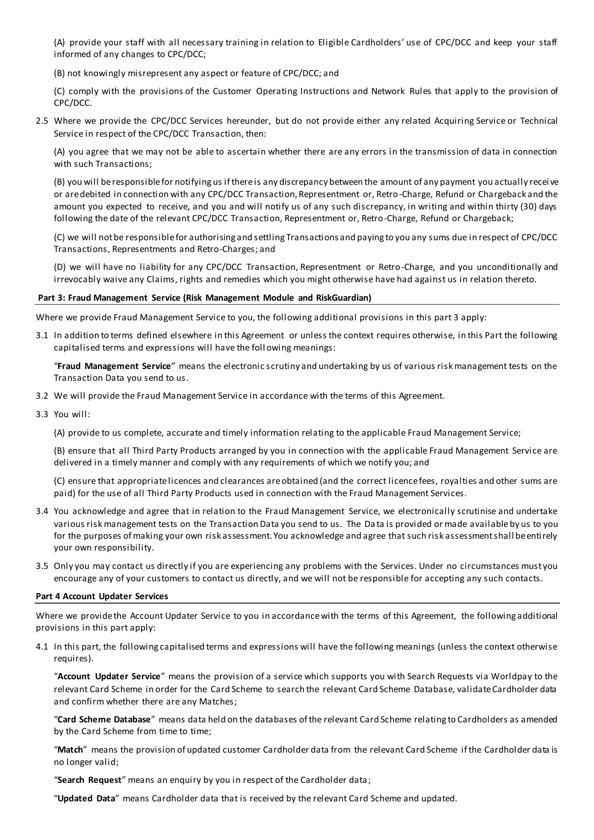(A) provide your staff with all necessary training in relation to Eligible Cardholders' use of CPC/DCC and keep your staff informed of any changes to CPC/DCC;

(B) not knowingly misrepresent any aspect or feature of CPC/DCC; and

(C) comply with the provisions of the Customer Operating Instructions and Network Rules that apply to the provision of CPC/DCC.

2.5 Where we provide the CPC/DCC Services hereunder, but do not provide either any related Acquiring Service or Technical Service in respect of the CPC/DCC Transaction, then:

(A) you agree that we may not be able to ascertain whether there are any errors in the transmission of data in connection with such Transactions;

(B) you will be responsible for notifying us if there is any discrepancy between the amount of any payment you actually recei ve or are debited in connection with any CPC/DCC Transaction, Representment or, Retro-Charge, Refund or Chargeback and the amount you expected to receive, and you and will notify us of any such discrepancy, in writing and within thirty (30) days following the date of the relevant CPC/DCC Transaction, Representment or, Retro-Charge, Refund or Chargeback;

(C) we will not be responsible for authorising and settling Transactions and paying to you any sums due in respect of CPC/DCC Transactions, Representments and Retro-Charges; and

(D) we will have no liability for any CPC/DCC Transaction, Representment or Retro-Charge, and you unconditionally and irrevocably waive any Claims, rights and remedies which you might otherwise have had against us in relation thereto.

#### **Part 3: Fraud Management Service (Risk Management Module and RiskGuardian)**

Where we provide Fraud Management Service to you, the following additional provisions in this part 3 apply:

3.1 In addition to terms defined elsewhere in this Agreement or unless the context requires otherwise, in this Part the following capitalised terms and expressions will have the foll owing meanings:

"**Fraud Management Service**" means the electronic scrutiny and undertaking by us of various risk management tests on the Transaction Data you send to us.

- 3.2 We will provide the Fraud Management Service in accordance with the terms of this Agreement.
- 3.3 You will:

(A) provide to us complete, accurate and timely information relating to the applicable Fraud Management Service;

(B) ensure that all Third Party Products arranged by you in connection with the applicable Fraud Management Service are delivered in a timely manner and comply with any requirements of which we notify you; and

(C) ensure that appropriate licences and clearances are obtained (and the correct licence fees, royalties and other sums are paid) for the use of all Third Party Products used in connection with the Fraud Management Services.

- 3.4 You acknowledge and agree that in relation to the Fraud Management Service, we electronically scrutinise and undertake various risk management tests on the Transaction Data you send to us. The Da ta is provided or made available by us to you for the purposes of making your own risk assessment. You acknowledge and agree that such risk assessment shall be entirely your own responsibility.
- 3.5 Only you may contact us directly if you are experiencing any problems with the Services. Under no circumstances must you encourage any of your customers to contact us directly, and we will not be responsible for accepting any such contacts.

#### **Part 4 Account Updater Services**

Where we provide the Account Updater Service to you in accordance with the terms of this Agreement, the following additional provisions in this part apply:

4.1 In this part, the following capitalised terms and expressions will have the following meanings (unless the context otherwise requires).

"**Account Updater Service**" means the provision of a service which supports you with Search Requests via Worldpay to the relevant Card Scheme in order for the Card Scheme to search the relevant Card Scheme Database, validate Cardholder data and confirm whether there are any Matches;

"**Card Scheme Database**" means data held on the databases of the relevant Card Scheme relating to Cardholders as amended by the Card Scheme from time to time;

"**Match**" means the provision of updated customer Cardholder data from the relevant Card Scheme if the Cardholder data is no longer valid;

"**Search Request**" means an enquiry by you in respect of the Cardholder data ;

"**Updated Data**" means Cardholder data that is received by the relevant Card Scheme and updated.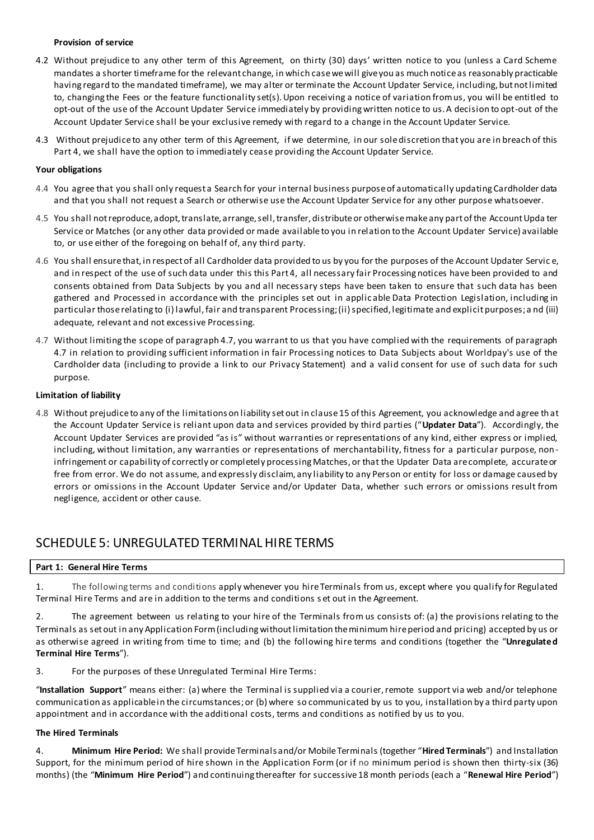### **Provision of service**

- 4.2 Without prejudice to any other term of this Agreement, on thirty (30) days' written notice to you (unless a Card Scheme mandates a shorter timeframe for the relevant change, in which case we will give you as much notice as reasonably practicable having regard to the mandated timeframe), we may alter or terminate the Account Updater Service, including, but not limited to, changing the Fees or the feature functionality set(s). Upon receiving a notice of variation from us, you will be entitled to opt-out of the use of the Account Updater Service immediately by providing written notice to us. A decision to opt-out of the Account Updater Service shall be your exclusive remedy with regard to a change in the Account Updater Service.
- 4.3 Without prejudice to any other term of this Agreement, if we determine, in our sole discretion that you are in breach of this Part 4, we shall have the option to immediately cease providing the Account Updater Service.

### **Your obligations**

- 4.4 You agree that you shall only request a Search for your internal business purpose of automatically updating Cardholder data and that you shall not request a Search or otherwise use the Account Updater Service for any other purpose whatsoever.
- 4.5 You shall not reproduce, adopt, translate, arrange, sell, transfer, distribute or otherwise make any part of the Account Upda ter Service or Matches (or any other data provided or made available to you in relation to the Account Updater Service) available to, or use either of the foregoing on behalf of, any third party.
- 4.6 You shall ensure that, in respect of all Cardholder data provided to us by you for the purposes of the Account Updater Servic e, and in respect of the use of such data under this this Part 4, all necessary fair Processing notices have been provided to and consents obtained from Data Subjects by you and all necessary steps have been taken to ensure that such data has been gathered and Processed in accordance with the principles set out in applic able Data Protection Legislation, including in particular those relating to (i) lawful, fair and transparent Processing; (ii) specified, legitimate and explicit purposes; a nd (iii) adequate, relevant and not excessive Processing.
- 4.7 Without limiting the scope of paragraph 4.7, you warrant to us that you have complied with the requirements of paragraph 4.7 in relation to providing sufficient information in fair Processing notices to Data Subjects about Worldpay's use of the Cardholder data (including to provide a link to our Privacy Statement) and a valid consent for use of such data for such purpose.

## **Limitation of liability**

4.8 Without prejudice to any of the limitations on liability set out in clause 15 of this Agreement, you acknowledge and agree th at the Account Updater Service is reliant upon data and services provided by third parties ("**Updater Data**"). Accordingly, the Account Updater Services are provided "as is" without warranties or representations of any kind, either express or implied, including, without limitation, any warranties or representations of merchantability, fitness for a particular purpose, non infringement or capability of correctly or completely processing Matches, or that the Updater Data are complete, accurate or free from error. We do not assume, and expressly disclaim, any liability to any Person or entity for loss or damage caused by errors or omissions in the Account Updater Service and/or Updater Data, whether such errors or omissions result from negligence, accident or other cause.

# SCHEDULE 5: UNREGULATED TERMINAL HIRE TERMS

# **Part 1: General Hire Terms**

1. The following terms and conditions apply whenever you hire Terminals from us, except where you qualify for Regulated Terminal Hire Terms and are in addition to the terms and conditions s et out in the Agreement.

2. The agreement between us relating to your hire of the Terminals from us consists of: (a) the provisions relating to the Terminals as set out in any Application Form (including without limitation the minimum hire period and pricing) accepted by us or as otherwise agreed in writing from time to time; and (b) the following hire terms and conditions (together the "**Unregulated Terminal Hire Terms**").

3. For the purposes of these Unregulated Terminal Hire Terms:

"**Installation Support**" means either: (a) where the Terminal is supplied via a courier, remote support via web and/or telephone communication as applicable in the circumstances; or (b) where so communicated by us to you, installation by a third party upon appointment and in accordance with the additional costs, terms and conditions as notified by us to you.

#### **The Hired Terminals**

4. **Minimum Hire Period:** We shall provide Terminals and/or Mobile Terminals (together "**Hired Terminals**") and Installation Support, for the minimum period of hire shown in the Application Form (or if no minimum period is shown then thirty-six (36) months) (the "**Minimum Hire Period**") and continuing thereafter for successive 18 month periods (each a "**Renewal Hire Period**")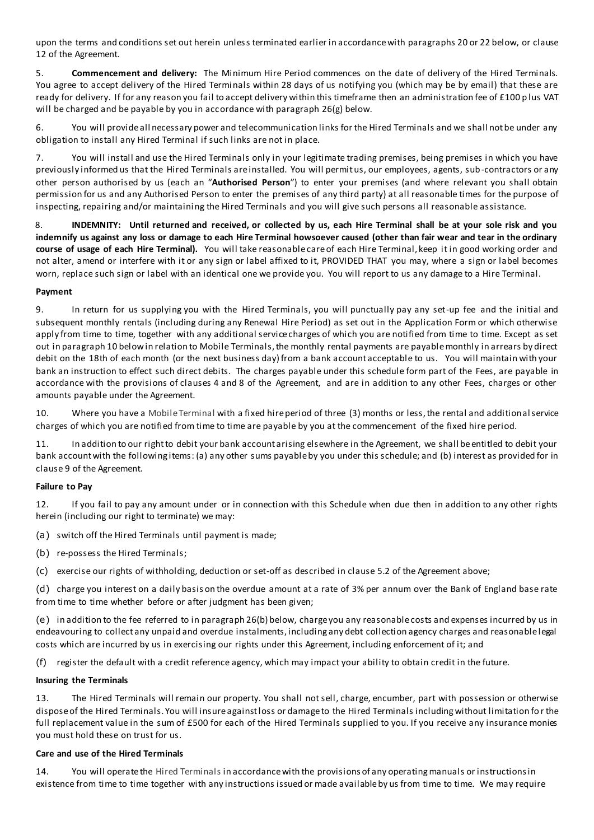upon the terms and conditions set out herein unless terminated earlier in accordance with paragraphs 20 or 22 below, or clause 12 of the Agreement.

5. **Commencement and delivery:** The Minimum Hire Period commences on the date of delivery of the Hired Terminals. You agree to accept delivery of the Hired Terminals within 28 days of us notifying you (which may be by email) that these are ready for delivery. If for any reason you fail to accept delivery within this timeframe then an administration fee of £100 p lus VAT will be charged and be payable by you in accordance with paragraph 26(g) below.

6. You will provide all necessary power and telecommunication links for the Hired Terminals and we shall not be under any obligation to install any Hired Terminal if such links are not in place.

7. You will install and use the Hired Terminals only in your legitimate trading premises, being premises in which you have previously informed us that the Hired Terminals are installed. You will permit us, our employees, agents, sub-contractors or any other person authorised by us (each an "**Authorised Person**") to enter your premises (and where relevant you shall obtain permission for us and any Authorised Person to enter the premises of any third party) at all reasonable times for the purpose of inspecting, repairing and/or maintaining the Hired Terminals and you will give such persons all reasonable assistance.

8. **INDEMNITY: Until returned and received, or collected by us, each Hire Terminal shall be at your sole risk and you indemnify us against any loss or damage to each Hire Terminal howsoever caused (other than fair wear and tear in the ordinary course of usage of each Hire Terminal).** You will take reasonable care of each Hire Terminal, keep it in good working order and not alter, amend or interfere with it or any sign or label affixed to it, PROVIDED THAT you may, where a sign or label becomes worn, replace such sign or label with an identical one we provide you. You will report to us any damage to a Hire Terminal.

## **Payment**

9. In return for us supplying you with the Hired Terminals, you will punctually pay any set-up fee and the initial and subsequent monthly rentals (including during any Renewal Hire Period) as set out in the Application Form or which otherwise apply from time to time, together with any additional service charges of which you are notified from time to time. Except as set out in paragraph 10 below in relation to Mobile Terminals, the monthly rental payments are payable monthly in arrears by direct debit on the 18th of each month (or the next business day) from a bank account acceptable to us. You will maintain with your bank an instruction to effect such direct debits. The charges payable under this schedule form part of the Fees, are payable in accordance with the provisions of clauses 4 and 8 of the Agreement, and are in addition to any other Fees, charges or other amounts payable under the Agreement.

10. Where you have a Mobile Terminal with a fixed hire period of three (3) months or less, the rental and additional service charges of which you are notified from time to time are payable by you at the commencement of the fixed hire period.

11. In addition to our right to debit your bank account arising elsewhere in the Agreement, we shall be entitled to debit your bank account with the following items: (a) any other sums payable by you under this schedule; and (b) interest as provided for in clause 9 of the Agreement.

# **Failure to Pay**

12. If you fail to pay any amount under or in connection with this Schedule when due then in addition to any other rights herein (including our right to terminate) we may:

(a) switch off the Hired Terminals until payment is made;

(b) re-possess the Hired Terminals;

(c) exercise our rights of withholding, deduction or set-off as described in clause 5.2 of the Agreement above;

(d) charge you interest on a daily basis on the overdue amount at a rate of 3% per annum over the Bank of England base rate from time to time whether before or after judgment has been given;

(e) in addition to the fee referred to in paragraph 26(b) below, charge you any reasonable costs and expenses incurred by us in endeavouring to collect any unpaid and overdue instalments, including any debt collection agency charges and reasonable legal costs which are incurred by us in exercising our rights under this Agreement, including enforcement of it; and

(f) register the default with a credit reference agency, which may impact your ability to obtain credit in the future.

# **Insuring the Terminals**

13. The Hired Terminals will remain our property. You shall not sell, charge, encumber, part with possession or otherwise dispose of the Hired Terminals. You will insure against loss or damage to the Hired Terminals including without limitation fo r the full replacement value in the sum of £500 for each of the Hired Terminals supplied to you. If you receive any insurance monies you must hold these on trust for us.

#### **Care and use of the Hired Terminals**

14. You will operate the Hired Terminals in accordance with the provisions of any operating manuals or instructions in existence from time to time together with any instructions issued or made available by us from time to time. We may require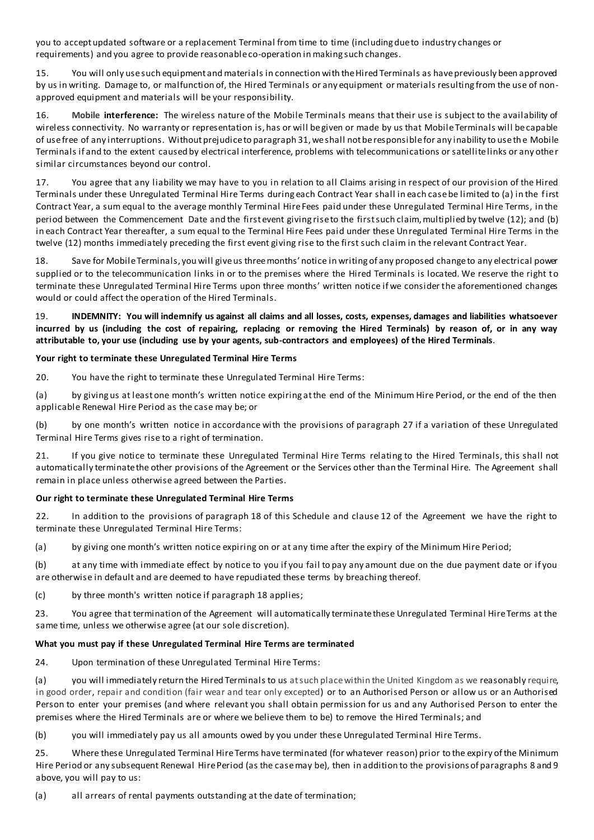you to accept updated software or a replacement Terminal from time to time (including due to industry changes or requirements) and you agree to provide reasonable co-operation in making such changes.

15. You will only use such equipment and materials in connection with the Hired Terminals as have previously been approved by us in writing. Damage to, or malfunction of, the Hired Terminals or any equipment or materials resulting from the use of nonapproved equipment and materials will be your responsibility.

16. **Mobile interference:** The wireless nature of the Mobile Terminals means that their use is subject to the availability of wireless connectivity. No warranty or representation is, has or will be given or made by us that Mobile Terminals will be capable of use free of any interruptions. Without prejudice to paragraph 31, we shall not be responsible for any inability to use th e Mobile Terminals if and to the extent caused by electrical interference, problems with telecommunications or satellite links or any other similar circumstances beyond our control.

17. You agree that any liability we may have to you in relation to all Claims arising in respect of our provision of the Hired Terminals under these Unregulated Terminal Hire Terms during each Contract Year shall in each case be limited to (a) in the first Contract Year, a sum equal to the average monthly Terminal Hire Fees paid under these Unregulated Terminal Hire Terms, in the period between the Commencement Date and the first event giving rise to the first such claim, multiplied by twelve (12); and (b) in each Contract Year thereafter, a sum equal to the Terminal Hire Fees paid under these Unregulated Terminal Hire Terms in the twelve (12) months immediately preceding the first event giving rise to the first such claim in the relevant Contract Year.

18. Save for Mobile Terminals, you will give us three months' notice in writing of any proposed change to any electrical power supplied or to the telecommunication links in or to the premises where the Hired Terminals is located. We reserve the right to terminate these Unregulated Terminal Hire Terms upon three months' written notice if we consider the aforementioned changes would or could affect the operation of the Hired Terminals.

19. **INDEMNITY: You will indemnify us against all claims and all losses, costs, expenses, damages and liabilities whatsoever incurred by us (including the cost of repairing, replacing or removing the Hired Terminals) by reason of, or in any way attributable to, your use (including use by your agents, sub-contractors and employees) of the Hired Terminals**.

## **Your right to terminate these Unregulated Terminal Hire Terms**

20. You have the right to terminate these Unregulated Terminal Hire Terms:

(a) by giving us at least one month's written notice expiring at the end of the Minimum Hire Period, or the end of the then applicable Renewal Hire Period as the case may be; or

(b) by one month's written notice in accordance with the provisions of paragraph 27 if a variation of these Unregulated Terminal Hire Terms gives rise to a right of termination.

21. If you give notice to terminate these Unregulated Terminal Hire Terms relating to the Hired Terminals, this shall not automatically terminate the other provisions of the Agreement or the Services other than the Terminal Hire. The Agreement shall remain in place unless otherwise agreed between the Parties.

# **Our right to terminate these Unregulated Terminal Hire Terms**

22. In addition to the provisions of paragraph 18 of this Schedule and clause 12 of the Agreement we have the right to terminate these Unregulated Terminal Hire Terms:

(a) by giving one month's written notice expiring on or at any time after the expiry of the Minimum Hire Period;

(b) at any time with immediate effect by notice to you if you fail to pay any amount due on the due payment date or if you are otherwise in default and are deemed to have repudiated these terms by breaching thereof.

(c) by three month's written notice if paragraph 18 applies;

23. You agree that termination of the Agreement will automatically terminate these Unregulated Terminal Hire Terms at the same time, unless we otherwise agree (at our sole discretion).

# **What you must pay if these Unregulated Terminal Hire Terms are terminated**

24. Upon termination of these Unregulated Terminal Hire Terms:

(a) you will immediately return the Hired Terminals to us at such place within the United Kingdom as we reasonably require, in good order, repair and condition (fair wear and tear only excepted) or to an Authorised Person or allow us or an Authorised Person to enter your premises (and where relevant you shall obtain permission for us and any Authorised Person to enter the premises where the Hired Terminals are or where we believe them to be) to remove the Hired Terminals; and

(b) you will immediately pay us all amounts owed by you under these Unregulated Terminal Hire Terms.

25. Where these Unregulated Terminal Hire Terms have terminated (for whatever reason) prior to the expiry of the Minimum Hire Period or any subsequent Renewal Hire Period (as the case may be), then in addition to the provisions of paragraphs 8 and 9 above, you will pay to us:

(a) all arrears of rental payments outstanding at the date of termination;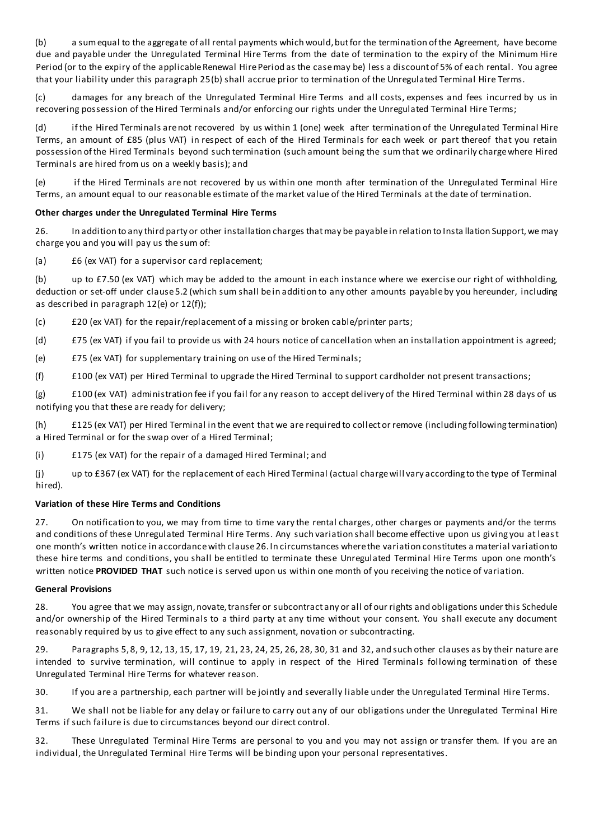(b) a sum equal to the aggregate of all rental payments which would, but for the termination of the Agreement, have become due and payable under the Unregulated Terminal Hire Terms from the date of termination to the expiry of the Minimum Hire Period (or to the expiry of the applicable Renewal Hire Period as the case may be) less a discount of 5% of each rental. You agree that your liability under this paragraph 25(b) shall accrue prior to termination of the Unregulated Terminal Hire Terms.

(c) damages for any breach of the Unregulated Terminal Hire Terms and all costs, expenses and fees incurred by us in recovering possession of the Hired Terminals and/or enforcing our rights under the Unregulated Terminal Hire Terms;

(d) if the Hired Terminals are not recovered by us within 1 (one) week after termination of the Unregulated Terminal Hire Terms, an amount of £85 (plus VAT) in respect of each of the Hired Terminals for each week or part thereof that you retain possession of the Hired Terminals beyond such termination (such amount being the sum that we ordinarily charge where Hired Terminals are hired from us on a weekly basis); and

(e) if the Hired Terminals are not recovered by us within one month after termination of the Unregulated Terminal Hire Terms, an amount equal to our reasonable estimate of the market value of the Hired Terminals at the date of termination.

## **Other charges under the Unregulated Terminal Hire Terms**

26. In addition to any third party or other installation charges that may be payable in relation to Insta llation Support, we may charge you and you will pay us the sum of:

(a) £6 (ex VAT) for a supervisor card replacement;

(b) up to £7.50 (ex VAT) which may be added to the amount in each instance where we exercise our right of withholding, deduction or set-off under clause 5.2 (which sum shall be in addition to any other amounts payable by you hereunder, including as described in paragraph 12(e) or 12(f));

(c) £20 (ex VAT) for the repair/replacement of a missing or broken cable/printer parts;

(d) £75 (ex VAT) if you fail to provide us with 24 hours notice of cancellation when an installation appointment is agreed;

(e) £75 (ex VAT) for supplementary training on use of the Hired Terminals;

(f) £100 (ex VAT) per Hired Terminal to upgrade the Hired Terminal to support cardholder not present transactions;

(g) £100 (ex VAT) administration fee if you fail for any reason to accept delivery of the Hired Terminal within 28 days of us notifying you that these are ready for delivery;

(h) £125 (ex VAT) per Hired Terminal in the event that we are required to collect or remove (including following termination) a Hired Terminal or for the swap over of a Hired Terminal;

(i) £175 (ex VAT) for the repair of a damaged Hired Terminal; and

(j) up to £367 (ex VAT) for the replacement of each Hired Terminal (actual charge will vary according to the type of Terminal hired).

#### **Variation of these Hire Terms and Conditions**

27. On notification to you, we may from time to time vary the rental charges, other charges or payments and/or the terms and conditions of these Unregulated Terminal Hire Terms. Any such variation shall become effective upon us giving you at least one month's written notice in accordance with clause 26. In circumstances where the variation constitutes a material variation to these hire terms and conditions, you shall be entitled to terminate these Unregulated Terminal Hire Terms upon one month's written notice **PROVIDED THAT** such notice is served upon us within one month of you receiving the notice of variation.

#### **General Provisions**

28. You agree that we may assign, novate, transfer or subcontract any or all of our rights and obligations under this Schedule and/or ownership of the Hired Terminals to a third party at any time without your consent. You shall execute any document reasonably required by us to give effect to any such assignment, novation or subcontracting.

29. Paragraphs 5, 8, 9, 12, 13, 15, 17, 19, 21, 23, 24, 25, 26, 28, 30, 31 and 32, and such other clauses as by their nature are intended to survive termination, will continue to apply in respect of the Hired Terminals following termination of these Unregulated Terminal Hire Terms for whatever reason.

30. If you are a partnership, each partner will be jointly and severally liable under the Unregulated Terminal Hire Terms.

31. We shall not be liable for any delay or failure to carry out any of our obligations under the Unregulated Terminal Hire Terms if such failure is due to circumstances beyond our direct control.

32. These Unregulated Terminal Hire Terms are personal to you and you may not assign or transfer them. If you are an individual, the Unregulated Terminal Hire Terms will be binding upon your personal representatives.